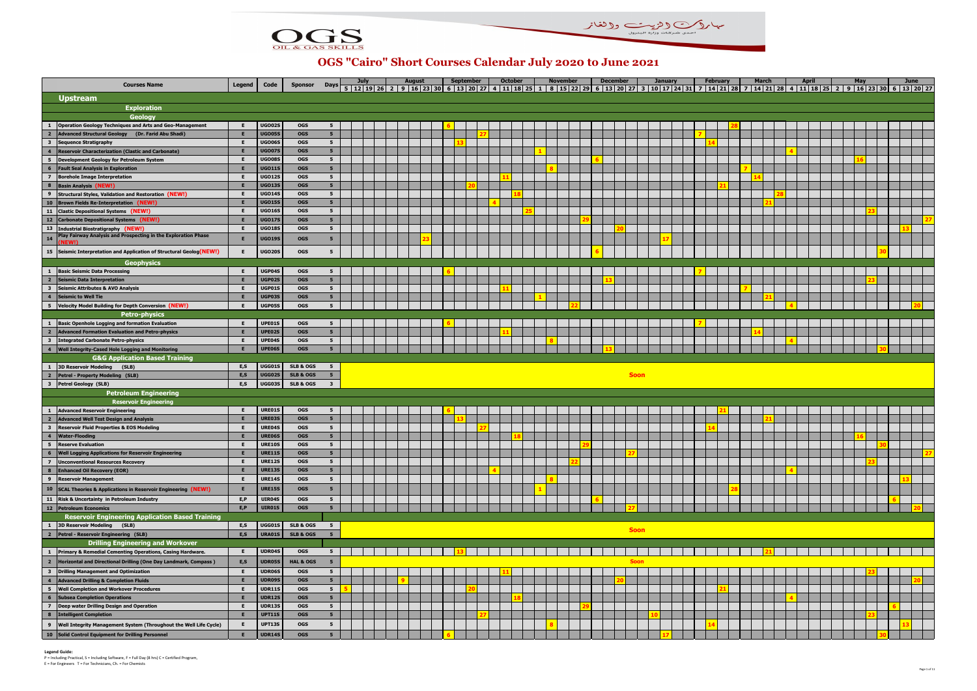| <b>Courses Name</b>                                                                         | Legend | Code          | Sponsor              |                         | July | August | September |  | <b>October</b><br>Days 5 12 19 26 2 9 16 23 30 6 13 20 27 4 11 18 25 1 8 15 22 29 6 13 20 27 3 10 17 24 31 7 14 21 28 7 14 21 28 4 11 18 25 2 9 16 23 30 6 13 20 27 | <b>November</b> | <b>December</b> |             | <b>January</b> |  | <b>February</b> | <b>March</b> |  | <b>April</b> |  | <b>May</b> | <b>June</b> |  |
|---------------------------------------------------------------------------------------------|--------|---------------|----------------------|-------------------------|------|--------|-----------|--|---------------------------------------------------------------------------------------------------------------------------------------------------------------------|-----------------|-----------------|-------------|----------------|--|-----------------|--------------|--|--------------|--|------------|-------------|--|
| <b>Upstream</b>                                                                             |        |               |                      |                         |      |        |           |  |                                                                                                                                                                     |                 |                 |             |                |  |                 |              |  |              |  |            |             |  |
| <b>Exploration</b>                                                                          |        |               |                      |                         |      |        |           |  |                                                                                                                                                                     |                 |                 |             |                |  |                 |              |  |              |  |            |             |  |
| Geology                                                                                     |        |               |                      |                         |      |        |           |  |                                                                                                                                                                     |                 |                 |             |                |  |                 |              |  |              |  |            |             |  |
| <b>Operation Geology Techniques and Arts and Geo-Management</b><br>$\mathbf{1}$             |        | UGO02S        | <b>OGS</b>           | 5                       |      |        |           |  |                                                                                                                                                                     |                 |                 |             |                |  |                 |              |  |              |  |            |             |  |
| Advanced Structural Geology (Dr. Farid Abu Shadi)<br>$\overline{2}$                         |        | <b>UGO059</b> | <b>OGS</b>           | 5 <sub>1</sub>          |      |        |           |  |                                                                                                                                                                     |                 |                 |             |                |  |                 |              |  |              |  |            |             |  |
| $\overline{\mathbf{3}}$<br><b>Sequence Stratigraphy</b>                                     |        | UGO06S        | <b>OGS</b>           | $5^{\circ}$             |      |        |           |  |                                                                                                                                                                     |                 |                 |             |                |  |                 |              |  |              |  |            |             |  |
| $\overline{4}$<br><b>Reservoir Characterization (Clastic and Carbonate)</b>                 |        | <b>UGO07S</b> | <b>OGS</b>           | 5 <sub>5</sub>          |      |        |           |  |                                                                                                                                                                     |                 |                 |             |                |  |                 |              |  |              |  |            |             |  |
| $5^{\circ}$<br><b>Development Geology for Petroleum System</b>                              |        | UGO08S        | <b>OGS</b>           | $5\overline{5}$         |      |        |           |  |                                                                                                                                                                     |                 |                 |             |                |  |                 |              |  |              |  |            |             |  |
| 6<br><b>Fault Seal Analysis in Exploration</b>                                              |        | <b>UGO11S</b> | <b>OGS</b>           | 5 <sub>5</sub>          |      |        |           |  |                                                                                                                                                                     |                 |                 |             |                |  |                 |              |  |              |  |            |             |  |
| $\overline{z}$<br><b>Borehole Image Interpretation</b>                                      |        | <b>UGO12S</b> | <b>OGS</b>           | $5\overline{5}$         |      |        |           |  |                                                                                                                                                                     |                 |                 |             |                |  |                 |              |  |              |  |            |             |  |
| $\overline{\mathbf{8}}$<br><b>Basin Analysis (NEW!</b>                                      |        | <b>UGO139</b> | <b>OGS</b>           | 5 <sub>5</sub>          |      |        |           |  |                                                                                                                                                                     |                 |                 |             |                |  |                 |              |  |              |  |            |             |  |
| $\overline{9}$<br><b>Structural Styles, Validation and Restoration (NEW!)</b>               |        | <b>UGO149</b> | <b>OGS</b>           | 5 <sub>5</sub>          |      |        |           |  |                                                                                                                                                                     |                 |                 |             |                |  |                 |              |  |              |  |            |             |  |
| 10 Brown Fields Re-Interpretation (NEW!)                                                    |        | <b>UGO15S</b> | <b>OGS</b>           | 5 <sub>5</sub>          |      |        |           |  |                                                                                                                                                                     |                 |                 |             |                |  |                 |              |  |              |  |            |             |  |
| 11 Clastic Depositional Systems (NEW!)                                                      |        | <b>UGO169</b> | <b>OGS</b>           | $5^{\circ}$             |      |        |           |  |                                                                                                                                                                     |                 |                 |             |                |  |                 |              |  |              |  |            |             |  |
| 12 Carbonate Depositional Systems (NEW!)                                                    |        | <b>UGO17S</b> | <b>OGS</b>           | 5 <sub>5</sub>          |      |        |           |  |                                                                                                                                                                     |                 |                 |             |                |  |                 |              |  |              |  |            |             |  |
| 13 Industrial Biostratigraphy (NEW!)                                                        |        | <b>UGO189</b> | <b>OGS</b>           | $5^{\circ}$             |      |        |           |  |                                                                                                                                                                     |                 |                 |             |                |  |                 |              |  |              |  |            |             |  |
| lay Fairway Analysis and Prospecting in the Exploration Phase<br>14                         |        | UGO19S        | <b>OGS</b>           | 5                       |      |        |           |  |                                                                                                                                                                     |                 |                 |             |                |  |                 |              |  |              |  |            |             |  |
| 15 Seismic Interpretation and Application of Structural Geolog (NEW!)                       |        | <b>UGO20S</b> | OGS                  | 5                       |      |        |           |  |                                                                                                                                                                     |                 |                 |             |                |  |                 |              |  |              |  |            |             |  |
| <b>Geophysics</b>                                                                           |        |               |                      |                         |      |        |           |  |                                                                                                                                                                     |                 |                 |             |                |  |                 |              |  |              |  |            |             |  |
| <b>Basic Seismic Data Processing</b><br>$\mathbf{1}$                                        |        | UGP04S        | <b>OGS</b>           | 5                       |      |        |           |  |                                                                                                                                                                     |                 |                 |             |                |  |                 |              |  |              |  |            |             |  |
| $\overline{\mathbf{2}}$<br><b>Seismic Data Interpretation</b>                               |        | UGP02S        | <b>OGS</b>           | 5 <sub>5</sub>          |      |        |           |  |                                                                                                                                                                     |                 |                 |             |                |  |                 |              |  |              |  |            |             |  |
| $\overline{\mathbf{3}}$<br><b>Seismic Attributes &amp; AVO Analysis</b>                     |        | UGP01S        | <b>OGS</b>           | 5 <sub>5</sub>          |      |        |           |  |                                                                                                                                                                     |                 |                 |             |                |  |                 |              |  |              |  |            |             |  |
| $\overline{\mathbf{4}}$<br><b>Seismic to Well Tie</b>                                       |        | UGP03S        | <b>OGS</b>           | 5 <sub>5</sub>          |      |        |           |  |                                                                                                                                                                     |                 |                 |             |                |  |                 |              |  |              |  |            |             |  |
| 5 <sub>5</sub><br>Velocity Model Building for Depth Conversion (NEW!)                       |        | UGP05S        | <b>OGS</b>           | 5                       |      |        |           |  |                                                                                                                                                                     |                 |                 |             |                |  |                 |              |  |              |  |            |             |  |
| <b>Petro-physics</b>                                                                        |        |               |                      |                         |      |        |           |  |                                                                                                                                                                     |                 |                 |             |                |  |                 |              |  |              |  |            |             |  |
| <b>Basic Openhole Logging and formation Evaluation</b><br>$\mathbf{1}$                      | E      | UPE01S        | <b>OGS</b>           | 5                       |      |        |           |  |                                                                                                                                                                     |                 |                 |             |                |  |                 |              |  |              |  |            |             |  |
| $\overline{\mathbf{2}}$<br><b>Advanced Formation Evaluation and Petro-physics</b>           |        | UPE02S        | <b>OGS</b>           | 5 <sup>5</sup>          |      |        |           |  |                                                                                                                                                                     |                 |                 |             |                |  |                 |              |  |              |  |            |             |  |
| $\overline{\mathbf{3}}$<br><b>Integrated Carbonate Petro-physics</b>                        | Е      | UPE04S        | <b>OGS</b>           | 5 <sub>1</sub>          |      |        |           |  |                                                                                                                                                                     |                 |                 |             |                |  |                 |              |  |              |  |            |             |  |
| $\overline{4}$<br><b>Well Integrity-Cased Hole Logging and Monitoring</b>                   |        | UPE06S        | <b>OGS</b>           | 5 <sup>1</sup>          |      |        |           |  |                                                                                                                                                                     |                 |                 |             |                |  |                 |              |  |              |  |            |             |  |
|                                                                                             |        |               |                      |                         |      |        |           |  |                                                                                                                                                                     |                 |                 |             |                |  |                 |              |  |              |  |            |             |  |
|                                                                                             |        |               |                      |                         |      |        |           |  |                                                                                                                                                                     |                 |                 |             |                |  |                 |              |  |              |  |            |             |  |
| <b>G&amp;G Application Based Training</b><br>3D Reservoir Modeling (SLB)<br>$\mathbf{1}$    | E, S   | UGG01S        | <b>SLB &amp; OGS</b> | 5 <sub>5</sub>          |      |        |           |  |                                                                                                                                                                     |                 |                 |             |                |  |                 |              |  |              |  |            |             |  |
| $\overline{2}$<br>Petrel - Property Modeling (SLB)                                          | E, S   | UGG02S        | <b>SLB &amp; OGS</b> | 5 <sub>5</sub>          |      |        |           |  |                                                                                                                                                                     |                 |                 | <b>Soon</b> |                |  |                 |              |  |              |  |            |             |  |
| $\overline{\mathbf{3}}$<br>Petrel Geology (SLB)                                             | E,S    | <b>UGG03S</b> | <b>SLB &amp; OGS</b> | $\overline{\mathbf{3}}$ |      |        |           |  |                                                                                                                                                                     |                 |                 |             |                |  |                 |              |  |              |  |            |             |  |
| <b>Petroleum Engineering</b>                                                                |        |               |                      |                         |      |        |           |  |                                                                                                                                                                     |                 |                 |             |                |  |                 |              |  |              |  |            |             |  |
| <b>Reservoir Engineering</b>                                                                |        |               |                      |                         |      |        |           |  |                                                                                                                                                                     |                 |                 |             |                |  |                 |              |  |              |  |            |             |  |
| <b>Advanced Reservoir Engineering</b><br>$\mathbf{1}$                                       | E      | URE01S        | <b>OGS</b>           | 5                       |      |        |           |  |                                                                                                                                                                     |                 |                 |             |                |  |                 |              |  |              |  |            |             |  |
| $\overline{2}$<br><b>Advanced Well Test Design and Analysis</b>                             |        | URE03S        | <b>OGS</b>           | 5 <sub>5</sub>          |      |        |           |  |                                                                                                                                                                     |                 |                 |             |                |  |                 |              |  |              |  |            |             |  |
| $\overline{\mathbf{3}}$<br><b>Reservoir Fluid Properties &amp; EOS Modeling</b>             |        | URE049        | <b>OGS</b>           | 5 <sub>5</sub>          |      |        |           |  |                                                                                                                                                                     |                 |                 |             |                |  |                 |              |  |              |  |            |             |  |
| $\overline{\mathbf{4}}$<br><b>Water-Flooding</b>                                            |        | <b>URE06S</b> | <b>OGS</b>           | 5 <sub>5</sub>          |      |        |           |  |                                                                                                                                                                     |                 |                 |             |                |  |                 |              |  |              |  |            |             |  |
| 5 Reserve Evaluation                                                                        | E      | <b>URE10S</b> | <b>OGS</b>           | 5 <sub>1</sub>          |      |        |           |  |                                                                                                                                                                     |                 |                 |             |                |  |                 |              |  |              |  |            |             |  |
| $6\phantom{1}$<br><b>Well Logging Applications for Reservoir Engineering</b>                |        | <b>URE11S</b> | <b>OGS</b>           | 5 <sub>5</sub>          |      |        |           |  |                                                                                                                                                                     |                 |                 |             |                |  |                 |              |  |              |  |            |             |  |
| $\overline{z}$<br><b>Unconventional Resources Recovery</b>                                  | Е      | <b>URE12S</b> | <b>OGS</b>           | 5 <sub>5</sub>          |      |        |           |  |                                                                                                                                                                     |                 |                 |             |                |  |                 |              |  |              |  |            |             |  |
| $\overline{\mathbf{8}}$<br><b>Enhanced Oil Recovery (EOR)</b>                               |        | <b>URE13S</b> | <b>OGS</b>           | 5 <sub>5</sub>          |      |        |           |  |                                                                                                                                                                     |                 |                 |             |                |  |                 |              |  |              |  |            |             |  |
| 9 Reservoir Management                                                                      |        | <b>URE14S</b> | <b>OGS</b>           | 5 <sub>1</sub>          |      |        |           |  |                                                                                                                                                                     |                 |                 |             |                |  |                 |              |  |              |  |            |             |  |
| 10 SCAL Theories & Applications in Reservoir Engineering (NEW!)                             | Е      | <b>URE15S</b> | <b>OGS</b>           | 5 <sub>5</sub>          |      |        |           |  |                                                                                                                                                                     |                 |                 |             |                |  |                 |              |  |              |  |            |             |  |
| 11   Risk & Uncertainty in Petroleum Industry                                               | E, P   | UIR04S        | <b>OGS</b>           | $5^{\circ}$             |      |        |           |  |                                                                                                                                                                     |                 |                 |             |                |  |                 |              |  |              |  |            |             |  |
| 12 Petroleum Economics                                                                      | E, P   | UIR01S        | OGS                  | 5 <sub>1</sub>          |      |        |           |  |                                                                                                                                                                     |                 |                 |             |                |  |                 |              |  |              |  |            |             |  |
| <b>Reservoir Engineering Application Based Training</b>                                     |        |               |                      |                         |      |        |           |  |                                                                                                                                                                     |                 |                 |             |                |  |                 |              |  |              |  |            |             |  |
| 1 3D Reservoir Modeling (SLB)                                                               | E, S   | UGG01S        | <b>SLB &amp; OGS</b> | 5 <sup>5</sup>          |      |        |           |  |                                                                                                                                                                     |                 |                 |             |                |  |                 |              |  |              |  |            |             |  |
| Petrel - Reservoir Engineering (SLB)<br>$\overline{\mathbf{2}}$                             | E, S   | <b>URA01S</b> | <b>SLB &amp; OGS</b> | 5 <sup>1</sup>          |      |        |           |  |                                                                                                                                                                     |                 |                 | <b>Soon</b> |                |  |                 |              |  |              |  |            |             |  |
| <b>Drilling Engineering and Workover</b>                                                    |        |               |                      |                         |      |        |           |  |                                                                                                                                                                     |                 |                 |             |                |  |                 |              |  |              |  |            |             |  |
| 1 Primary & Remedial Cementing Operations, Casing Hardware.                                 | E.     | UDR04S        | <b>OGS</b>           | 5                       |      |        |           |  |                                                                                                                                                                     |                 |                 |             |                |  |                 |              |  |              |  |            |             |  |
| $\overline{\phantom{a}}$<br>Horizontal and Directional Drilling (One Day Landmark, Compass) | E, S   | <b>UDR05S</b> | <b>HAL &amp; OGS</b> | 5                       |      |        |           |  |                                                                                                                                                                     |                 |                 | <b>Soon</b> |                |  |                 |              |  |              |  |            |             |  |
| $\overline{\mathbf{3}}$<br><b>Drilling Management and Optimization</b>                      | Е      | <b>UDR06S</b> | <b>OGS</b>           | 5 <sub>5</sub>          |      |        |           |  |                                                                                                                                                                     |                 |                 |             |                |  |                 |              |  |              |  |            |             |  |
| $\overline{4}$<br><b>Advanced Drilling &amp; Completion Fluids</b>                          |        | <b>UDR099</b> | <b>OGS</b>           | 5 <sub>5</sub>          |      |        |           |  |                                                                                                                                                                     |                 |                 |             |                |  |                 |              |  |              |  |            |             |  |
| <b>Well Completion and Workover Procedures</b><br>$5^{\circ}$                               |        | <b>UDR11S</b> | <b>OGS</b>           | 5 <sub>5</sub>          |      |        |           |  |                                                                                                                                                                     |                 |                 |             |                |  |                 |              |  |              |  |            |             |  |
| 6<br><b>Subsea Completion Operations</b>                                                    |        | <b>UDR12S</b> | <b>OGS</b>           | 5 <sup>5</sup>          |      |        |           |  |                                                                                                                                                                     |                 |                 |             |                |  |                 |              |  |              |  |            |             |  |
| $\overline{7}$<br>Deep water Drilling Design and Operation                                  |        | <b>UDR13S</b> | <b>OGS</b>           | 5 <sub>5</sub>          |      |        |           |  |                                                                                                                                                                     |                 |                 |             |                |  |                 |              |  |              |  |            |             |  |
| 8   Intelligent Completion                                                                  |        | <b>UPT11S</b> | <b>OGS</b>           | 5 <sub>5</sub>          |      |        |           |  |                                                                                                                                                                     |                 |                 |             |                |  |                 |              |  |              |  |            |             |  |
| 9   Well Integrity Management System (Throughout the Well Life Cycle)                       | Е      | <b>UPT13S</b> | <b>OGS</b>           | 5                       |      |        |           |  |                                                                                                                                                                     |                 |                 |             |                |  |                 |              |  |              |  |            |             |  |
| 10 Solid Control Equipment for Drilling Personnel                                           |        | <b>UDR14S</b> | OGS                  | 5 <sub>5</sub>          |      |        |           |  |                                                                                                                                                                     |                 |                 |             |                |  |                 |              |  |              |  |            |             |  |





## **OGS "Cairo" Short Courses Calendar July 2020 to June 2021**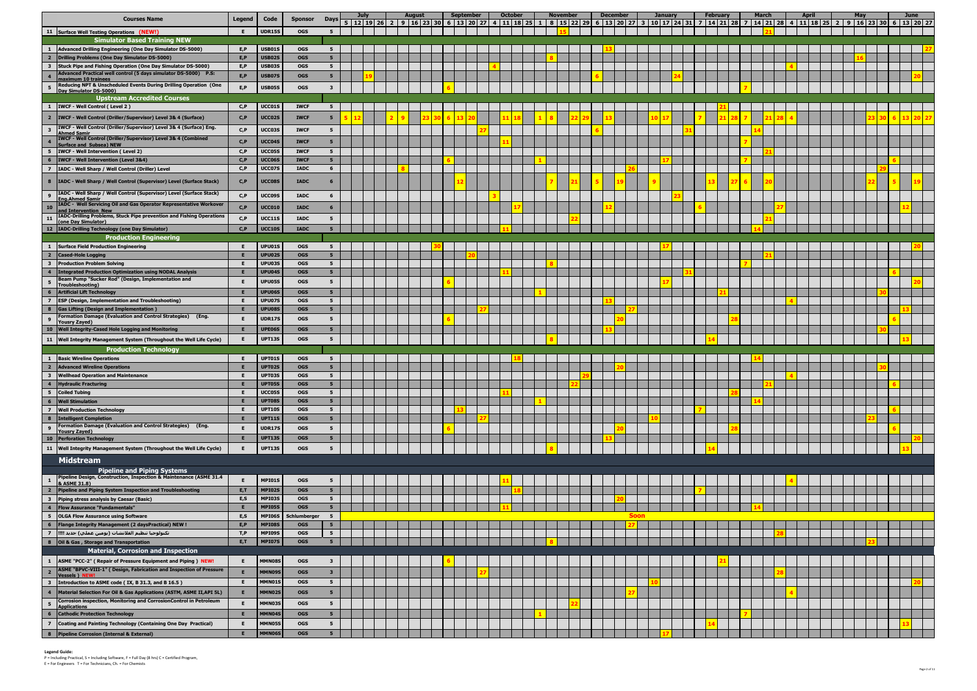|                                           | <b>Courses Name</b>                                                                                                             | Legend | Code                    | <b>Sponsor</b>           | <b>Days</b>                      | July | <b>August</b> | 5   12   19   26   2   9   16   23   30   6   13   20   27   4   11   18   25   1   8   15   22   29 | <b>September</b> | <b>October</b> |  | <b>November</b> | <b>December</b> |             | <b>January</b> |  | <b>February</b> | <b>March</b> | <b>April</b> | 6 13 20 27 3 10 17 24 31 7 14 21 28 7 14 21 28 4 11 18 25 2 9 16 23 30 6 13 20 27 | May | <b>June</b> |
|-------------------------------------------|---------------------------------------------------------------------------------------------------------------------------------|--------|-------------------------|--------------------------|----------------------------------|------|---------------|------------------------------------------------------------------------------------------------------|------------------|----------------|--|-----------------|-----------------|-------------|----------------|--|-----------------|--------------|--------------|-----------------------------------------------------------------------------------|-----|-------------|
|                                           | 11 Surface Well Testing Operations (NEW!)                                                                                       | E.     | <b>UDR15S</b>           | <b>OGS</b>               | 5 <sub>1</sub>                   |      |               |                                                                                                      |                  |                |  |                 |                 |             |                |  |                 |              |              |                                                                                   |     |             |
|                                           | <b>Simulator Based Training NEW</b>                                                                                             |        |                         |                          |                                  |      |               |                                                                                                      |                  |                |  |                 |                 |             |                |  |                 |              |              |                                                                                   |     |             |
| $\mathbf{1}$                              | Advanced Drilling Engineering (One Day Simulator DS-5000)                                                                       | E.P    | USB01S                  | <b>OGS</b>               | 5                                |      |               |                                                                                                      |                  |                |  |                 |                 |             |                |  |                 |              |              |                                                                                   |     |             |
| $\overline{2}$                            | Drilling Problems (One Day Simulator DS-5000)                                                                                   | E.P    | <b>USB02S</b>           | <b>OGS</b>               | 5 <sub>5</sub>                   |      |               |                                                                                                      |                  |                |  |                 |                 |             |                |  |                 |              |              |                                                                                   |     |             |
| $\overline{\mathbf{3}}$                   | Stuck Pipe and Fishing Operation (One Day Simulator DS-5000)<br>Advanced Practical well control (5 days simulator DS-5000) P.S: | E, P   | <b>USB03S</b>           | <b>OGS</b>               | 5 <sub>1</sub>                   |      |               |                                                                                                      |                  |                |  |                 |                 |             |                |  |                 |              |              |                                                                                   |     |             |
| $\overline{4}$                            | maximum 10 trainees<br>Reducing NPT & Unscheduled Events During Drilling Operation (One                                         | E.P    | <b>USB07S</b>           | <b>OGS</b>               | 5                                |      |               |                                                                                                      |                  |                |  |                 |                 |             |                |  |                 |              |              |                                                                                   |     |             |
| 5                                         | Day Simulator DS-5000)                                                                                                          | E, P   | USB05S                  | <b>OGS</b>               | 3                                |      |               |                                                                                                      |                  |                |  |                 |                 |             |                |  |                 |              |              |                                                                                   |     |             |
|                                           | <b>Upstream Accredited Courses</b>                                                                                              |        |                         |                          |                                  |      |               |                                                                                                      |                  |                |  |                 |                 |             |                |  |                 |              |              |                                                                                   |     |             |
|                                           | 1  IWCF - Well Control (Level 2)                                                                                                | C.P    | UCC01S                  | <b>IWCF</b>              | 5                                |      |               |                                                                                                      |                  |                |  |                 |                 |             |                |  |                 |              |              |                                                                                   |     |             |
| $\overline{2}$                            | <b>IWCF - Well Control (Driller/Supervisor) Level 3&amp; 4 (Surface)</b>                                                        | C, P   | UCC02S                  | <b>IWCF</b>              | 5                                |      |               |                                                                                                      |                  |                |  |                 |                 |             |                |  |                 |              |              |                                                                                   |     |             |
| $\overline{\mathbf{3}}$                   | IWCF - Well Control (Driller/Supervisor) Level 3& 4 (Surface) Eng.<br><b>Ahmed Samir</b>                                        | C, P   | UCC03S                  | <b>IWCF</b>              | - 5                              |      |               |                                                                                                      |                  |                |  |                 |                 |             |                |  |                 |              |              |                                                                                   |     |             |
| $\overline{4}$                            | IWCF - Well Control (Driller/Supervisor) Level 3& 4 (Combined                                                                   | C, P   | UCC04S                  | <b>IWCF</b>              | 5                                |      |               |                                                                                                      |                  |                |  |                 |                 |             |                |  |                 |              |              |                                                                                   |     |             |
| 5 <sub>5</sub>                            | <b>Surface and Subsea) NEW</b><br><b>IWCF - Well Intervention (Level 2)</b>                                                     | C, P   | UCC05S                  | <b>IWCF</b>              | 5 <sub>1</sub>                   |      |               |                                                                                                      |                  |                |  |                 |                 |             |                |  |                 |              |              |                                                                                   |     |             |
| 6                                         | <b>IWCF - Well Intervention (Level 3&amp;4)</b>                                                                                 | C.P    | <b>UCC06S</b>           | <b>IWCF</b>              | 5 <sub>5</sub>                   |      |               |                                                                                                      |                  |                |  |                 |                 |             |                |  |                 |              |              |                                                                                   |     |             |
| $\overline{7}$                            | IADC - Well Sharp / Well Control (Driller) Level                                                                                | C, P   | UCC07S                  | <b>IADC</b>              | 6                                |      |               |                                                                                                      |                  |                |  |                 |                 |             |                |  |                 |              |              |                                                                                   |     |             |
| 8                                         | IADC - Well Sharp / Well Control (Supervisor) Level (Surface Stack)                                                             | C, P   | UCC08S                  | <b>IADC</b>              |                                  |      |               |                                                                                                      |                  |                |  |                 |                 |             |                |  |                 |              |              |                                                                                   |     |             |
|                                           | IADC - Well Sharp / Well Control (Supervisor) Level (Surface Stack)                                                             |        |                         |                          |                                  |      |               |                                                                                                      |                  |                |  |                 |                 |             |                |  |                 |              |              |                                                                                   |     |             |
| 9                                         | <b>Eng.Ahmed Samir</b><br>IADC - Well Servicing Oil and Gas Operator Representative Workover                                    | C, P   | <b>JCC09S</b>           | <b>IADC</b>              | 6                                |      |               |                                                                                                      |                  |                |  |                 |                 |             |                |  |                 |              |              |                                                                                   |     |             |
| 10                                        | and Intervention New                                                                                                            | C, P   | <b>UCC010</b>           | <b>IADC</b>              | 6                                |      |               |                                                                                                      |                  |                |  |                 |                 |             |                |  |                 |              |              |                                                                                   |     |             |
| 11                                        | IADC-Drilling Problems, Stuck Pipe prevention and Fishing Operations<br>(one Day Simulator)                                     | C, P   | <b>UCC11S</b>           | <b>IADC</b>              | 5                                |      |               |                                                                                                      |                  |                |  |                 |                 |             |                |  |                 |              |              |                                                                                   |     |             |
|                                           | 12   IADC-Drilling Technology (one Day Simulator)                                                                               | C.P    | <b>UCC10S</b>           | <b>IADC</b>              | 5.                               |      |               |                                                                                                      |                  |                |  |                 |                 |             |                |  |                 |              |              |                                                                                   |     |             |
|                                           | <b>Production Engineering</b>                                                                                                   |        |                         |                          |                                  |      |               |                                                                                                      |                  |                |  |                 |                 |             |                |  |                 |              |              |                                                                                   |     |             |
| -1                                        | <b>Surface Field Production Engineering</b>                                                                                     |        | UPU01S                  | <b>OGS</b>               | 5                                |      |               |                                                                                                      |                  |                |  |                 |                 |             |                |  |                 |              |              |                                                                                   |     |             |
| $\overline{2}$<br>$\overline{\mathbf{3}}$ | <b>Cased-Hole Logging</b>                                                                                                       |        | UPU02S<br>UPU03S        | <b>OGS</b><br><b>OGS</b> | 5 <sub>5</sub><br>$5^{\circ}$    |      |               |                                                                                                      |                  |                |  |                 |                 |             |                |  |                 |              |              |                                                                                   |     |             |
| $\overline{4}$                            | <b>Production Problem Solving</b><br><b>Integrated Production Optimization using NODAL Analysis</b>                             |        | UPU04S                  | <b>OGS</b>               | 5 <sub>1</sub>                   |      |               |                                                                                                      |                  |                |  |                 |                 |             |                |  |                 |              |              |                                                                                   |     |             |
| - 5                                       | Beam Pump "Sucker Rod" (Design, Implementation and                                                                              |        | <b>UPU05S</b>           | <b>OGS</b>               | 5                                |      |               |                                                                                                      |                  |                |  |                 |                 |             |                |  |                 |              |              |                                                                                   |     |             |
| 6                                         | Troubleshooting)<br><b>Artificial Lift Technology</b>                                                                           |        | UPU06S                  | <b>OGS</b>               | 5 <sub>5</sub>                   |      |               |                                                                                                      |                  |                |  |                 |                 |             |                |  |                 |              |              |                                                                                   |     |             |
| $\overline{z}$                            | <b>ESP (Design, Implementation and Troubleshooting)</b>                                                                         |        | UPU07S                  | <b>OGS</b>               | 5                                |      |               |                                                                                                      |                  |                |  |                 |                 |             |                |  |                 |              |              |                                                                                   |     |             |
| 8                                         | Gas Lifting (Design and Implementation)                                                                                         |        | UPU08S                  | <b>OGS</b>               | 5 <sub>5</sub>                   |      |               |                                                                                                      |                  |                |  |                 |                 |             |                |  |                 |              |              |                                                                                   |     |             |
| 9                                         | Formation Damage (Evaluation and Control Strategies) (Eng.                                                                      | E.     | <b>UDR17S</b>           | <b>OGS</b>               | 5                                |      |               |                                                                                                      |                  |                |  |                 |                 |             |                |  |                 |              |              |                                                                                   |     |             |
|                                           | <b>Yousry Zayed)</b><br>10 Well Integrity-Cased Hole Logging and Monitoring                                                     |        | UPE06S                  | <b>OGS</b>               | 5 <sub>5</sub>                   |      |               |                                                                                                      |                  |                |  |                 |                 |             |                |  |                 |              |              |                                                                                   |     |             |
|                                           | 11   Well Integrity Management System (Throughout the Well Life Cycle)                                                          | E.     | <b>UPT13S</b>           | <b>OGS</b>               | 5                                |      |               |                                                                                                      |                  |                |  |                 |                 |             |                |  |                 |              |              |                                                                                   |     |             |
|                                           | <b>Production Technology</b>                                                                                                    |        |                         |                          |                                  |      |               |                                                                                                      |                  |                |  |                 |                 |             |                |  |                 |              |              |                                                                                   |     |             |
| $\mathbf{1}$                              | <b>Basic Wireline Operations</b>                                                                                                |        | UPT01S                  | <b>OGS</b>               | 5                                |      |               |                                                                                                      |                  |                |  |                 |                 |             |                |  |                 |              |              |                                                                                   |     |             |
| $\overline{\mathbf{2}}$                   | <b>Advanced Wireline Operations</b>                                                                                             |        | UPT02S                  | <b>OGS</b>               | 5 <sub>1</sub>                   |      |               |                                                                                                      |                  |                |  |                 |                 |             |                |  |                 |              |              |                                                                                   |     |             |
| $\overline{\mathbf{3}}$                   | <b>Wellhead Operation and Maintenance</b>                                                                                       | Е.     | UPT03S                  | <b>OGS</b>               | 5 <sub>1</sub>                   |      |               |                                                                                                      |                  |                |  |                 |                 |             |                |  |                 |              |              |                                                                                   |     |             |
| $\overline{4}$                            | <b>Hydraulic Fracturing</b>                                                                                                     |        | UPT05S                  | <b>OGS</b>               | 5 <sub>1</sub>                   |      |               |                                                                                                      |                  |                |  |                 |                 |             |                |  |                 |              |              |                                                                                   |     |             |
| 5 <sub>5</sub>                            | <b>Coiled Tubing</b>                                                                                                            |        | UCC05S                  | <b>OGS</b>               | 5 <sub>5</sub>                   |      |               |                                                                                                      |                  |                |  |                 |                 |             |                |  |                 |              |              |                                                                                   |     |             |
| 6<br>$\overline{z}$                       | <b>Well Stimulation</b><br><b>Well Production Technology</b>                                                                    | Е      | UPT08S<br><b>UPT10S</b> | <b>OGS</b><br><b>OGS</b> | 5 <sub>5</sub><br>5 <sub>5</sub> |      |               |                                                                                                      |                  |                |  |                 |                 |             |                |  |                 |              |              |                                                                                   |     |             |
|                                           | 8   Intelligent Completion                                                                                                      |        | <b>UPT11S</b>           | <b>OGS</b>               | 5 <sub>1</sub>                   |      |               |                                                                                                      |                  |                |  |                 |                 |             |                |  |                 |              |              |                                                                                   |     |             |
| $\overline{9}$                            | Formation Damage (Evaluation and Control Strategies) (Eng.                                                                      |        | <b>UDR17S</b>           | <b>OGS</b>               | 5                                |      |               |                                                                                                      |                  |                |  |                 |                 |             |                |  |                 |              |              |                                                                                   |     |             |
|                                           | <b>Yousry Zayed)</b><br>10 Perforation Technology                                                                               |        | <b>UPT13S</b>           | <b>OGS</b>               | 5                                |      |               |                                                                                                      |                  |                |  |                 |                 |             |                |  |                 |              |              |                                                                                   |     |             |
|                                           | 11   Well Integrity Management System (Throughout the Well Life Cycle)                                                          | Е      | <b>UPT13S</b>           | <b>OGS</b>               | 5                                |      |               |                                                                                                      |                  |                |  |                 |                 |             |                |  |                 |              |              |                                                                                   |     |             |
|                                           |                                                                                                                                 |        |                         |                          |                                  |      |               |                                                                                                      |                  |                |  |                 |                 |             |                |  |                 |              |              |                                                                                   |     |             |
|                                           | <b>Midstream</b>                                                                                                                |        |                         |                          |                                  |      |               |                                                                                                      |                  |                |  |                 |                 |             |                |  |                 |              |              |                                                                                   |     |             |
|                                           | <b>Pipeline and Piping Systems</b><br>Pipeline Design, Construction, Inspection & Maintenance (ASME 31.4                        |        |                         |                          |                                  |      |               |                                                                                                      |                  |                |  |                 |                 |             |                |  |                 |              |              |                                                                                   |     |             |
|                                           | & ASME 31.8)                                                                                                                    | E.     | <b>MPI01S</b>           | <b>OGS</b>               | 5                                |      |               |                                                                                                      |                  |                |  |                 |                 |             |                |  |                 |              |              |                                                                                   |     |             |
| $\overline{\mathbf{2}}$                   | Pipeline and Piping System Inspection and Troubleshooting                                                                       | E,T    | <b>MPI02S</b>           | <b>OGS</b>               | 5 <sub>5</sub>                   |      |               |                                                                                                      |                  |                |  |                 |                 |             |                |  |                 |              |              |                                                                                   |     |             |
| $\overline{\mathbf{3}}$<br>$\overline{4}$ | Piping stress analysis by Caesar (Basic)<br>Flow Assurance "Fundamentals"                                                       | E, S   | MPI03S<br><b>MPI05S</b> | <b>OGS</b><br><b>OGS</b> | 5 <sub>5</sub><br>5 <sub>5</sub> |      |               |                                                                                                      |                  |                |  |                 |                 |             |                |  |                 |              |              |                                                                                   |     |             |
| 5                                         | <b>OLGA Flow Assurance using Software</b>                                                                                       | E,S    | <b>MPI06S</b>           | Schlumberger             | 5                                |      |               |                                                                                                      |                  |                |  |                 |                 | <b>Soon</b> |                |  |                 |              |              |                                                                                   |     |             |
| $6\overline{6}$                           | Flange Integrity Management (2 daysPractical) NEW !                                                                             | E, P   | <b>MPI08S</b>           | <b>OGS</b>               | $5^{\circ}$                      |      |               |                                                                                                      |                  |                |  |                 |                 |             |                |  |                 |              |              |                                                                                   |     |             |
| $\overline{7}$                            | تكنولوجيا تنظيم الفلانشات (يومين عملي) جديد !!!!                                                                                | T,P    | <b>MPI09S</b>           | <b>OGS</b>               | 5                                |      |               |                                                                                                      |                  |                |  |                 |                 |             |                |  |                 |              |              |                                                                                   |     |             |
| 8                                         | Oil & Gas, Storage and Transportation                                                                                           | E,T    | <b>MPI07S</b>           | <b>OGS</b>               | 5                                |      |               |                                                                                                      |                  |                |  |                 |                 |             |                |  |                 |              |              |                                                                                   |     |             |
|                                           | <b>Material, Corrosion and Inspection</b>                                                                                       |        |                         |                          |                                  |      |               |                                                                                                      |                  |                |  |                 |                 |             |                |  |                 |              |              |                                                                                   |     |             |
| $\mathbf{1}$                              | ASME "PCC-2" (Repair of Pressure Equipment and Piping) NEW!                                                                     | E.     | <b>MMN089</b>           | <b>OGS</b>               | $\overline{\mathbf{3}}$          |      |               |                                                                                                      |                  |                |  |                 |                 |             |                |  |                 |              |              |                                                                                   |     |             |
| $\overline{\mathbf{2}}$                   | ASME "BPVC-VIII-1" ( Design, Fabrication and Inspection of Pressure                                                             |        | MMN09S                  | <b>OGS</b>               | $\overline{\mathbf{3}}$          |      |               |                                                                                                      |                  |                |  |                 |                 |             |                |  |                 |              |              |                                                                                   |     |             |
| $\overline{\mathbf{3}}$                   | <b>Vessels</b> ) NEW!<br>Introduction to ASME code (IX, B 31.3, and B 16.5)                                                     | E.     | MMN019                  | <b>OGS</b>               | 5                                |      |               |                                                                                                      |                  |                |  |                 |                 |             |                |  |                 |              |              |                                                                                   |     |             |
| $\overline{4}$                            | Material Selection For Oil & Gas Applications (ASTM, ASME II, API 5L)                                                           |        | MMN02S                  | <b>OGS</b>               | 5                                |      |               |                                                                                                      |                  |                |  |                 |                 |             |                |  |                 |              |              |                                                                                   |     |             |
| 5                                         | Corrosion inspection, Monitoring and CorrosionControl in Petroleum                                                              | Е      | MMN03S                  | <b>OGS</b>               | 5                                |      |               |                                                                                                      |                  |                |  |                 |                 |             |                |  |                 |              |              |                                                                                   |     |             |
| 6                                         | <b>Applications</b><br><b>Cathodic Protection Technology</b>                                                                    |        | MMN04S                  | <b>OGS</b>               | 5 <sub>5</sub>                   |      |               |                                                                                                      |                  |                |  |                 |                 |             |                |  |                 |              |              |                                                                                   |     |             |
| $\overline{7}$                            | Coating and Painting Technology (Containing One Day Practical)                                                                  | E.     | MMN05S                  | <b>OGS</b>               | 5                                |      |               |                                                                                                      |                  |                |  |                 |                 |             |                |  |                 |              |              |                                                                                   |     |             |
|                                           | 8 Pipeline Corrosion (Internal & External)                                                                                      |        | <b>MMN06S</b>           | <b>OGS</b>               | 5                                |      |               |                                                                                                      |                  |                |  |                 |                 |             |                |  |                 |              |              |                                                                                   |     |             |
|                                           |                                                                                                                                 |        |                         |                          |                                  |      |               |                                                                                                      |                  |                |  |                 |                 |             |                |  |                 |              |              |                                                                                   |     |             |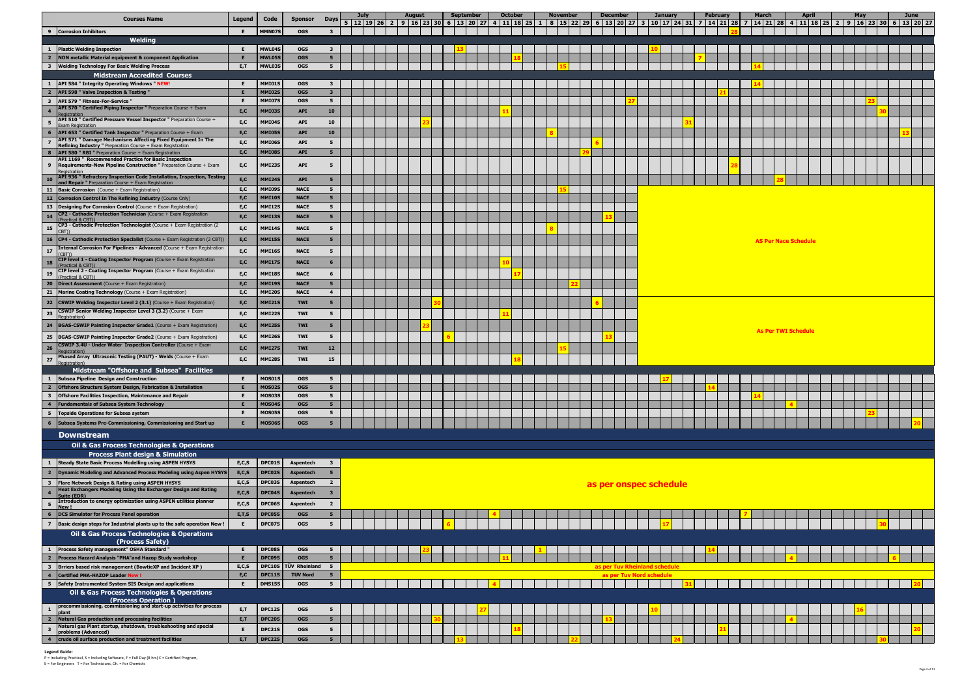| <b>Courses Name</b>                                                                                                                          | Legend       | Code                           | <b>Sponsor</b>             | <b>Days</b>                   | 5 <sup>5</sup><br> 12  19  26  2  9  16  23  30  6  13  20  27  4  11  18  25  1  8  15  22  29  6  13  20  27  3  10  17  24  31  7  14  21  28  7  14  21  28  4  11  18  25  2  9  16  23  30  6  13  20  27 | August |  | <b>September</b> | <b>October</b> | <b>November</b> | <b>December</b>              | <b>January</b> |  | February | March |                             | April | May | June |  |
|----------------------------------------------------------------------------------------------------------------------------------------------|--------------|--------------------------------|----------------------------|-------------------------------|-----------------------------------------------------------------------------------------------------------------------------------------------------------------------------------------------------------------|--------|--|------------------|----------------|-----------------|------------------------------|----------------|--|----------|-------|-----------------------------|-------|-----|------|--|
| 9 Corrosion Inhibitors                                                                                                                       | E.           | MMN07S                         | <b>OGS</b>                 | $\overline{\mathbf{3}}$       |                                                                                                                                                                                                                 |        |  |                  |                |                 |                              |                |  |          |       |                             |       |     |      |  |
| Welding                                                                                                                                      |              |                                |                            |                               |                                                                                                                                                                                                                 |        |  |                  |                |                 |                              |                |  |          |       |                             |       |     |      |  |
| 1 Plastic Welding Inspection                                                                                                                 |              | MWL04S                         | <b>OGS</b>                 | $\mathbf{3}$                  |                                                                                                                                                                                                                 |        |  |                  |                |                 |                              |                |  |          |       |                             |       |     |      |  |
| $\overline{2}$<br><b>NON metallic Material equipment &amp; component Application</b>                                                         | E,T          | <b>MWL05S</b><br>MWL03S        | <b>OGS</b><br><b>OGS</b>   | 5 <sub>1</sub><br>5           |                                                                                                                                                                                                                 |        |  |                  |                |                 |                              |                |  |          |       |                             |       |     |      |  |
| 3 Welding Technology For Basic Welding Process<br><b>Midstream Accredited Courses</b>                                                        |              |                                |                            |                               |                                                                                                                                                                                                                 |        |  |                  |                |                 |                              |                |  |          |       |                             |       |     |      |  |
| <b>API 584 " Integrity Operating Windows " NEW!</b><br>1                                                                                     |              | <b>MMI01S</b>                  | <b>OGS</b>                 | $\mathbf{3}$                  |                                                                                                                                                                                                                 |        |  |                  |                |                 |                              |                |  |          |       |                             |       |     |      |  |
| $\overline{2}$<br><b>API 598 " Valve Inspection &amp; Testing \</b>                                                                          |              | <b>MMI02S</b>                  | <b>OGS</b>                 | 3 <sup>2</sup>                |                                                                                                                                                                                                                 |        |  |                  |                |                 |                              |                |  |          |       |                             |       |     |      |  |
| $\overline{\mathbf{3}}$<br>API 579 " Fitness-For-Service "                                                                                   |              | <b>MMI07S</b>                  | <b>OGS</b>                 | 5 <sub>1</sub>                |                                                                                                                                                                                                                 |        |  |                  |                |                 |                              |                |  |          |       |                             |       |     |      |  |
| API 570 " Certified Piping Inspector " Preparation Course + Exam<br>$\overline{\mathbf{4}}$                                                  | E,C          | <b>MMI03S</b>                  | <b>API</b>                 | 10                            |                                                                                                                                                                                                                 |        |  |                  |                |                 |                              |                |  |          |       |                             |       |     |      |  |
| API 510 " Certified Pressure Vessel Inspector " Preparation Course +<br>-5<br>xam Registration                                               | E,C          | <b>MMI04S</b>                  | <b>API</b>                 | 10                            |                                                                                                                                                                                                                 |        |  |                  |                |                 |                              |                |  |          |       |                             |       |     |      |  |
| API 653 " Certified Tank Inspector " Preparation Course + Exam<br>- 6                                                                        | E, C         | <b>MMI059</b>                  | <b>API</b>                 | 10                            |                                                                                                                                                                                                                 |        |  |                  |                |                 |                              |                |  |          |       |                             |       |     |      |  |
| API 571 " Damage Mechanisms Affecting Fixed Equipment In The<br>Refining Industry " Preparation Course + Exam Registration                   | E,C          | <b>MMI06S</b>                  | <b>API</b>                 | 5                             |                                                                                                                                                                                                                 |        |  |                  |                |                 |                              |                |  |          |       |                             |       |     |      |  |
| API 580 " RBI " Preparation Course + Exam Registration<br>-8                                                                                 | E,C          | MMI08S                         | <b>API</b>                 | 5 <sub>5</sub>                |                                                                                                                                                                                                                 |        |  |                  |                |                 |                              |                |  |          |       |                             |       |     |      |  |
| API 1169 " Recommended Practice for Basic Inspection<br>Requirements-New Pipeline Construction " Preparation Course + Exam<br>9              | E,C          | MMI23S                         | <b>API</b>                 | -5                            |                                                                                                                                                                                                                 |        |  |                  |                |                 |                              |                |  |          |       |                             |       |     |      |  |
| egistration<br>API 936 " Refractory Inspection Code Installation, Inspection, Testing                                                        |              |                                |                            |                               |                                                                                                                                                                                                                 |        |  |                  |                |                 |                              |                |  |          |       |                             |       |     |      |  |
| 10<br>nd Repair " Preparation Course + Exam Registration                                                                                     | E, C         | <b>MMI24S</b>                  | <b>API</b>                 | 5                             |                                                                                                                                                                                                                 |        |  |                  |                |                 |                              |                |  |          |       |                             |       |     |      |  |
| <b>11   Basic Corrosion</b> (Course + Exam Registration)                                                                                     | E,C          | MMI09S                         | <b>NACE</b>                | $5^{\circ}$                   |                                                                                                                                                                                                                 |        |  |                  |                |                 |                              |                |  |          |       |                             |       |     |      |  |
| 12 Corrosion Control In The Refining Industry (Course Only)<br>13   Designing For Corrosion Control (Course + Exam Registration)             | E, C<br>E, C | <b>MMI10S</b><br><b>MMI129</b> | <b>NACE</b><br><b>NACE</b> | 5 <sub>5</sub><br>$5^{\circ}$ |                                                                                                                                                                                                                 |        |  |                  |                |                 |                              |                |  |          |       |                             |       |     |      |  |
| CP2 - Cathodic Protection Technician (Course + Exam Registration<br>14                                                                       | E, C         | <b>MMI139</b>                  | <b>NACE</b>                | 5                             |                                                                                                                                                                                                                 |        |  |                  |                |                 |                              |                |  |          |       |                             |       |     |      |  |
| Practical & CBT))<br>CP3 - Cathodic Protection Technologist (Course + Exam Registration (2)                                                  |              |                                |                            |                               |                                                                                                                                                                                                                 |        |  |                  |                |                 |                              |                |  |          |       |                             |       |     |      |  |
| 15<br>$($ RT)                                                                                                                                | E,C          | MMI14S                         | <b>NACE</b>                | 5                             |                                                                                                                                                                                                                 |        |  |                  |                |                 |                              |                |  |          |       |                             |       |     |      |  |
| <b>16   CP4 - Cathodic Protection Specialist</b> (Course $+$ Exam Registration (2 CBT))                                                      | E, C         | MMI15S                         | <b>NACE</b>                | 5 <sub>5</sub>                |                                                                                                                                                                                                                 |        |  |                  |                |                 |                              |                |  |          |       | <b>AS Per Nace Schedule</b> |       |     |      |  |
| Internal Corrosion For Pipelines - Advanced (Course + Exam Registration<br>17                                                                | E,C          | MMI16S                         | <b>NACE</b>                | 5                             |                                                                                                                                                                                                                 |        |  |                  |                |                 |                              |                |  |          |       |                             |       |     |      |  |
| CIP level 1 - Coating Inspector Program (Course + Exam Registration<br>18<br>Practical & CBT)                                                | E, C         | <b>MMI17S</b>                  | <b>NACE</b>                | 6                             |                                                                                                                                                                                                                 |        |  |                  |                |                 |                              |                |  |          |       |                             |       |     |      |  |
| CIP level 2 - Coating Inspector Program (Course + Exam Registration<br>19<br>(Practical & CBT))                                              | E, C         | <b>MMI18S</b>                  | <b>NACE</b>                | 6                             |                                                                                                                                                                                                                 |        |  |                  |                |                 |                              |                |  |          |       |                             |       |     |      |  |
| <b>20 Direct Assessment</b> (Course + Exam Registration)                                                                                     | E, C         | <b>MMI19S</b>                  | <b>NACE</b>                | 5                             |                                                                                                                                                                                                                 |        |  |                  |                |                 |                              |                |  |          |       |                             |       |     |      |  |
| <b>21   Marine Coating Technology</b> (Course $+$ Exam Registration)                                                                         | E,C          | <b>MMI209</b>                  | <b>NACE</b>                | $\overline{4}$                |                                                                                                                                                                                                                 |        |  |                  |                |                 |                              |                |  |          |       |                             |       |     |      |  |
| 22   CSWIP Welding Inspector Level 2 $(3.1)$ (Course + Exam Registration)                                                                    | E,C          | <b>MMI21S</b>                  | <b>TWI</b>                 | 5 <sub>5</sub>                |                                                                                                                                                                                                                 |        |  |                  |                |                 |                              |                |  |          |       |                             |       |     |      |  |
| CSWIP Senior Welding Inspector Level 3 (3.2) (Course + Exam<br>23<br>egistration)                                                            | E,C          | MMI22S                         | <b>TWI</b>                 | 5                             |                                                                                                                                                                                                                 |        |  |                  |                |                 |                              |                |  |          |       |                             |       |     |      |  |
| 24<br>BGAS-CSWIP Painting Inspector Grade1 (Course + Exam Registration)                                                                      | E,C          | MMI25S                         | <b>TWI</b>                 | 5                             |                                                                                                                                                                                                                 |        |  |                  |                |                 |                              |                |  |          |       |                             |       |     |      |  |
| <b>25 BGAS-CSWIP Painting Inspector Grade2</b> (Course $+$ Exam Registration)                                                                | E,C          | MMI26S                         | <b>TWI</b>                 | 5                             |                                                                                                                                                                                                                 |        |  |                  |                |                 |                              |                |  |          |       | <b>As Per TWI Schedule</b>  |       |     |      |  |
| CSWIP 3.4U - Under Water Inspection Controller (Course + Exam<br>26                                                                          | E,C          | <b>MMI27S</b>                  | <b>TWI</b>                 | 12                            |                                                                                                                                                                                                                 |        |  |                  |                |                 |                              |                |  |          |       |                             |       |     |      |  |
| Phased Array Ultrasonic Testing (PAUT) - Welds (Course + Exam                                                                                |              |                                |                            |                               |                                                                                                                                                                                                                 |        |  |                  |                |                 |                              |                |  |          |       |                             |       |     |      |  |
| 27<br>egistration                                                                                                                            | E,C          | <b>MMI28S</b>                  | <b>TWI</b>                 | 15                            |                                                                                                                                                                                                                 |        |  |                  |                |                 |                              |                |  |          |       |                             |       |     |      |  |
| Midstream "Offshore and Subsea" Facilities<br>$\mathbf{1}$<br><b>Subsea Pipeline Design and Construction</b>                                 |              | <b>MOS01S</b>                  | <b>OGS</b>                 | 5                             |                                                                                                                                                                                                                 |        |  |                  |                |                 |                              |                |  |          |       |                             |       |     |      |  |
| $\overline{\mathbf{2}}$<br>Offshore Structure System Design, Fabrication & Installation                                                      |              | <b>MOS02S</b>                  | <b>OGS</b>                 | 5 <sub>5</sub>                |                                                                                                                                                                                                                 |        |  |                  |                |                 |                              |                |  |          |       |                             |       |     |      |  |
| $\overline{\mathbf{3}}$<br>Offshore Facilities Inspection, Maintenance and Repair                                                            |              | <b>MOS03S</b>                  | <b>OGS</b>                 | 5 <sub>1</sub>                |                                                                                                                                                                                                                 |        |  |                  |                |                 |                              |                |  |          |       |                             |       |     |      |  |
| $\overline{\mathbf{4}}$<br><b>Fundamentals of Subsea System Technology</b>                                                                   |              | <b>MOS04S</b>                  | <b>OGS</b>                 | 5 <sub>5</sub>                |                                                                                                                                                                                                                 |        |  |                  |                |                 |                              |                |  |          |       |                             |       |     |      |  |
| 5 <sub>5</sub><br><b>Topside Operations for Subsea system</b>                                                                                |              | <b>MOS05S</b>                  | <b>OGS</b>                 | 5 <sub>1</sub>                |                                                                                                                                                                                                                 |        |  |                  |                |                 |                              |                |  |          |       |                             |       |     |      |  |
| Subsea Systems Pre-Commissioning, Commissioning and Start up<br>6                                                                            |              | <b>MOS06S</b>                  | <b>OGS</b>                 | 5                             |                                                                                                                                                                                                                 |        |  |                  |                |                 |                              |                |  |          |       |                             |       |     |      |  |
| <b>Downstream</b>                                                                                                                            |              |                                |                            |                               |                                                                                                                                                                                                                 |        |  |                  |                |                 |                              |                |  |          |       |                             |       |     |      |  |
| Oil & Gas Process Technologies & Operations                                                                                                  |              |                                |                            |                               |                                                                                                                                                                                                                 |        |  |                  |                |                 |                              |                |  |          |       |                             |       |     |      |  |
| <b>Process Plant design &amp; Simulation</b>                                                                                                 |              |                                |                            |                               |                                                                                                                                                                                                                 |        |  |                  |                |                 |                              |                |  |          |       |                             |       |     |      |  |
| <b>Steady State Basic Process Modelling using ASPEN HYSYS</b><br>$\mathbf{1}$                                                                | E, C, S      | DPC01S                         | <b>Aspentech</b>           | $\overline{\mathbf{3}}$       |                                                                                                                                                                                                                 |        |  |                  |                |                 |                              |                |  |          |       |                             |       |     |      |  |
| $\overline{2}$<br>Dynamic Modeling and Advanced Process Modeling using Aspen HYSYS                                                           | E, C, S      | DPC02S                         | <b>Aspentech</b>           | 5                             |                                                                                                                                                                                                                 |        |  |                  |                |                 |                              |                |  |          |       |                             |       |     |      |  |
| $\overline{\mathbf{3}}$<br>Flare Network Design & Rating using ASPEN HYSYS<br>Heat Exchangers Modeling Using the Exchanger Design and Rating | E, C, S      | <b>DPC03S</b>                  | Aspentech                  | $\overline{2}$                |                                                                                                                                                                                                                 |        |  |                  |                |                 | as per onspec schedule       |                |  |          |       |                             |       |     |      |  |
| $\overline{\mathbf{4}}$<br>uite (EDR)<br>Introduction to energy optimization using ASPEN utilities planner                                   | E, C, S      | DPC04S                         | <b>Aspentech</b>           | $\overline{\mathbf{3}}$       |                                                                                                                                                                                                                 |        |  |                  |                |                 |                              |                |  |          |       |                             |       |     |      |  |
| 5<br>lew!                                                                                                                                    |              |                                |                            |                               |                                                                                                                                                                                                                 |        |  |                  |                |                 |                              |                |  |          |       |                             |       |     |      |  |
|                                                                                                                                              | E, C, S      | <b>DPC06S</b>                  | Aspentech                  | $\overline{\mathbf{2}}$       |                                                                                                                                                                                                                 |        |  |                  |                |                 |                              |                |  |          |       |                             |       |     |      |  |
| <b>DCS Simulator for Process Panel operation</b><br>6                                                                                        | E, T, S      | DPC05S                         | <b>OGS</b>                 | 5 <sub>5</sub>                |                                                                                                                                                                                                                 |        |  |                  |                |                 |                              |                |  |          |       |                             |       |     |      |  |
| 7 Basic design steps for Industrial plants up to the safe operation New                                                                      | Е.           | DPC07S                         | <b>OGS</b>                 | 5                             |                                                                                                                                                                                                                 |        |  |                  |                |                 |                              |                |  |          |       |                             |       |     |      |  |
| <b>Oil &amp; Gas Process Technologies &amp; Operations</b>                                                                                   |              |                                |                            |                               |                                                                                                                                                                                                                 |        |  |                  |                |                 |                              |                |  |          |       |                             |       |     |      |  |
| (Process Safety)<br>$\mathbf{1}$                                                                                                             | - E          |                                | <b>OGS</b>                 | 5 <sup>5</sup>                |                                                                                                                                                                                                                 |        |  |                  |                |                 |                              |                |  |          |       |                             |       |     |      |  |
| Process Safety management" OSHA Standard "<br>Process Hazard Analysis "PHA"and Hazop Study workshop<br>$\overline{2}$                        |              | DPC08S<br>DPC09S               | <b>OGS</b>                 | 5 <sub>1</sub>                |                                                                                                                                                                                                                 |        |  |                  |                |                 |                              |                |  |          |       |                             |       |     |      |  |
| $\overline{\mathbf{3}}$<br>Brriers based risk management (BowtieXP and Incident XP)                                                          | E, C, S      | DPC10S                         | <b>TÜV Rheinland</b>       | $5^{\circ}$                   |                                                                                                                                                                                                                 |        |  |                  |                |                 | as per Tuv Rheinland schedul |                |  |          |       |                             |       |     |      |  |
| <b>Certified PHA-HAZOP Leader New!</b><br>$\overline{4}$                                                                                     | E, C         | DPC11S                         | <b>TUV Nord</b>            | 5 <sub>5</sub>                |                                                                                                                                                                                                                 |        |  |                  |                |                 | as per Tuv Nord schedule     |                |  |          |       |                             |       |     |      |  |
| Safety Instrumented System SIS Design and applications<br>5                                                                                  |              | <b>DMS15S</b>                  | <b>OGS</b>                 | 5                             |                                                                                                                                                                                                                 |        |  |                  |                |                 |                              |                |  |          |       |                             |       |     |      |  |
| Oil & Gas Process Technologies & Operations                                                                                                  |              |                                |                            |                               |                                                                                                                                                                                                                 |        |  |                  |                |                 |                              |                |  |          |       |                             |       |     |      |  |
| (Process Operation)<br>precommissioning, commissioning and start-up activities for process<br>$\mathbf{1}$                                   | E,T          | DPC12S                         | <b>OGS</b>                 | 5                             |                                                                                                                                                                                                                 |        |  |                  |                |                 |                              |                |  |          |       |                             |       |     |      |  |
| ılant<br>$\overline{\mathbf{2}}$<br><b>Natural Gas production and processing facilities</b>                                                  | E, T         | DPC20S                         | <b>OGS</b>                 | 5 <sub>5</sub>                |                                                                                                                                                                                                                 |        |  |                  |                |                 |                              |                |  |          |       |                             |       |     |      |  |
| Natural gas Plant startup, shutdown, troubleshooting and special<br>$\overline{\mathbf{3}}$<br><b>oroblems (Advanced)</b>                    | E.           | <b>DPC21S</b>                  | <b>OGS</b>                 | 5 <sub>1</sub>                |                                                                                                                                                                                                                 |        |  |                  |                |                 |                              |                |  |          |       |                             |       |     |      |  |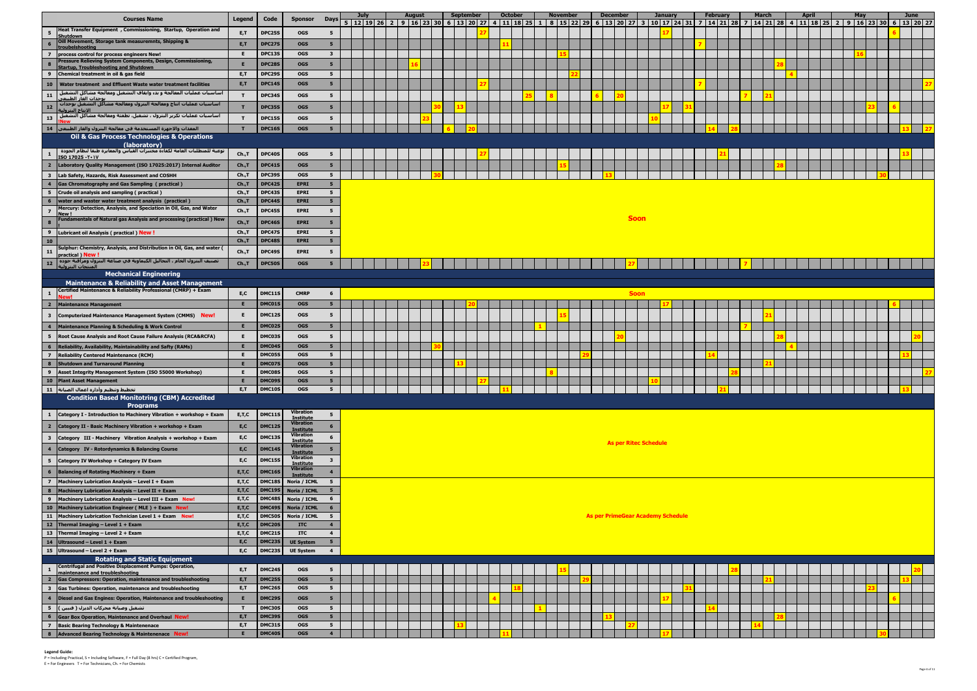|                                                    | <b>Courses Name</b>                                                                                                            | Legend             | Code             | <b>Sponsor</b>                       | <b>Days</b>                       | July | 12 19 26 | August | 16 23 30 | September<br>13 20 | 127 | <b>October</b><br>  11   18   25   1 |  | <b>November</b><br>8 15 22 29 | <b>December</b><br>6 13 20 27 |                                          | <b>January</b><br>3   10   17   24   31   7 |  | <b>February</b><br>14212877 | <b>March</b> | <b>April</b> |  | May | 14   21   28   4   11   18   25   2   9   16   23   30 | June<br>$6 \mid 13 \mid 20 \mid 27$ |  |
|----------------------------------------------------|--------------------------------------------------------------------------------------------------------------------------------|--------------------|------------------|--------------------------------------|-----------------------------------|------|----------|--------|----------|--------------------|-----|--------------------------------------|--|-------------------------------|-------------------------------|------------------------------------------|---------------------------------------------|--|-----------------------------|--------------|--------------|--|-----|--------------------------------------------------------|-------------------------------------|--|
|                                                    | Heat Transfer Equipment, Commissioning, Startup, Operation and                                                                 | E,T                | DPC25S           | <b>OGS</b>                           | 5                                 |      |          |        |          |                    |     |                                      |  |                               |                               |                                          |                                             |  |                             |              |              |  |     |                                                        |                                     |  |
| $6\phantom{1}$                                     | Shutdown<br>Oill Movement, Storage tank measuremnts, Shipping &                                                                | E,T                | <b>DPC279</b>    | <b>OGS</b>                           | 5 <sup>5</sup>                    |      |          |        |          |                    |     |                                      |  |                               |                               |                                          |                                             |  |                             |              |              |  |     |                                                        |                                     |  |
| $\overline{z}$                                     | process control for process engineers New!                                                                                     |                    | <b>DPC13S</b>    | <b>OGS</b>                           | $\mathbf{3}$                      |      |          |        |          |                    |     |                                      |  |                               |                               |                                          |                                             |  |                             |              |              |  |     |                                                        |                                     |  |
| $\bf{8}$                                           | Pressure Relieving System Components, Design, Commissioning,                                                                   |                    | <b>DPC289</b>    | <b>OGS</b>                           | 5                                 |      |          |        |          |                    |     |                                      |  |                               |                               |                                          |                                             |  |                             |              |              |  |     |                                                        |                                     |  |
| 9                                                  | <b>Startup, Troubleshooting and Shutdow</b><br>Chemical treatment in oil & gas field                                           | E,T                | DPC29S           | <b>OGS</b>                           | 5                                 |      |          |        |          |                    |     |                                      |  |                               |                               |                                          |                                             |  |                             |              |              |  |     |                                                        |                                     |  |
| 10                                                 | Water treatment and Effluent Waste water treatment facilities                                                                  | E,T                | <b>DPC14S</b>    | <b>OGS</b>                           | $5^{\circ}$                       |      |          |        |          |                    |     |                                      |  |                               |                               |                                          |                                             |  |                             |              |              |  |     |                                                        |                                     |  |
| 11                                                 | اساسيات عمليات المعالجة و بدء وايقاف التشغيل ومعالجة مشاكل التشغيل                                                             | $\mathbf{T}$       | DPC34S           | <b>OGS</b>                           | 5                                 |      |          |        |          |                    |     |                                      |  |                               |                               |                                          |                                             |  |                             |              |              |  |     |                                                        |                                     |  |
| 12                                                 | يوحدات الغاز الطبيعم<br>اساسيات عمليات انتاج ومعالجة البترول ومعالجة مشاكل التشغيل بوحدات                                      | $\mathbf{r}$       |                  |                                      | 5                                 |      |          |        |          |                    |     |                                      |  |                               |                               |                                          |                                             |  |                             |              |              |  |     |                                                        |                                     |  |
|                                                    | الانتاج البترولية<br>اساسيات عمليات تكرير البترول ، تشغيل، تطفئة ومعالجة مشاكل التشغيل                                         |                    | <b>DPC35S</b>    | <b>OGS</b>                           |                                   |      |          |        |          |                    |     |                                      |  |                               |                               |                                          |                                             |  |                             |              |              |  |     |                                                        |                                     |  |
| <b>13</b>                                          |                                                                                                                                |                    | <b>DPC15S</b>    | <b>OGS</b>                           | 5                                 |      |          |        |          |                    |     |                                      |  |                               |                               |                                          |                                             |  |                             |              |              |  |     |                                                        |                                     |  |
|                                                    | المعدات والاجهزة المستخدمة في معالجة البترول والغاز الطبيعي  14<br>Oil & Gas Process Technologies & Operations                 |                    | <b>DPC16S</b>    | <b>OGS</b>                           | 5 <sup>5</sup>                    |      |          |        |          |                    |     |                                      |  |                               |                               |                                          |                                             |  |                             |              |              |  |     |                                                        |                                     |  |
|                                                    | (laboratory)                                                                                                                   |                    |                  |                                      |                                   |      |          |        |          |                    |     |                                      |  |                               |                               |                                          |                                             |  |                             |              |              |  |     |                                                        |                                     |  |
| $\mathbf{1}$                                       | توعية للمتطلبات العامة لكفاءة مختبرات القياس والمعايرة طبقا لنظام الجودة<br>ISO 17025 - T . IV                                 | Ch., T             | DPC40S           | <b>OGS</b>                           | 5                                 |      |          |        |          |                    |     |                                      |  |                               |                               |                                          |                                             |  |                             |              |              |  |     |                                                        |                                     |  |
| $\overline{2}$                                     | Laboratory Quality Management (ISO 17025:2017) Internal Auditor                                                                | Ch., T             | <b>DPC41S</b>    | <b>OGS</b>                           | 5                                 |      |          |        |          |                    |     |                                      |  |                               |                               |                                          |                                             |  |                             |              |              |  |     |                                                        |                                     |  |
| $\overline{\mathbf{3}}$                            | Lab Safety, Hazards, Risk Assessment and COSHH                                                                                 | Ch., T             | <b>DPC39S</b>    | <b>OGS</b>                           | 5                                 |      |          |        |          |                    |     |                                      |  |                               |                               |                                          |                                             |  |                             |              |              |  |     |                                                        |                                     |  |
| $\overline{4}$                                     | <b>Gas Chromatography and Gas Sampling (practical)</b>                                                                         | Ch., T             | DPC42S           | <b>EPRI</b>                          | 5 <sub>1</sub>                    |      |          |        |          |                    |     |                                      |  |                               |                               |                                          |                                             |  |                             |              |              |  |     |                                                        |                                     |  |
| 5                                                  | Crude oil analysis and sampling (practical)                                                                                    | Ch., T             | DPC43S           | <b>EPRI</b>                          | 5 <sub>5</sub>                    |      |          |        |          |                    |     |                                      |  |                               |                               |                                          |                                             |  |                             |              |              |  |     |                                                        |                                     |  |
| 6                                                  | water and waster water treatment analysis (practical)<br>Mercury: Detection, Analysis, and Speciation in Oil, Gas, and Water   | Ch., T             | DPC44S           | <b>EPRI</b>                          | 5 <sub>1</sub>                    |      |          |        |          |                    |     |                                      |  |                               |                               |                                          |                                             |  |                             |              |              |  |     |                                                        |                                     |  |
| $\overline{z}$                                     | New!                                                                                                                           | Ch., T             | DPC45S           | <b>EPRI</b>                          | 5                                 |      |          |        |          |                    |     |                                      |  |                               |                               | <b>Soon</b>                              |                                             |  |                             |              |              |  |     |                                                        |                                     |  |
| $\bf{8}$                                           | Fundamentals of Natural gas Analysis and processing (practical) New                                                            | Ch., T             | <b>DPC46S</b>    | <b>EPRI</b>                          | 5 <sup>5</sup>                    |      |          |        |          |                    |     |                                      |  |                               |                               |                                          |                                             |  |                             |              |              |  |     |                                                        |                                     |  |
| $\overline{9}$                                     | Lubricant oil Analysis (practical) New                                                                                         | Ch., T             | DPC47S           | <b>EPRI</b>                          | $5^{\circ}$                       |      |          |        |          |                    |     |                                      |  |                               |                               |                                          |                                             |  |                             |              |              |  |     |                                                        |                                     |  |
| 10                                                 | Sulphur: Chemistry, Analysis, and Distribution in Oil, Gas, and water                                                          | Ch., T             | <b>DPC489</b>    | <b>EPRI</b>                          | 5 <sub>1</sub>                    |      |          |        |          |                    |     |                                      |  |                               |                               |                                          |                                             |  |                             |              |              |  |     |                                                        |                                     |  |
| 11                                                 | practical ) New                                                                                                                | Ch., T             | <b>DPC49S</b>    | <b>EPRI</b>                          | 5                                 |      |          |        |          |                    |     |                                      |  |                               |                               |                                          |                                             |  |                             |              |              |  |     |                                                        |                                     |  |
| <b>12</b>                                          | تصنيف البترول الخام ، التحاليل الكيماوية في صناعة البترول ومراقبة جوده  <br>المنتحات البترولية                                 | Ch., T             | DPC50S           | <b>OGS</b>                           | 5                                 |      |          |        |          |                    |     |                                      |  |                               |                               |                                          |                                             |  |                             |              |              |  |     |                                                        |                                     |  |
|                                                    | <b>Mechanical Engineering</b>                                                                                                  |                    |                  |                                      |                                   |      |          |        |          |                    |     |                                      |  |                               |                               |                                          |                                             |  |                             |              |              |  |     |                                                        |                                     |  |
|                                                    | <b>Maintenance &amp; Reliability and Asset Management</b><br>Certified Maintenance & Reliability Professional (CMRP) + Exam    |                    |                  |                                      |                                   |      |          |        |          |                    |     |                                      |  |                               |                               |                                          |                                             |  |                             |              |              |  |     |                                                        |                                     |  |
| $\mathbf{1}$                                       | New!                                                                                                                           | E, C               | DMC11S           | <b>CMRP</b>                          | - 6                               |      |          |        |          |                    |     |                                      |  |                               |                               | <b>Soon</b>                              |                                             |  |                             |              |              |  |     |                                                        |                                     |  |
| $\overline{\mathbf{2}}$                            | <b>Maintenance Management</b>                                                                                                  | E                  | DMC01S           | <b>OGS</b>                           | 5 <sub>5</sub>                    |      |          |        |          |                    |     |                                      |  |                               |                               |                                          |                                             |  |                             |              |              |  |     |                                                        |                                     |  |
| $\overline{\mathbf{3}}$                            | Computerized Maintenance Management System (CMMS) New!                                                                         | Е                  | <b>DMC12S</b>    | <b>OGS</b>                           | 5                                 |      |          |        |          |                    |     |                                      |  |                               |                               |                                          |                                             |  |                             |              |              |  |     |                                                        |                                     |  |
| $\overline{4}$                                     | <b>Maintenance Planning &amp; Scheduling &amp; Work Control</b>                                                                |                    | DMC02S           | <b>OGS</b>                           | $5^{\circ}$                       |      |          |        |          |                    |     |                                      |  |                               |                               |                                          |                                             |  |                             |              |              |  |     |                                                        |                                     |  |
| 5                                                  | <b>Root Cause Analysis and Root Cause Failure Analysis (RCA&amp;RCFA)</b>                                                      | Е                  | <b>DMC03S</b>    | <b>OGS</b>                           | 5                                 |      |          |        |          |                    |     |                                      |  |                               |                               |                                          |                                             |  |                             |              |              |  |     |                                                        |                                     |  |
| 6                                                  | Reliability, Availability, Maintainability and Safty (RAMs)                                                                    |                    | DMC04S           | <b>OGS</b>                           | 5                                 |      |          |        |          |                    |     |                                      |  |                               |                               |                                          |                                             |  |                             |              |              |  |     |                                                        |                                     |  |
| $\overline{z}$                                     | <b>Reliability Centered Maintenance (RCM)</b>                                                                                  |                    | DMC05S           | <b>OGS</b>                           | 5 <sub>1</sub>                    |      |          |        |          |                    |     |                                      |  |                               |                               |                                          |                                             |  |                             |              |              |  |     |                                                        |                                     |  |
| 8                                                  | Shutdown and Turnaround Planning                                                                                               |                    | DMC079<br>DMC08S | <b>OGS</b><br><b>OGS</b>             | 5 <sub>5</sub><br>5               |      |          |        |          |                    |     |                                      |  |                               |                               |                                          |                                             |  |                             |              |              |  |     |                                                        |                                     |  |
| 9                                                  | Asset Integrity Management System (ISO 55000 Workshop)<br>10 Plant Asset Management                                            |                    | DMC09S           | <b>OGS</b>                           |                                   |      |          |        |          |                    |     |                                      |  |                               |                               |                                          |                                             |  |                             |              |              |  |     |                                                        |                                     |  |
|                                                    | تخطيط وتنظيم وأداره اعمال الصيانة ] 11                                                                                         | E,T                | DMC10S           | <b>OGS</b>                           | 5                                 |      |          |        |          |                    |     |                                      |  |                               |                               |                                          |                                             |  |                             |              |              |  |     |                                                        |                                     |  |
|                                                    | <b>Condition Based Monitotring (CBM) Accredited</b>                                                                            |                    |                  |                                      |                                   |      |          |        |          |                    |     |                                      |  |                               |                               |                                          |                                             |  |                             |              |              |  |     |                                                        |                                     |  |
|                                                    | <b>Programs</b>                                                                                                                |                    |                  | <b>Vibration</b>                     |                                   |      |          |        |          |                    |     |                                      |  |                               |                               |                                          |                                             |  |                             |              |              |  |     |                                                        |                                     |  |
| $\mathbf{1}$                                       | Category I - Introduction to Machinery Vibration + workshop + Exam                                                             | E, T, C            | <b>DMC11S</b>    | <b>Institute</b><br><b>Vibration</b> | 5                                 |      |          |        |          |                    |     |                                      |  |                               |                               |                                          |                                             |  |                             |              |              |  |     |                                                        |                                     |  |
| $\overline{\mathbf{2}}$                            | Category II - Basic Machinery Vibration + workshop + Exam                                                                      | E,C                | <b>DMC12S</b>    | <b>Institute</b>                     | 6                                 |      |          |        |          |                    |     |                                      |  |                               |                               |                                          |                                             |  |                             |              |              |  |     |                                                        |                                     |  |
| $\overline{\mathbf{3}}$                            | Category III - Machinery Vibration Analysis + workshop + Exam                                                                  | E,C                | DMC13S           | <b>Vibration</b><br><u>Institute</u> | 6                                 |      |          |        |          |                    |     |                                      |  |                               |                               | <b>As per Ritec Schedule</b>             |                                             |  |                             |              |              |  |     |                                                        |                                     |  |
| $\overline{4}$                                     | Category IV - Rotordynamics & Balancing Course                                                                                 | E, C               | DMC14S           | Vibration<br><b>Institute</b>        | 5 <sub>1</sub>                    |      |          |        |          |                    |     |                                      |  |                               |                               |                                          |                                             |  |                             |              |              |  |     |                                                        |                                     |  |
| 5                                                  | Category IV Workshop + Category IV Exam                                                                                        | E,C                | DMC15S           | Vibration<br><b>Institute</b>        | $\mathbf{3}$                      |      |          |        |          |                    |     |                                      |  |                               |                               |                                          |                                             |  |                             |              |              |  |     |                                                        |                                     |  |
|                                                    | 6 Balancing of Rotating Machinery + Exam                                                                                       | E, T, C            | DMC16S           | Vibration<br><u>Institute</u>        | $\overline{4}$                    |      |          |        |          |                    |     |                                      |  |                               |                               |                                          |                                             |  |                             |              |              |  |     |                                                        |                                     |  |
| $\overline{z}$                                     | Machinery Lubrication Analysis - Level I + Exam                                                                                | E, T, C            | <b>DMC18S</b>    | Noria / ICML                         | 5                                 |      |          |        |          |                    |     |                                      |  |                               |                               |                                          |                                             |  |                             |              |              |  |     |                                                        |                                     |  |
| $\bf{8}$                                           | Machinery Lubrication Analysis - Level II + Exam                                                                               | E, T, C            | DMC19S           | Noria / ICML                         | 5 <sub>5</sub>                    |      |          |        |          |                    |     |                                      |  |                               |                               |                                          |                                             |  |                             |              |              |  |     |                                                        |                                     |  |
| $\overline{9}$                                     | Machinery Lubrication Analysis - Level III + Exam New!                                                                         | E, T, C            | DMC48S           | Noria / ICML                         | 6                                 |      |          |        |          |                    |     |                                      |  |                               |                               |                                          |                                             |  |                             |              |              |  |     |                                                        |                                     |  |
|                                                    | 10   Machinery Lubrication Engineer (MLE) + Exam New!<br>11   Machinery Lubrication Technician Level 1 + Exam New!             | E, T, C<br>E, T, C | DMC49S<br>DMC50S | Noria / ICML<br>Noria / ICML         | $6\overline{6}$<br>5 <sub>5</sub> |      |          |        |          |                    |     |                                      |  |                               |                               | <b>As per PrimeGear Academy Schedule</b> |                                             |  |                             |              |              |  |     |                                                        |                                     |  |
|                                                    | 12 Thermal Imaging $-$ Level 1 + Exam                                                                                          | E, T, C            | DMC20S           | <b>ITC</b>                           | $\overline{4}$                    |      |          |        |          |                    |     |                                      |  |                               |                               |                                          |                                             |  |                             |              |              |  |     |                                                        |                                     |  |
|                                                    | 13 Thermal Imaging - Level 2 + Exam                                                                                            | E, T, C            | DMC21S           | <b>ITC</b>                           | $\overline{4}$                    |      |          |        |          |                    |     |                                      |  |                               |                               |                                          |                                             |  |                             |              |              |  |     |                                                        |                                     |  |
|                                                    | 14 Ultrasound - Level $1 + Exam$                                                                                               | E,C                | DMC23S           | <b>UE System</b>                     | 5 <sub>1</sub>                    |      |          |        |          |                    |     |                                      |  |                               |                               |                                          |                                             |  |                             |              |              |  |     |                                                        |                                     |  |
|                                                    | 15 Ultrasound - Level 2 + Exam                                                                                                 | E,C                | DMC23S           | <b>UE System</b>                     | $\overline{4}$                    |      |          |        |          |                    |     |                                      |  |                               |                               |                                          |                                             |  |                             |              |              |  |     |                                                        |                                     |  |
|                                                    | <b>Rotating and Static Equipment</b><br>Centrifugal and Positive Displacement Pumps: Operation,                                |                    |                  |                                      |                                   |      |          |        |          |                    |     |                                      |  |                               |                               |                                          |                                             |  |                             |              |              |  |     |                                                        |                                     |  |
| $\mathbf{1}$                                       | maintenance and troubleshooting                                                                                                | E, T               | DMC24S           | <b>OGS</b>                           | 5                                 |      |          |        |          |                    |     |                                      |  |                               |                               |                                          |                                             |  |                             |              |              |  |     |                                                        |                                     |  |
| $\overline{\mathbf{2}}$<br>$\overline{\mathbf{3}}$ | Gas Compressors: Operation, maintenance and troubleshooting<br><b>Gas Turbines: Operation, maintenance and troubleshooting</b> | E,T<br>E,T         | DMC25S<br>DMC26S | <b>OGS</b><br><b>OGS</b>             | 5 <sub>1</sub><br>5 <sub>5</sub>  |      |          |        |          |                    |     |                                      |  |                               |                               |                                          |                                             |  |                             |              |              |  |     |                                                        |                                     |  |
| $\overline{4}$                                     | Diesel and Gas Engines: Operation, Maintenance and troubleshooting                                                             |                    | DMC29S           | <b>OGS</b>                           | 5                                 |      |          |        |          |                    |     |                                      |  |                               |                               |                                          |                                             |  |                             |              |              |  |     |                                                        |                                     |  |
| 5 <sub>5</sub>                                     | تشغيل وصيانة محركات الديزل ( فنيين )                                                                                           |                    | DMC30S           | <b>OGS</b>                           | 5                                 |      |          |        |          |                    |     |                                      |  |                               |                               |                                          |                                             |  |                             |              |              |  |     |                                                        |                                     |  |
| 6                                                  | <b>Gear Box Operation, Maintenance and Overhaul New!</b>                                                                       | E,T                | DMC39S           | <b>OGS</b>                           | 5 <sub>1</sub>                    |      |          |        |          |                    |     |                                      |  |                               |                               |                                          |                                             |  |                             |              |              |  |     |                                                        |                                     |  |
| $\overline{z}$                                     | <b>Basic Bearing Technology &amp; Maintenenace</b>                                                                             | E,T                | DMC31S           | OGS                                  | 5 <sub>5</sub>                    |      |          |        |          |                    |     |                                      |  |                               |                               |                                          |                                             |  |                             |              |              |  |     |                                                        |                                     |  |
| $\bf{8}$                                           | Advanced Bearing Technology & Maintenenace New!                                                                                |                    | DMC40S           | <b>OGS</b>                           | $\overline{4}$                    |      |          |        |          |                    |     |                                      |  |                               |                               |                                          |                                             |  |                             |              |              |  |     |                                                        |                                     |  |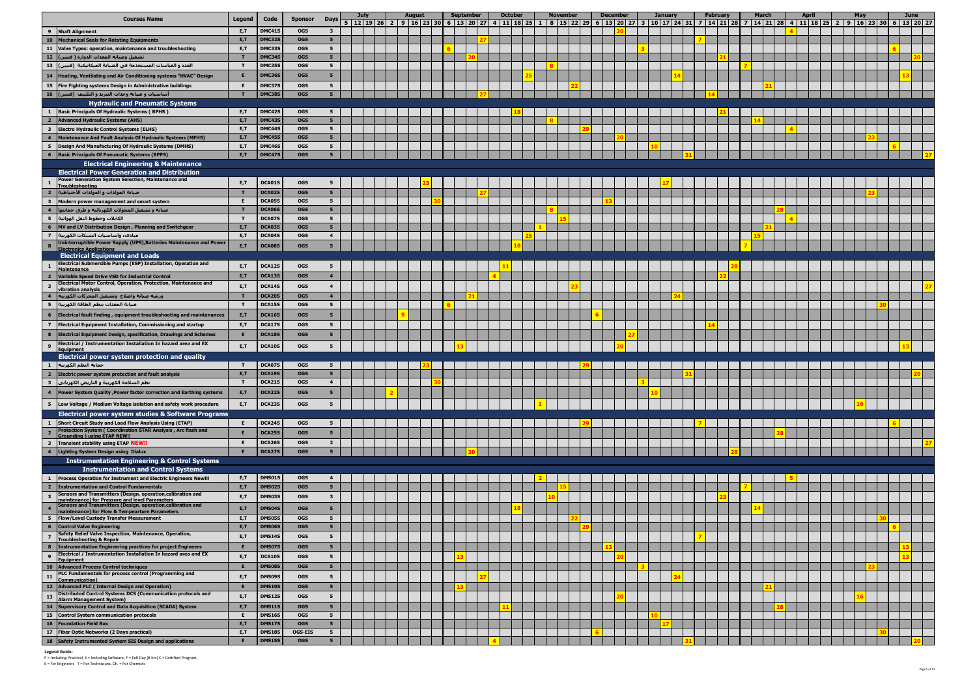|                                           | <b>Courses Name</b>                                                                                                                                              | <b>Legend</b> | Code                    | <b>Sponsor</b>           | <b>Days</b>                      | <b>July</b><br>$5   12   19   26   2   9   16   23   30$ | <b>August</b> | September<br>6 13 20 27 | <b>October</b><br>4   11   18   25   1 | <b>November</b> | 8 15 22 29 | <b>December</b><br>$6 \mid 13 \mid 20 \mid 27$ | <b>January</b><br>3 10 17 24 31 | <b>February</b><br>7 14 21 28 7 | March | 14   21   28   4   11   18   25   2 | <b>April</b> | May<br>9   16   23   30 | June<br>6 13 20 27 |  |
|-------------------------------------------|------------------------------------------------------------------------------------------------------------------------------------------------------------------|---------------|-------------------------|--------------------------|----------------------------------|----------------------------------------------------------|---------------|-------------------------|----------------------------------------|-----------------|------------|------------------------------------------------|---------------------------------|---------------------------------|-------|-------------------------------------|--------------|-------------------------|--------------------|--|
|                                           | 9 Shaft Alignment                                                                                                                                                | E,T           | DMC41S                  | <b>OGS</b>               | $\overline{\mathbf{3}}$          |                                                          |               |                         |                                        |                 |            |                                                |                                 |                                 |       |                                     |              |                         |                    |  |
|                                           | 10 Mechanical Seals for Rotating Equipments                                                                                                                      | E,T           | DMC32S                  | <b>OGS</b>               | 5 <sub>1</sub>                   |                                                          |               |                         |                                        |                 |            |                                                |                                 |                                 |       |                                     |              |                         |                    |  |
|                                           | 11 Valve Types: operation, maintenance and troubleshooting                                                                                                       | E,T           | DMC33S                  | <b>OGS</b>               | 5 <sub>1</sub>                   |                                                          |               |                         |                                        |                 |            |                                                |                                 |                                 |       |                                     |              |                         |                    |  |
|                                           | تشغيل وصيانة المعدات الدوارة ( فنيين) <mark>_ 12</mark> _                                                                                                        |               | <b>DMC349</b>           | <b>OGS</b>               | 5 <sub>5</sub>                   |                                                          |               |                         |                                        |                 |            |                                                |                                 |                                 |       |                                     |              |                         |                    |  |
|                                           | العدد و القياسات المستخدمة في الصيانة الميكانيكية  (فنيين)  13                                                                                                   | $\mathbf{T}$  | <b>DMC35S</b>           | <b>OGS</b>               | 5 <sub>1</sub>                   |                                                          |               |                         |                                        |                 |            |                                                |                                 |                                 |       |                                     |              |                         |                    |  |
| 14                                        | Heating, Ventilating and Air Conditioning systems "HVAC" Design                                                                                                  | E             | DMC36S                  | <b>OGS</b>               | 5 <sub>1</sub>                   |                                                          |               |                         |                                        |                 |            |                                                |                                 |                                 |       |                                     |              |                         |                    |  |
|                                           | 15 Fire Fighting systems Design in Administrative buildings                                                                                                      | E             | DMC37S                  | <b>OGS</b>               | 5 <sub>1</sub>                   |                                                          |               |                         |                                        |                 |            |                                                |                                 |                                 |       |                                     |              |                         |                    |  |
|                                           | أساسيات و صيانة وحدات التبريد و التكييف  (فنيين)   16                                                                                                            |               | <b>DMC38</b>            | <b>OGS</b>               | 5 <sub>1</sub>                   |                                                          |               |                         |                                        |                 |            |                                                |                                 |                                 |       |                                     |              |                         |                    |  |
|                                           | <b>Hydraulic and Pneumatic Systems</b><br><b>Basic Principals Of Hydraulic Systems (BPHS)</b>                                                                    | E,T           | DMC42S                  | <b>OGS</b>               | 5                                |                                                          |               |                         |                                        |                 |            |                                                |                                 |                                 |       |                                     |              |                         |                    |  |
| $\overline{2}$                            | <b>Advanced Hydraulic Systems (AHS)</b>                                                                                                                          | E, T          | <b>DMC43S</b>           | <b>OGS</b>               | 5 <sub>1</sub>                   |                                                          |               |                         |                                        |                 |            |                                                |                                 |                                 |       |                                     |              |                         |                    |  |
| $\mathbf{3}$                              | <b>Electro Hydraulic Control Systems (ELHS)</b>                                                                                                                  | E,T           | DMC44S                  | <b>OGS</b>               | 5 <sub>5</sub>                   |                                                          |               |                         |                                        |                 |            |                                                |                                 |                                 |       |                                     |              |                         |                    |  |
| $\overline{4}$                            | Maintenance And Fault Analysis Of Hydraulic Systems (MFHS)                                                                                                       | E,T           | <b>DMC45S</b>           | <b>OGS</b>               | 5 <sub>1</sub>                   |                                                          |               |                         |                                        |                 |            |                                                |                                 |                                 |       |                                     |              |                         |                    |  |
| 5                                         | Design And Manufacturing Of Hydraulic Systems (DMHS)                                                                                                             | E,T           | DMC46S                  | <b>OGS</b>               | 5 <sub>1</sub>                   |                                                          |               |                         |                                        |                 |            |                                                |                                 |                                 |       |                                     |              |                         |                    |  |
|                                           | <b>Basic Principals Of Pneumatic Systems (BPPS)</b>                                                                                                              | E.T.          | <b>DMC47S</b>           | <b>OGS</b>               | 5 <sup>1</sup>                   |                                                          |               |                         |                                        |                 |            |                                                |                                 |                                 |       |                                     |              |                         |                    |  |
|                                           | <b>Electrical Engineering &amp; Maintenance</b>                                                                                                                  |               |                         |                          |                                  |                                                          |               |                         |                                        |                 |            |                                                |                                 |                                 |       |                                     |              |                         |                    |  |
|                                           | <b>Electrical Power Generation and Distribution</b><br>Power Generation System Selection, Maintenance and                                                        |               |                         |                          |                                  |                                                          |               |                         |                                        |                 |            |                                                |                                 |                                 |       |                                     |              |                         |                    |  |
|                                           | <b>Troubleshooting</b>                                                                                                                                           | E,T           | DCA01S                  | <b>OGS</b>               | 5                                |                                                          |               |                         |                                        |                 |            |                                                |                                 |                                 |       |                                     |              |                         |                    |  |
| $\overline{2}$                            | صيانة المولدات و المولدات الأحتياطية                                                                                                                             |               | DCA02S                  | <b>OGS</b>               | 5 <sub>5</sub>                   |                                                          |               |                         |                                        |                 |            |                                                |                                 |                                 |       |                                     |              |                         |                    |  |
| $\overline{\mathbf{3}}$<br>$\overline{4}$ | Modern power management and smart system                                                                                                                         |               | DCA05S<br>DCA06S        | <b>OGS</b>               | 5 <sub>1</sub>                   |                                                          |               |                         |                                        |                 |            |                                                |                                 |                                 |       |                                     |              |                         |                    |  |
|                                           | صيانة و تشغيل المحولات الكهربائية و طرق حمايتها <br>الكابلات وخطوط النقل الهوائية إ ـ 5                                                                          | $\mathbf{r}$  | DCA07S                  | <b>OGS</b><br><b>OGS</b> | 5 <sub>5</sub><br>5 <sub>1</sub> |                                                          |               |                         |                                        |                 |            |                                                |                                 |                                 |       |                                     |              |                         |                    |  |
| 6                                         | MV and LV Distribution Design, Planning and Switchgear                                                                                                           | E,T           | DCA03S                  | <b>OGS</b>               | 5 <sub>1</sub>                   |                                                          |               |                         |                                        |                 |            |                                                |                                 |                                 |       |                                     |              |                         |                    |  |
| $\overline{z}$                            | مبادىء واساسيات الشبكات الكهربية                                                                                                                                 | E,T           | DCA04S                  | <b>OGS</b>               | $\overline{\mathbf{4}}$          |                                                          |               |                         |                                        |                 |            |                                                |                                 |                                 |       |                                     |              |                         |                    |  |
| $\bf{8}$                                  | Uninterruptible Power Supply (UPS), Batteries Maintenance and Power                                                                                              | E,T           | DCA08S                  | <b>OGS</b>               | 5                                |                                                          |               |                         |                                        |                 |            |                                                |                                 |                                 |       |                                     |              |                         |                    |  |
|                                           | <b>Electronics Applications</b><br><b>Electrical Equipment and Loads</b>                                                                                         |               |                         |                          |                                  |                                                          |               |                         |                                        |                 |            |                                                |                                 |                                 |       |                                     |              |                         |                    |  |
| $\mathbf{1}$                              | Electrical Submersible Pumps (ESP) Installation, Operation and                                                                                                   | E,T           | DCA12S                  | <b>OGS</b>               | 5                                |                                                          |               |                         |                                        |                 |            |                                                |                                 |                                 |       |                                     |              |                         |                    |  |
| $\overline{2}$                            | Maintenance<br>Variable Speed Drive VSD for Industrial Control                                                                                                   | E,T           | DCA13S                  | <b>OGS</b>               | $\overline{\mathbf{4}}$          |                                                          |               |                         |                                        |                 |            |                                                |                                 |                                 |       |                                     |              |                         |                    |  |
| $\overline{\mathbf{3}}$                   | Electrical Motor Control, Operation, Protection, Maintenance and                                                                                                 | E,T           | DCA14S                  | <b>OGS</b>               | $\overline{\mathbf{4}}$          |                                                          |               |                         |                                        |                 |            |                                                |                                 |                                 |       |                                     |              |                         |                    |  |
|                                           | vibration analysis                                                                                                                                               |               | DCA20S                  | <b>OGS</b>               | $\overline{\mathbf{4}}$          |                                                          |               |                         |                                        |                 |            |                                                |                                 |                                 |       |                                     |              |                         |                    |  |
| 5                                         | ورشة صيانة واصلاح وتشغيل المحركات الكهربية <br>صيانة المعدات بنظم الطاقة الكهربية                                                                                | T             | <b>DCA15S</b>           | <b>OGS</b>               | 5 <sub>1</sub>                   |                                                          |               |                         |                                        |                 |            |                                                |                                 |                                 |       |                                     |              |                         |                    |  |
| 6                                         | Electrical fault finding, equipment troubleshooting and maintenances                                                                                             | E,T           | <b>DCA16S</b>           | <b>OGS</b>               | 5                                |                                                          |               |                         |                                        |                 |            |                                                |                                 |                                 |       |                                     |              |                         |                    |  |
| $\overline{7}$                            | <b>Electrical Equipment Installation, Commissioning and startup</b>                                                                                              | E,T           | DCA17S                  | <b>OGS</b>               | 5 <sub>1</sub>                   |                                                          |               |                         |                                        |                 |            |                                                |                                 |                                 |       |                                     |              |                         |                    |  |
| 8                                         | <b>Electrical Equipment Design, specification, Drawings and Schemes</b>                                                                                          |               | DCA18S                  | <b>OGS</b>               | 5                                |                                                          |               |                         |                                        |                 |            |                                                |                                 |                                 |       |                                     |              |                         |                    |  |
|                                           | Electrical / Instrumentation Installation In hazard area and EX                                                                                                  |               |                         |                          |                                  |                                                          |               |                         |                                        |                 |            |                                                |                                 |                                 |       |                                     |              |                         |                    |  |
| $\overline{9}$                            | Equipment                                                                                                                                                        | E,T           | DCA10S                  | <b>OGS</b>               | 5                                |                                                          |               |                         |                                        |                 |            |                                                |                                 |                                 |       |                                     |              |                         |                    |  |
|                                           | <b>Electrical power system protection and quality</b>                                                                                                            |               |                         |                          |                                  |                                                          |               |                         |                                        |                 |            |                                                |                                 |                                 |       |                                     |              |                         |                    |  |
| $\mathbf{1}$<br>$\overline{2}$            | حماية النظم الكهربية <br>Electric power system protection and fault analysis                                                                                     | E,T           | DCA07S<br><b>DCA19S</b> | <b>OGS</b><br><b>OGS</b> | 5<br>5 <sub>5</sub>              |                                                          |               |                         |                                        |                 |            |                                                |                                 |                                 |       |                                     |              |                         |                    |  |
| $\mathbf{3}$                              | نظم السلامة الكهربية و التأريض الكهربائي إ                                                                                                                       |               | DCA21S                  | <b>OGS</b>               | $\overline{4}$                   |                                                          |               |                         |                                        |                 |            |                                                |                                 |                                 |       |                                     |              |                         |                    |  |
| $\overline{4}$                            | Power System Quality , Power factor correction and Earthing systems                                                                                              | E,T           | DCA22S                  | <b>OGS</b>               | 5                                |                                                          |               |                         |                                        |                 |            |                                                |                                 |                                 |       |                                     |              |                         |                    |  |
|                                           | 5 Low Voltage / Medium Voltage isolation and safety work procedure                                                                                               |               | DCA23S                  |                          | 5                                |                                                          |               |                         |                                        |                 |            |                                                |                                 |                                 |       |                                     |              |                         |                    |  |
|                                           |                                                                                                                                                                  | E,T           |                         | <b>OGS</b>               |                                  |                                                          |               |                         |                                        |                 |            |                                                |                                 |                                 |       |                                     |              |                         |                    |  |
| $\mathbf{1}$                              | Electrical power system studies & Software Programs<br>Short Circuit Study and Load Flow Analysis Using (ETAP)                                                   | E             | DCA24S                  | <b>OGS</b>               | 5                                |                                                          |               |                         |                                        |                 |            |                                                |                                 |                                 |       |                                     |              |                         |                    |  |
|                                           | Protection System ( Coordination STAR Analysis, Arc flash and                                                                                                    | Е.            | DCA25S                  | <b>OGS</b>               | 5 <sub>5</sub>                   |                                                          |               |                         |                                        |                 |            |                                                |                                 |                                 |       |                                     |              |                         |                    |  |
|                                           | <b>Grounding ) using ETAP NEW!!</b>                                                                                                                              | E.            | DCA26S                  | <b>OGS</b>               | $2^{\circ}$                      |                                                          |               |                         |                                        |                 |            |                                                |                                 |                                 |       |                                     |              |                         |                    |  |
| $\mathbf{3}$<br>$\overline{4}$            | Transient stability using ETAP NEW!!<br>Lighting System Design using Dialux                                                                                      |               | DCA27S                  | <b>OGS</b>               | 5 <sub>1</sub>                   |                                                          |               |                         |                                        |                 |            |                                                |                                 |                                 |       |                                     |              |                         |                    |  |
|                                           | <b>Instrumentation Engineering &amp; Control Systems</b>                                                                                                         |               |                         |                          |                                  |                                                          |               |                         |                                        |                 |            |                                                |                                 |                                 |       |                                     |              |                         |                    |  |
|                                           | <b>Instrumentation and Control Systems</b>                                                                                                                       |               |                         |                          |                                  |                                                          |               |                         |                                        |                 |            |                                                |                                 |                                 |       |                                     |              |                         |                    |  |
|                                           | Process Operation for Instrument and Electric Engineers New!!!                                                                                                   | E,T           | DMS01S                  | <b>OGS</b>               | $\overline{4}$                   |                                                          |               |                         |                                        |                 |            |                                                |                                 |                                 |       |                                     |              |                         |                    |  |
| $\overline{2}$                            | <b>Instrumentation and Control Fundamentals</b>                                                                                                                  | E,T           | DMS02S                  | <b>OGS</b>               | 5 <sub>1</sub>                   |                                                          |               |                         |                                        |                 |            |                                                |                                 |                                 |       |                                     |              |                         |                    |  |
| $\mathbf{3}$                              | Sensors and Transmitters (Design, operation, calibration and                                                                                                     | E,T           | DMS03S                  | <b>OGS</b>               | $\mathbf{3}$                     |                                                          |               |                         |                                        |                 |            |                                                |                                 |                                 |       |                                     |              |                         |                    |  |
| $\overline{4}$                            | maintenance) for Pressure and level Parameters<br>Sensors and Transmitters (Design, operation, calibration and<br>maintenance) for Flow & Tempearture Parameters | E,T           | DMS04S                  | <b>OGS</b>               | 5                                |                                                          |               |                         |                                        |                 |            |                                                |                                 |                                 |       |                                     |              |                         |                    |  |
|                                           | 5   Flow/Level Custody Transfer Measurement                                                                                                                      | E,T           | <b>DMS05S</b>           | <b>OGS</b>               | 5                                |                                                          |               |                         |                                        |                 |            |                                                |                                 |                                 |       |                                     |              |                         |                    |  |
| $6\overline{6}$                           | <b>Control Valve Engineering</b>                                                                                                                                 | E,T           | DMS06S                  | <b>OGS</b>               | 5 <sub>5</sub>                   |                                                          |               |                         |                                        |                 |            |                                                |                                 |                                 |       |                                     |              |                         |                    |  |
| $\overline{7}$                            | Safety Relief Valve Inspection, Maintenance, Operation,<br><b>Troubleshooting &amp; Repair</b>                                                                   | E,T           | <b>DMS14S</b>           | <b>OGS</b>               | 5                                |                                                          |               |                         |                                        |                 |            |                                                |                                 |                                 |       |                                     |              |                         |                    |  |
|                                           | 8   Instrumentation Engineering practices for project Engineers                                                                                                  |               | DMS07S                  | <b>OGS</b>               | 5 <sub>1</sub>                   |                                                          |               |                         |                                        |                 |            |                                                |                                 |                                 |       |                                     |              |                         |                    |  |
| 9                                         | Electrical / Instrumentation Installation In hazard area and EX                                                                                                  | E,T           | DCA10S                  | <b>OGS</b>               | 5                                |                                                          |               |                         |                                        |                 |            |                                                |                                 |                                 |       |                                     |              |                         |                    |  |
|                                           | Equipment<br>10 Advanced Process Control techniques                                                                                                              |               | <b>DMS089</b>           | <b>OGS</b>               | 5 <sub>1</sub>                   |                                                          |               |                         |                                        |                 |            |                                                |                                 |                                 |       |                                     |              |                         |                    |  |
| 11                                        | PLC Fundamentals for process control (Programming and                                                                                                            | E,T           | DMS09S                  | <b>OGS</b>               | 5                                |                                                          |               |                         |                                        |                 |            |                                                |                                 |                                 |       |                                     |              |                         |                    |  |
|                                           | Communication)<br>12 Advanced PLC (Internal Design and Operation)                                                                                                |               | <b>DMS10S</b>           | <b>OGS</b>               | 5 <sub>5</sub>                   |                                                          |               |                         |                                        |                 |            |                                                |                                 |                                 |       |                                     |              |                         |                    |  |
| 13                                        | Distributed Control Systems DCS (Communication protocols and                                                                                                     | E,T           | <b>DMS12S</b>           | <b>OGS</b>               | 5                                |                                                          |               |                         |                                        |                 |            |                                                |                                 |                                 |       |                                     |              |                         |                    |  |
|                                           | <b>Alarm Management System)</b><br>14 Supervisory Control and Data Acquisition (SCADA) System                                                                    | E,T           | <b>DMS11S</b>           | <b>OGS</b>               | 5 <sub>5</sub>                   |                                                          |               |                         |                                        |                 |            |                                                |                                 |                                 |       |                                     |              |                         |                    |  |
|                                           | 15 Control System communication protocols                                                                                                                        | E.            | <b>DMS16S</b>           | <b>OGS</b>               | 5 <sub>1</sub>                   |                                                          |               |                         |                                        |                 |            |                                                |                                 |                                 |       |                                     |              |                         |                    |  |
|                                           | 16 Foundation Field Bus                                                                                                                                          | E,T           | <b>DMS17S</b>           | <b>OGS</b>               | 5 <sub>5</sub>                   |                                                          |               |                         |                                        |                 |            |                                                |                                 |                                 |       |                                     |              |                         |                    |  |
|                                           | 17   Fiber Optic Networks (2 Days practical)                                                                                                                     | E,T           | <b>DMS18S</b>           | <b>OGS-EIS</b>           | 5                                |                                                          |               |                         |                                        |                 |            |                                                |                                 |                                 |       |                                     |              |                         |                    |  |
|                                           | 18 Safety Instrumented System SIS Design and applications                                                                                                        |               | <b>DMS15S</b>           | <b>OGS</b>               | 5 <sub>1</sub>                   |                                                          |               |                         |                                        |                 |            |                                                |                                 |                                 |       |                                     |              |                         |                    |  |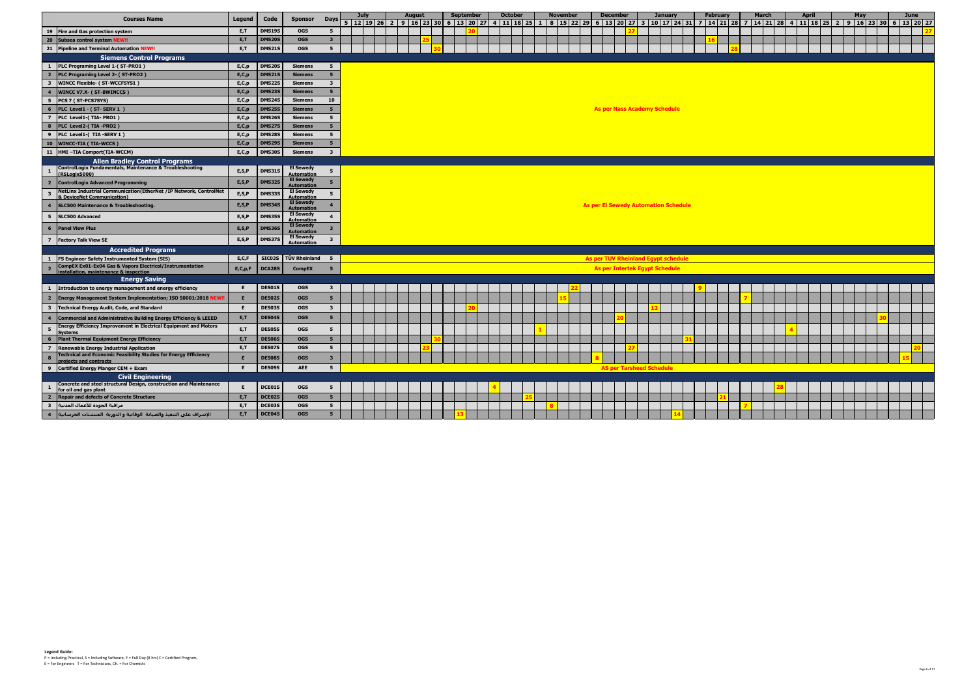|                                                                                                                                    |            |               |                                       |                         | <b>July</b>                                                                                                                                                                                                                     | <b>August</b> |  | <b>September</b> |  | <b>October</b> |  | <b>November</b> |  | <b>December</b> |                                             | <b>January</b> |  | <b>February</b> | <b>March</b> |  | <b>April</b> |  | May |  | June |  |
|------------------------------------------------------------------------------------------------------------------------------------|------------|---------------|---------------------------------------|-------------------------|---------------------------------------------------------------------------------------------------------------------------------------------------------------------------------------------------------------------------------|---------------|--|------------------|--|----------------|--|-----------------|--|-----------------|---------------------------------------------|----------------|--|-----------------|--------------|--|--------------|--|-----|--|------|--|
| <b>Courses Name</b>                                                                                                                | Legend     | Code          | <b>Sponsor</b>                        | <b>Davs</b>             | 5   12   19   26   2   9   16   23   30   6   13   20   27   4   11   18   25   1   8   15   22   29   6   13   20   27   3   10   17   24   31   7   14   21   28   7   14   21   28   4   11   18   25   2   9   16   23   30 |               |  |                  |  |                |  |                 |  |                 |                                             |                |  |                 |              |  |              |  |     |  |      |  |
| 19 Fire and Gas protection system                                                                                                  | E,T        | <b>DMS19S</b> | <b>OGS</b>                            | $5^{\circ}$             |                                                                                                                                                                                                                                 |               |  |                  |  |                |  |                 |  |                 |                                             |                |  |                 |              |  |              |  |     |  |      |  |
| 20 Subsea control system NEW!!                                                                                                     | E, T       | <b>DMS20S</b> | <b>OGS</b>                            | $\mathbf{3}$            |                                                                                                                                                                                                                                 |               |  |                  |  |                |  |                 |  |                 |                                             |                |  |                 |              |  |              |  |     |  |      |  |
| 21 Pipeline and Terminal Automation NEW!!                                                                                          | E, T       | <b>DMS21S</b> | <b>OGS</b>                            | $5^{\circ}$             |                                                                                                                                                                                                                                 |               |  |                  |  |                |  |                 |  |                 |                                             |                |  |                 |              |  |              |  |     |  |      |  |
| <b>Siemens Control Programs</b>                                                                                                    |            |               |                                       |                         |                                                                                                                                                                                                                                 |               |  |                  |  |                |  |                 |  |                 |                                             |                |  |                 |              |  |              |  |     |  |      |  |
| PLC Programing Level 1-(ST-PRO1)<br>$\mathbf{1}$                                                                                   | E, C, p    | <b>DMS20S</b> | <b>Siemens</b>                        | 5 <sub>1</sub>          |                                                                                                                                                                                                                                 |               |  |                  |  |                |  |                 |  |                 |                                             |                |  |                 |              |  |              |  |     |  |      |  |
| $\overline{2}$<br>PLC Programing Level 2- (ST-PRO2)                                                                                | E, C, p    | <b>DMS21S</b> | <b>Siemens</b>                        | 5 <sub>1</sub>          |                                                                                                                                                                                                                                 |               |  |                  |  |                |  |                 |  |                 |                                             |                |  |                 |              |  |              |  |     |  |      |  |
| <b>WINCC Flexible- (ST-WCCFSYS1)</b><br>$\overline{\mathbf{3}}$                                                                    | E, C, p    | <b>DMS22S</b> | <b>Siemens</b>                        | $\mathbf{3}$            |                                                                                                                                                                                                                                 |               |  |                  |  |                |  |                 |  |                 |                                             |                |  |                 |              |  |              |  |     |  |      |  |
| $\overline{4}$<br><b>WINCC V7.X- (ST-BWINCCS)</b>                                                                                  | E, C, p    | <b>DMS23S</b> | <b>Siemens</b>                        | 5 <sup>7</sup>          |                                                                                                                                                                                                                                 |               |  |                  |  |                |  |                 |  |                 |                                             |                |  |                 |              |  |              |  |     |  |      |  |
| $5\phantom{.0}$<br>PCS 7 (ST-PCS7SYS)                                                                                              | E, C, p    | <b>DMS24S</b> | <b>Siemens</b>                        | 10                      |                                                                                                                                                                                                                                 |               |  |                  |  |                |  |                 |  |                 |                                             |                |  |                 |              |  |              |  |     |  |      |  |
| 6<br>PLC Level1 - (ST-SERV 1)                                                                                                      | E, C, p    | <b>DMS25S</b> | <b>Siemens</b>                        | 5 <sub>5</sub>          |                                                                                                                                                                                                                                 |               |  |                  |  |                |  |                 |  |                 | <b>As per Nass Academy Schedule</b>         |                |  |                 |              |  |              |  |     |  |      |  |
| $\overline{7}$<br>PLC Level1-(TIA-PRO1)                                                                                            | E, C, p    | <b>DMS26S</b> | <b>Siemens</b>                        | $5^{\circ}$             |                                                                                                                                                                                                                                 |               |  |                  |  |                |  |                 |  |                 |                                             |                |  |                 |              |  |              |  |     |  |      |  |
| $\overline{\mathbf{a}}$<br>PLC Level2-(TIA-PRO2)                                                                                   | E, C, p    | <b>DMS27S</b> | <b>Siemens</b>                        | 5 <sub>1</sub>          |                                                                                                                                                                                                                                 |               |  |                  |  |                |  |                 |  |                 |                                             |                |  |                 |              |  |              |  |     |  |      |  |
| $\overline{9}$<br>PLC Level1-(TIA-SERV 1)                                                                                          | E, C, p    | <b>DMS28S</b> | <b>Siemens</b>                        | 5 <sub>5</sub>          |                                                                                                                                                                                                                                 |               |  |                  |  |                |  |                 |  |                 |                                             |                |  |                 |              |  |              |  |     |  |      |  |
| 10<br><b>WINCC-TIA (TIA-WCCS)</b>                                                                                                  | E, C, p    | <b>DMS299</b> | <b>Siemens</b>                        | 5 <sub>1</sub>          |                                                                                                                                                                                                                                 |               |  |                  |  |                |  |                 |  |                 |                                             |                |  |                 |              |  |              |  |     |  |      |  |
| 11  HMI-TIA Comport(TIA-WCCM)                                                                                                      | E, C, p    | <b>DMS30S</b> | <b>Siemens</b>                        | $\overline{\mathbf{3}}$ |                                                                                                                                                                                                                                 |               |  |                  |  |                |  |                 |  |                 |                                             |                |  |                 |              |  |              |  |     |  |      |  |
| <b>Allen Bradley Control Programs</b>                                                                                              |            |               |                                       |                         |                                                                                                                                                                                                                                 |               |  |                  |  |                |  |                 |  |                 |                                             |                |  |                 |              |  |              |  |     |  |      |  |
| ControlLogix Fundamentals, Maintenance & Troubleshooting<br>$\mathbf{1}$<br>(RSLogix5000)                                          | E, S, P    | <b>DMS31S</b> | <b>El Sewedy</b><br><b>Automation</b> | $5\overline{5}$         |                                                                                                                                                                                                                                 |               |  |                  |  |                |  |                 |  |                 |                                             |                |  |                 |              |  |              |  |     |  |      |  |
| 2 ControlLogix Advanced Programming                                                                                                | E, S, P    | <b>DMS32S</b> | <b>El Sewedy</b><br><b>Automation</b> | 5 <sub>5</sub>          |                                                                                                                                                                                                                                 |               |  |                  |  |                |  |                 |  |                 |                                             |                |  |                 |              |  |              |  |     |  |      |  |
| NetLinx Industrial Communication(EtherNet / IP Network, ControlNet<br>$\overline{\mathbf{3}}$<br><b>Q</b> DeviceNet Communication) | E, S, P    | <b>DMS33S</b> | <b>El Sewedy</b><br><b>Automation</b> | $5\phantom{.0}$         |                                                                                                                                                                                                                                 |               |  |                  |  |                |  |                 |  |                 |                                             |                |  |                 |              |  |              |  |     |  |      |  |
| <b>SLC500 Maintenance &amp; Troubleshooting.</b><br>$\overline{4}$                                                                 | E, S, P    | <b>DMS34S</b> | <b>El Sewedy</b><br><b>Automation</b> | $\overline{4}$          |                                                                                                                                                                                                                                 |               |  |                  |  |                |  |                 |  |                 | <b>As per El Sewedy Automation Schedule</b> |                |  |                 |              |  |              |  |     |  |      |  |
| $5^{\circ}$<br><b>SLC500 Advanced</b>                                                                                              | E, S, P    | <b>DMS35S</b> | <b>El Sewedy</b><br><b>Automation</b> | $\overline{\mathbf{4}}$ |                                                                                                                                                                                                                                 |               |  |                  |  |                |  |                 |  |                 |                                             |                |  |                 |              |  |              |  |     |  |      |  |
| $6\phantom{1}$<br><b>Panel View Plus</b>                                                                                           | E, S, P    | DMS36S        | <b>El Sewedy</b><br>Automation        | $\overline{\mathbf{3}}$ |                                                                                                                                                                                                                                 |               |  |                  |  |                |  |                 |  |                 |                                             |                |  |                 |              |  |              |  |     |  |      |  |
| $\overline{z}$<br><b>Factory Talk View SE</b>                                                                                      | E, S, P    | <b>DMS37S</b> | <b>El Sewedy</b><br><b>Automation</b> | $\overline{\mathbf{3}}$ |                                                                                                                                                                                                                                 |               |  |                  |  |                |  |                 |  |                 |                                             |                |  |                 |              |  |              |  |     |  |      |  |
| <b>Accredited Programs</b>                                                                                                         |            |               |                                       |                         |                                                                                                                                                                                                                                 |               |  |                  |  |                |  |                 |  |                 |                                             |                |  |                 |              |  |              |  |     |  |      |  |
| <b>FS Engineer Safety Instrumented System (SIS)</b><br>$\mathbf{1}$                                                                | E, C, F    | SIC03S        | TÜV Rheinland                         | $-5$                    |                                                                                                                                                                                                                                 |               |  |                  |  |                |  |                 |  |                 | As per TUV Rheinland Egypt schedule         |                |  |                 |              |  |              |  |     |  |      |  |
| <b>CompEX Ex01-Ex04 Gas &amp; Vapors Electrical/Instrumentation</b><br>$\overline{2}$<br>installation, maintenance & inspection    | E, C, p, F | DCA28S        | <b>CompEX</b>                         | 5 <sub>5</sub>          |                                                                                                                                                                                                                                 |               |  |                  |  |                |  |                 |  |                 | <b>As per Intertek Egypt Schedule</b>       |                |  |                 |              |  |              |  |     |  |      |  |
| <b>Energy Saving</b>                                                                                                               |            |               |                                       |                         |                                                                                                                                                                                                                                 |               |  |                  |  |                |  |                 |  |                 |                                             |                |  |                 |              |  |              |  |     |  |      |  |
| 1 Introduction to energy management and energy efficiency                                                                          | E.         | DES01S        | <b>OGS</b>                            | $\overline{\mathbf{3}}$ |                                                                                                                                                                                                                                 |               |  |                  |  |                |  |                 |  |                 |                                             |                |  |                 |              |  |              |  |     |  |      |  |
| 2   Energy Management System Implementation; ISO 50001:2018 NE                                                                     |            | DES02S        | <b>OGS</b>                            | 5 <sup>5</sup>          |                                                                                                                                                                                                                                 |               |  |                  |  |                |  |                 |  |                 |                                             |                |  |                 |              |  |              |  |     |  |      |  |
| $\overline{\mathbf{3}}$<br><b>Technical Energy Audit, Code, and Standard</b>                                                       | E          | DES03S        | <b>OGS</b>                            | $\overline{\mathbf{3}}$ |                                                                                                                                                                                                                                 |               |  |                  |  |                |  |                 |  |                 |                                             |                |  |                 |              |  |              |  |     |  |      |  |
| $\overline{\mathbf{4}}$<br>Commercial and Administrative Building Energy Efficiency & LEEED                                        | E,T        | DES04S        | <b>OGS</b>                            | 5 <sub>5</sub>          |                                                                                                                                                                                                                                 |               |  |                  |  |                |  |                 |  |                 |                                             |                |  |                 |              |  |              |  |     |  |      |  |
| <b>Energy Efficiency Improvement in Electrical Equipment and Motors</b><br>5<br><u>Systems</u>                                     | E,T        | DES05S        | <b>OGS</b>                            | $5\overline{5}$         |                                                                                                                                                                                                                                 |               |  |                  |  |                |  |                 |  |                 |                                             |                |  |                 |              |  |              |  |     |  |      |  |
| $6\overline{6}$<br><b>Plant Thermal Equipment Energy Efficiency</b>                                                                | E, T       | DES06S        | <b>OGS</b>                            | 5 <sup>5</sup>          |                                                                                                                                                                                                                                 |               |  |                  |  |                |  |                 |  |                 |                                             |                |  |                 |              |  |              |  |     |  |      |  |
| $\overline{7}$<br><b>Renewable Energy Industrial Application</b>                                                                   | E,T        | DES07S        | <b>OGS</b>                            | $5^{\circ}$             |                                                                                                                                                                                                                                 |               |  |                  |  |                |  |                 |  |                 |                                             |                |  |                 |              |  |              |  |     |  |      |  |
| <b>Technical and Economic Feasibility Studies for Energy Efficiency</b><br>$\overline{\mathbf{8}}$<br>rojects and contracts        | Е          | <b>DES08S</b> | <b>OGS</b>                            | $\mathbf{3}$            |                                                                                                                                                                                                                                 |               |  |                  |  |                |  |                 |  |                 |                                             |                |  |                 |              |  |              |  |     |  |      |  |
| 9<br>Certified Energy Manger CEM + Exam                                                                                            | E          | DES09S        | <b>AEE</b>                            | 5 <sub>1</sub>          |                                                                                                                                                                                                                                 |               |  |                  |  |                |  |                 |  |                 | <b>AS per Tarsheed Schedule</b>             |                |  |                 |              |  |              |  |     |  |      |  |
| <b>Civil Engineering</b>                                                                                                           |            |               |                                       |                         |                                                                                                                                                                                                                                 |               |  |                  |  |                |  |                 |  |                 |                                             |                |  |                 |              |  |              |  |     |  |      |  |
| Concrete and steel structural Design, construction and Maintenance<br>$\mathbf{1}$<br>for oil and gas plant                        | E          | DCE01S        | <b>OGS</b>                            | $5\overline{5}$         |                                                                                                                                                                                                                                 |               |  |                  |  |                |  |                 |  |                 |                                             |                |  |                 |              |  |              |  |     |  |      |  |
| $\overline{2}$<br><b>Repair and defects of Concrete Structure</b>                                                                  | E,T        | DCE02S        | <b>OGS</b>                            | 5 <sup>5</sup>          |                                                                                                                                                                                                                                 |               |  |                  |  |                |  |                 |  |                 |                                             |                |  |                 |              |  |              |  |     |  |      |  |
| $\overline{\mathbf{3}}$<br>مراقبة الجودة للأعمال المدنية                                                                           | E,T        | DCE03S        | <b>OGS</b>                            | 5 <sub>5</sub>          |                                                                                                                                                                                                                                 |               |  |                  |  |                |  |                 |  |                 |                                             |                |  |                 |              |  |              |  |     |  |      |  |
| $\overline{4}$<br>الإشراف على التنفيذ والصيانة الوقائية و الدورية المنشئات الخرسانية                                               | E,T        | DCE04S        | <b>OGS</b>                            | 5 <sub>1</sub>          |                                                                                                                                                                                                                                 |               |  |                  |  |                |  |                 |  |                 |                                             |                |  |                 |              |  |              |  |     |  |      |  |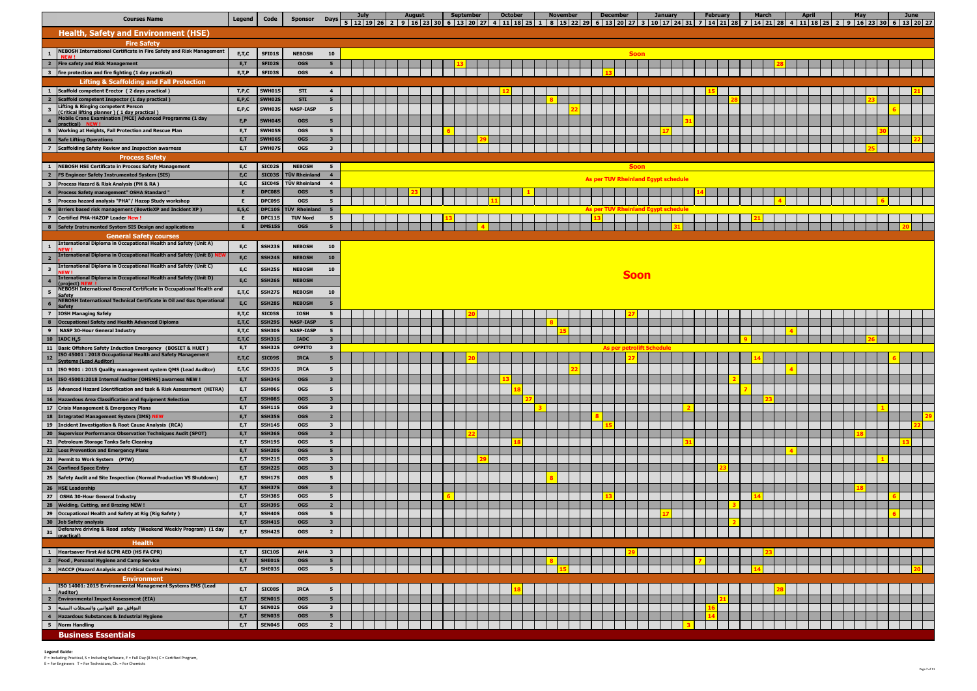| <b>Courses Name</b>                                                                                                                 | <b>Legend</b>      | Code                           | <b>Sponsor</b>                  | <b>Days</b>                               | <b>July</b> | <b>August</b> |  | <b>September</b> | <b>October</b> |  | <b>November</b> |  | <b>December</b>                  |             | <b>January</b>                             | <b>February</b><br>5   12   19   26   2   9   16   23   30   6   13   20   27   4   11   18   25   1   8   15   22   29   6   13   20   27   3   10   17   24   31   7   14   21   28   7   14   21   28   4   11   18   25   2   9   16   23   30 |  | <b>March</b> | <b>April</b> | May |  | June |  |
|-------------------------------------------------------------------------------------------------------------------------------------|--------------------|--------------------------------|---------------------------------|-------------------------------------------|-------------|---------------|--|------------------|----------------|--|-----------------|--|----------------------------------|-------------|--------------------------------------------|----------------------------------------------------------------------------------------------------------------------------------------------------------------------------------------------------------------------------------------------------|--|--------------|--------------|-----|--|------|--|
| <b>Health, Safety and Environment (HSE)</b>                                                                                         |                    |                                |                                 |                                           |             |               |  |                  |                |  |                 |  |                                  |             |                                            |                                                                                                                                                                                                                                                    |  |              |              |     |  |      |  |
| <b>Fire Safety</b>                                                                                                                  |                    |                                |                                 |                                           |             |               |  |                  |                |  |                 |  |                                  |             |                                            |                                                                                                                                                                                                                                                    |  |              |              |     |  |      |  |
| <b>NEBOSH International Certificate in Fire Safety and Risk Management</b><br>$\mathbf{1}$                                          | E, T, C            | SFI01S                         | <b>NEBOSH</b>                   | 10                                        |             |               |  |                  |                |  |                 |  |                                  | <b>Soon</b> |                                            |                                                                                                                                                                                                                                                    |  |              |              |     |  |      |  |
| $\overline{\mathbf{2}}$<br>Fire safety and Risk Management                                                                          | E,T                | <b>SFI02S</b>                  | <b>OGS</b>                      | 5 <sub>5</sub>                            |             |               |  |                  |                |  |                 |  |                                  |             |                                            |                                                                                                                                                                                                                                                    |  |              |              |     |  |      |  |
| $\overline{\mathbf{3}}$<br>fire protection and fire fighting (1 day practical)                                                      | E, T, P            | SFI03S                         | <b>OGS</b>                      | $\overline{4}$                            |             |               |  |                  |                |  |                 |  |                                  |             |                                            |                                                                                                                                                                                                                                                    |  |              |              |     |  |      |  |
| <b>Lifting &amp; Scaffolding and Fall Protection</b>                                                                                |                    |                                |                                 |                                           |             |               |  |                  |                |  |                 |  |                                  |             |                                            |                                                                                                                                                                                                                                                    |  |              |              |     |  |      |  |
| Scaffold competent Erector (2 days practical)                                                                                       | T, P, C            | SWH01S                         | <b>STI</b>                      | $\overline{4}$                            |             |               |  |                  |                |  |                 |  |                                  |             |                                            |                                                                                                                                                                                                                                                    |  |              |              |     |  |      |  |
| $\overline{\mathbf{2}}$<br>Scaffold competent Inspector (1 day practical)<br>lifting & Ringing competent Person                     | E, P, C            | <b>SWH02S</b>                  | <b>STI</b>                      | 5 <sub>5</sub>                            |             |               |  |                  |                |  |                 |  |                                  |             |                                            |                                                                                                                                                                                                                                                    |  |              |              |     |  |      |  |
| $\overline{\mathbf{3}}$<br>(Critical lifting planner) (1 day practical)<br>Mobile Crane Examination [MCE] Advanced Programme (1 day | E, P, C            | <b>SWH03S</b>                  | <b>NASP-IASP</b>                | 5                                         |             |               |  |                  |                |  |                 |  |                                  |             |                                            |                                                                                                                                                                                                                                                    |  |              |              |     |  |      |  |
| $\overline{\mathbf{4}}$<br><b>ractical</b> ) NEW!                                                                                   | E, P               | SWH04S                         | <b>OGS</b>                      | 5                                         |             |               |  |                  |                |  |                 |  |                                  |             |                                            |                                                                                                                                                                                                                                                    |  |              |              |     |  |      |  |
| Working at Heights, Fall Protection and Rescue Plan<br>5<br>$6\phantom{1}6$<br><b>Safe Lifting Operations</b>                       | E,T<br>E,T         | <b>SWH05S</b><br><b>SWH06S</b> | <b>OGS</b><br><b>OGS</b>        | 5<br>3 <sup>7</sup>                       |             |               |  |                  |                |  |                 |  |                                  |             |                                            |                                                                                                                                                                                                                                                    |  |              |              |     |  |      |  |
| <b>Scaffolding Safety Review and Inspection awarness</b><br>$\overline{7}$                                                          | E,T                | SWH079                         | <b>OGS</b>                      | $\overline{\mathbf{3}}$                   |             |               |  |                  |                |  |                 |  |                                  |             |                                            |                                                                                                                                                                                                                                                    |  |              |              |     |  |      |  |
| <b>Process Safety</b>                                                                                                               |                    |                                |                                 |                                           |             |               |  |                  |                |  |                 |  |                                  |             |                                            |                                                                                                                                                                                                                                                    |  |              |              |     |  |      |  |
| <b>NEBOSH HSE Certificate in Process Safety Management</b><br>$\mathbf{1}$                                                          | E,C                | SIC02S                         | <b>NEBOSH</b>                   | 5 <sub>5</sub>                            |             |               |  |                  |                |  |                 |  |                                  | <b>Soon</b> |                                            |                                                                                                                                                                                                                                                    |  |              |              |     |  |      |  |
| $\overline{\mathbf{2}}$<br>FS Engineer Safety Instrumented System (SIS)                                                             | E,C                | <b>SIC03S</b>                  | TÜV Rheinland                   | $\overline{4}$                            |             |               |  |                  |                |  |                 |  |                                  |             | <b>As per TUV Rheinland Egypt schedule</b> |                                                                                                                                                                                                                                                    |  |              |              |     |  |      |  |
| $\overline{\mathbf{3}}$<br>Process Hazard & Risk Analysis (PH & RA)                                                                 | E,C                | <b>SIC04S</b>                  | TÜV Rheinland                   | $\overline{4}$                            |             |               |  |                  |                |  |                 |  |                                  |             |                                            |                                                                                                                                                                                                                                                    |  |              |              |     |  |      |  |
| Process Safety management" OSHA Standard "<br>$\overline{\mathbf{4}}$<br>5<br>Process hazard analysis "PHA"/ Hazop Study workshop   |                    | DPC08S<br>DPC09S               | <b>OGS</b><br><b>OGS</b>        | 5 <sub>5</sub><br>5 <sub>5</sub>          |             |               |  |                  |                |  |                 |  |                                  |             |                                            |                                                                                                                                                                                                                                                    |  |              |              |     |  |      |  |
| 6<br><b>Brriers based risk management (BowtieXP and Incident XP)</b>                                                                | E, S, C            | <b>DPC10S</b>                  | TÜV Rheinland                   | 5                                         |             |               |  |                  |                |  |                 |  |                                  |             | As per TUV Rheinland Egypt schedule        |                                                                                                                                                                                                                                                    |  |              |              |     |  |      |  |
| <b>Certified PHA-HAZOP Leader New!</b><br>$\overline{7}$                                                                            | E                  | DPC11S                         | <b>TUV Nord</b>                 | 5 <sub>1</sub>                            |             |               |  |                  |                |  |                 |  |                                  |             |                                            |                                                                                                                                                                                                                                                    |  |              |              |     |  |      |  |
| Safety Instrumented System SIS Design and applications                                                                              |                    | <b>DMS15S</b>                  | <b>OGS</b>                      |                                           |             |               |  |                  |                |  |                 |  |                                  |             |                                            |                                                                                                                                                                                                                                                    |  |              |              |     |  |      |  |
| <b>General Safety courses</b><br>International Diploma in Occupational Health and Safety (Unit A)                                   |                    |                                |                                 |                                           |             |               |  |                  |                |  |                 |  |                                  |             |                                            |                                                                                                                                                                                                                                                    |  |              |              |     |  |      |  |
| $\mathbf{1}$                                                                                                                        | E, C               | <b>SSH239</b>                  | <b>NEBOSH</b>                   | 10                                        |             |               |  |                  |                |  |                 |  |                                  |             |                                            |                                                                                                                                                                                                                                                    |  |              |              |     |  |      |  |
| <b>International Diploma in Occupational Health and Safety (Unit B)</b><br>$\overline{\mathbf{2}}$                                  | E,C                | SSH24S                         | <b>NEBOSH</b>                   | 10                                        |             |               |  |                  |                |  |                 |  |                                  |             |                                            |                                                                                                                                                                                                                                                    |  |              |              |     |  |      |  |
| International Diploma in Occupational Health and Safety (Unit C)<br>$\overline{\mathbf{3}}$<br>EW!                                  | E,C                | SSH25S                         | <b>NEBOSH</b>                   | 10                                        |             |               |  |                  |                |  |                 |  |                                  | <b>Soon</b> |                                            |                                                                                                                                                                                                                                                    |  |              |              |     |  |      |  |
| (International Diploma in Occupational Health and Safety (Unit D)<br>$\overline{\mathbf{4}}$<br>project)                            | E, C               | SSH <sub>26S</sub>             | <b>NEBOSH</b>                   |                                           |             |               |  |                  |                |  |                 |  |                                  |             |                                            |                                                                                                                                                                                                                                                    |  |              |              |     |  |      |  |
| NEBOSH International General Certificate in Occupational Health and<br>$\sqrt{5}$                                                   | E, T, C            | SSH27S                         | <b>NEBOSH</b>                   | 10                                        |             |               |  |                  |                |  |                 |  |                                  |             |                                            |                                                                                                                                                                                                                                                    |  |              |              |     |  |      |  |
| <b>NEBOSH International Technical Certificate in Oil and Gas Operational</b><br>6<br>Safety                                         | E, C               | SSH28S                         | <b>NEBOSH</b>                   | $5\overline{5}$                           |             |               |  |                  |                |  |                 |  |                                  |             |                                            |                                                                                                                                                                                                                                                    |  |              |              |     |  |      |  |
| $\overline{z}$<br><b>IOSH Managing Safely</b>                                                                                       | E, T, C            | SIC05S                         | <b>IOSH</b>                     | 5 <sub>5</sub>                            |             |               |  |                  |                |  |                 |  |                                  |             |                                            |                                                                                                                                                                                                                                                    |  |              |              |     |  |      |  |
| $\bf{8}$<br>Occupational Safety and Health Advanced Diploma                                                                         | E, T, C            | SSH29S                         | <b>NASP-IASP</b>                | 5 <sub>5</sub>                            |             |               |  |                  |                |  |                 |  |                                  |             |                                            |                                                                                                                                                                                                                                                    |  |              |              |     |  |      |  |
| $\overline{9}$<br><b>NASP 30-Hour General Industry</b><br>$10$   IADC H <sub>2</sub> S                                              | E, T, C<br>E, T, C | SSH30S<br><b>SSH31S</b>        | <b>NASP-IASP</b><br><b>IADC</b> | $5^{\circ}$<br>3 <sup>7</sup>             |             |               |  |                  |                |  |                 |  |                                  |             |                                            |                                                                                                                                                                                                                                                    |  |              |              |     |  |      |  |
| 11<br>Basic Offshore Safety Induction Emergency (BOSIET & HUET)                                                                     | E,T                | SSH32S                         | <b>OPPITO</b>                   | $\overline{\mathbf{3}}$                   |             |               |  |                  |                |  |                 |  | <b>As per petrolift Schedule</b> |             |                                            |                                                                                                                                                                                                                                                    |  |              |              |     |  |      |  |
| ISO 45001: 2018 Occupational Health and Safety Management<br>12<br><b>Systems (Lead Auditor)</b>                                    | E, T, C            | <b>SIC09S</b>                  | <b>IRCA</b>                     | $5\overline{5}$                           |             |               |  |                  |                |  |                 |  |                                  |             |                                            |                                                                                                                                                                                                                                                    |  |              |              |     |  |      |  |
| 13   ISO 9001 : 2015 Quality management system QMS (Lead Auditor)                                                                   | E, T, C            | SSH33S                         | <b>IRCA</b>                     | $5^{\circ}$                               |             |               |  |                  |                |  |                 |  |                                  |             |                                            |                                                                                                                                                                                                                                                    |  |              |              |     |  |      |  |
| 14 ISO 45001:2018 Internal Auditor (OHSMS) awarness NEW I                                                                           | E, T               | SSH34S                         | <b>OGS</b>                      | 3 <sub>1</sub>                            |             |               |  |                  |                |  |                 |  |                                  |             |                                            |                                                                                                                                                                                                                                                    |  |              |              |     |  |      |  |
| 15 Advanced Hazard Identification and task & Risk Assessment (HITRA)                                                                | E,T                | SSH06S                         | <b>OGS</b>                      | $5\overline{5}$                           |             |               |  |                  |                |  |                 |  |                                  |             |                                            |                                                                                                                                                                                                                                                    |  |              |              |     |  |      |  |
| 16 Hazardous Area Classification and Equipment Selection                                                                            | E,T                | <b>SSH08S</b>                  | <b>OGS</b>                      | $\overline{\mathbf{3}}$                   |             |               |  |                  |                |  |                 |  |                                  |             |                                            |                                                                                                                                                                                                                                                    |  |              |              |     |  |      |  |
| 17 Crisis Management & Emergency Plans                                                                                              | E,T                | <b>SSH11S</b>                  | <b>OGS</b>                      | 3 <sup>1</sup>                            |             |               |  |                  |                |  |                 |  |                                  |             |                                            |                                                                                                                                                                                                                                                    |  |              |              |     |  |      |  |
| 18 Integrated Management System (IMS) NEW<br>19   Incident Investigation & Root Cause Analysis (RCA)                                | E,T<br>E,T         | SSH35S<br><b>SSH14S</b>        | <b>OGS</b><br><b>OGS</b>        | $\overline{2}$<br>$\mathbf{3}$            |             |               |  |                  |                |  |                 |  |                                  |             |                                            |                                                                                                                                                                                                                                                    |  |              |              |     |  |      |  |
| 20 Supervisor Performance Observation Techniques Audit (SPOT)                                                                       | E,T                | SSH36S                         | <b>OGS</b>                      | $\overline{\mathbf{3}}$                   |             |               |  |                  |                |  |                 |  |                                  |             |                                            |                                                                                                                                                                                                                                                    |  |              |              |     |  |      |  |
| 21 Petroleum Storage Tanks Safe Cleaning                                                                                            | E,T                | <b>SSH19S</b>                  | <b>OGS</b>                      | 5 <sub>1</sub>                            |             |               |  |                  |                |  |                 |  |                                  |             |                                            |                                                                                                                                                                                                                                                    |  |              |              |     |  |      |  |
| 22 Loss Prevention and Emergency Plans                                                                                              | E,T                | <b>SSH20S</b>                  | <b>OGS</b>                      | 5 <sub>5</sub>                            |             |               |  |                  |                |  |                 |  |                                  |             |                                            |                                                                                                                                                                                                                                                    |  |              |              |     |  |      |  |
| 23 Permit to Work System (PTW)                                                                                                      | E,T                | <b>SSH21S</b>                  | <b>OGS</b>                      | $\overline{\mathbf{3}}$                   |             |               |  |                  |                |  |                 |  |                                  |             |                                            |                                                                                                                                                                                                                                                    |  |              |              |     |  |      |  |
| 24 Confined Space Entry<br>25 Safety Audit and Site Inspection (Normal Production VS Shutdown)                                      | E,T                | <b>SSH22S</b><br><b>SSH17S</b> | <b>OGS</b><br><b>OGS</b>        | $\mathbf{3}$<br>$5\overline{5}$           |             |               |  |                  |                |  |                 |  |                                  |             |                                            |                                                                                                                                                                                                                                                    |  |              |              |     |  |      |  |
| 26 HSE Leadership                                                                                                                   | E, T<br>E,T        | SSH37S                         | <b>OGS</b>                      | $\overline{\mathbf{3}}$                   |             |               |  |                  |                |  |                 |  |                                  |             |                                            |                                                                                                                                                                                                                                                    |  |              |              |     |  |      |  |
| 27 OSHA 30-Hour General Industry                                                                                                    | E,T                | SSH38S                         | <b>OGS</b>                      | 5 <sub>1</sub>                            |             |               |  |                  |                |  |                 |  |                                  |             |                                            |                                                                                                                                                                                                                                                    |  |              |              |     |  |      |  |
| 28 Welding, Cutting, and Brazing NEW !                                                                                              | E,T                | SSH39S                         | <b>OGS</b>                      | $\overline{2}$                            |             |               |  |                  |                |  |                 |  |                                  |             |                                            |                                                                                                                                                                                                                                                    |  |              |              |     |  |      |  |
| 29<br>Occupational Health and Safety at Rig (Rig Safety)                                                                            | E,T                | SSH40S                         | <b>OGS</b>                      | 5 <sub>1</sub>                            |             |               |  |                  |                |  |                 |  |                                  |             |                                            |                                                                                                                                                                                                                                                    |  |              |              |     |  |      |  |
| 30 Job Safety analysis<br>Defensive driving & Road safety (Weekend Weekly Program) (1 day                                           | E,T                | SSH41S                         | <b>OGS</b>                      | $\mathbf{3}$                              |             |               |  |                  |                |  |                 |  |                                  |             |                                            |                                                                                                                                                                                                                                                    |  |              |              |     |  |      |  |
| 31<br>practical)                                                                                                                    | E,T                | <b>SSH42S</b>                  | <b>OGS</b>                      | $\overline{2}$                            |             |               |  |                  |                |  |                 |  |                                  |             |                                            |                                                                                                                                                                                                                                                    |  |              |              |     |  |      |  |
| <b>Health</b>                                                                                                                       |                    |                                |                                 |                                           |             |               |  |                  |                |  |                 |  |                                  |             |                                            |                                                                                                                                                                                                                                                    |  |              |              |     |  |      |  |
| Heartsaver First Aid &CPR AED (HS FA CPR)<br>$\mathbf{1}$<br>$\overline{2}$<br><b>Food, Personal Hygiene and Camp Service</b>       | E,T<br>E,T         | <b>SIC10S</b><br>SHE01S        | <b>AHA</b><br><b>OGS</b>        | $\overline{\mathbf{3}}$<br>5 <sub>5</sub> |             |               |  |                  |                |  |                 |  |                                  |             |                                            |                                                                                                                                                                                                                                                    |  |              |              |     |  |      |  |
| HACCP (Hazard Analysis and Critical Control Points)<br>$\overline{\mathbf{3}}$                                                      | E,T                | SHE03S                         | <b>OGS</b>                      | 5 <sub>1</sub>                            |             |               |  |                  |                |  |                 |  |                                  |             |                                            |                                                                                                                                                                                                                                                    |  |              |              |     |  |      |  |
| <b>Environment</b>                                                                                                                  |                    |                                |                                 |                                           |             |               |  |                  |                |  |                 |  |                                  |             |                                            |                                                                                                                                                                                                                                                    |  |              |              |     |  |      |  |
| ISO 14001: 2015 Environmental Management Systems EMS (Lead<br>$\mathbf{1}$                                                          | E, T               | SIC08S                         | <b>IRCA</b>                     | 5                                         |             |               |  |                  |                |  |                 |  |                                  |             |                                            |                                                                                                                                                                                                                                                    |  |              |              |     |  |      |  |
| Auditor)<br>$\overline{2}$<br><b>Environmental Impact Assessment (EIA)</b>                                                          | E,T                | SEN01S                         | <b>OGS</b>                      | 5 <sub>5</sub>                            |             |               |  |                  |                |  |                 |  |                                  |             |                                            |                                                                                                                                                                                                                                                    |  |              |              |     |  |      |  |
| $\overline{\mathbf{3}}$<br>التوافق مع القوانين والسجلات البيئية                                                                     | E,T                | SEN02S                         | <b>OGS</b>                      | $\mathbf{3}$                              |             |               |  |                  |                |  |                 |  |                                  |             |                                            |                                                                                                                                                                                                                                                    |  |              |              |     |  |      |  |
| $\overline{\mathbf{4}}$<br>Hazardous Substances & Industrial Hygiene                                                                | E,T                | SEN03S                         | <b>OGS</b>                      | 5 <sub>1</sub>                            |             |               |  |                  |                |  |                 |  |                                  |             |                                            |                                                                                                                                                                                                                                                    |  |              |              |     |  |      |  |
| 5 Norm Handling                                                                                                                     | E,T                | SEN04S                         | <b>OGS</b>                      | $\overline{2}$                            |             |               |  |                  |                |  |                 |  |                                  |             |                                            |                                                                                                                                                                                                                                                    |  |              |              |     |  |      |  |
| <b>Business Essentials</b>                                                                                                          |                    |                                |                                 |                                           |             |               |  |                  |                |  |                 |  |                                  |             |                                            |                                                                                                                                                                                                                                                    |  |              |              |     |  |      |  |



 **Legend Guide:**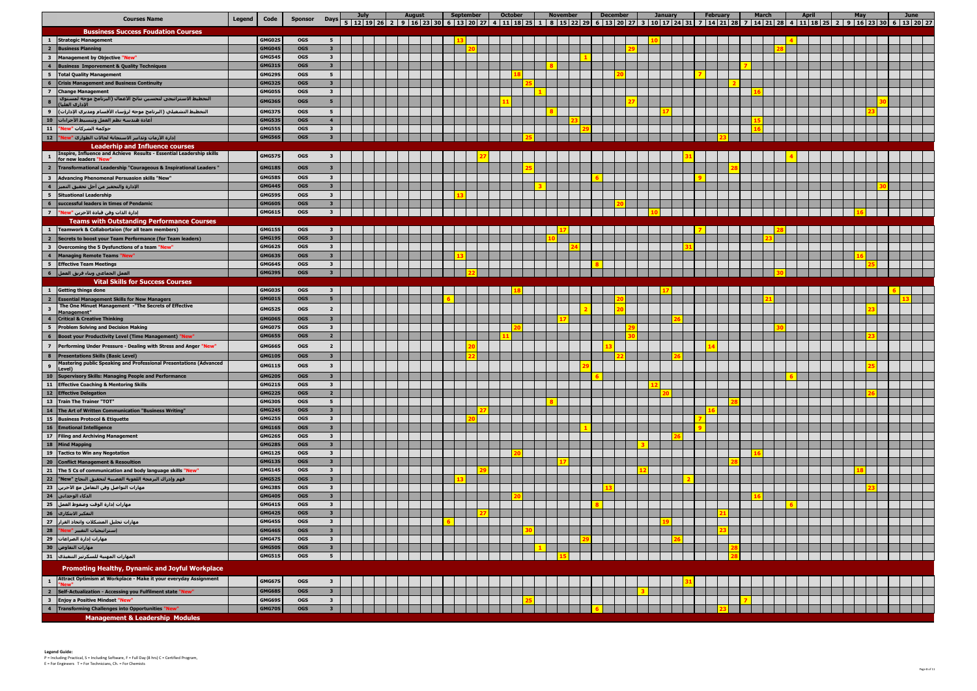|                                           | <b>Courses Name</b>                                                                       | Legend | Code             |                          |                                         | July | <b>August</b> | September | <b>October</b> | <b>November</b><br>Sponsor Days 5   12   19   26   2   9   16   23   30   6   13   20   27   4   11   18   25   1   8   25   2   29   6   13   20   27   3   10   17   24   31   7   14   21   28   7   14   21   28   4   11   18   25   2   9 | <b>December</b> | <b>January</b> | <b>February</b> | <b>March</b> | <b>April</b> | May | June |
|-------------------------------------------|-------------------------------------------------------------------------------------------|--------|------------------|--------------------------|-----------------------------------------|------|---------------|-----------|----------------|-------------------------------------------------------------------------------------------------------------------------------------------------------------------------------------------------------------------------------------------------|-----------------|----------------|-----------------|--------------|--------------|-----|------|
|                                           | <b>Bussiness Success Foudation Courses</b>                                                |        |                  |                          |                                         |      |               |           |                |                                                                                                                                                                                                                                                 |                 |                |                 |              |              |     |      |
| $\mathbf{1}$                              | <b>Strategic Management</b>                                                               |        | GMG02S           | <b>OGS</b>               | 5                                       |      |               |           |                |                                                                                                                                                                                                                                                 |                 |                |                 |              |              |     |      |
| $\overline{2}$                            | <b>Business Planning</b>                                                                  |        | GMG04S           | <b>OGS</b>               | $\overline{\mathbf{3}}$                 |      |               |           |                |                                                                                                                                                                                                                                                 |                 |                |                 |              |              |     |      |
| $\overline{\mathbf{3}}$                   | Management by Objective "New'                                                             |        | GMG54S           | <b>OGS</b>               | $\mathbf{3}$                            |      |               |           |                |                                                                                                                                                                                                                                                 |                 |                |                 |              |              |     |      |
| $\overline{4}$                            | <b>Business Imporvement &amp; Quality Techniques</b>                                      |        | GMG31S           | <b>OGS</b>               | $\overline{\mathbf{3}}$                 |      |               |           |                |                                                                                                                                                                                                                                                 |                 |                |                 |              |              |     |      |
|                                           | 5 Total Quality Management                                                                |        | <b>GMG29S</b>    | <b>OGS</b>               | 5                                       |      |               |           |                |                                                                                                                                                                                                                                                 |                 |                |                 |              |              |     |      |
| $6\phantom{1}6$                           | <b>Crisis Management and Business Continuity</b>                                          |        | <b>GMG32S</b>    | <b>OGS</b>               | $\overline{\mathbf{3}}$                 |      |               |           |                |                                                                                                                                                                                                                                                 |                 |                |                 |              |              |     |      |
|                                           | 7 Change Management                                                                       |        | GMG05S           | <b>OGS</b>               | $\mathbf{3}$                            |      |               |           |                |                                                                                                                                                                                                                                                 |                 |                |                 |              |              |     |      |
| $\bf{8}$                                  | التخطيط الاستراتيجي لتحسين نتائج الأعمال (البرنامج موجه لمستوى<br>الإداري العليا          |        | GMG36S           | <b>OGS</b>               | 5                                       |      |               |           |                |                                                                                                                                                                                                                                                 |                 |                |                 |              |              |     |      |
| $\overline{9}$                            | التخطيط التشغيلي (البرنامج موجه لرؤساء الأقسام ومديري الإدارات)                           |        | <b>GMG37S</b>    | <b>OGS</b>               | 5 <sub>5</sub>                          |      |               |           |                |                                                                                                                                                                                                                                                 |                 |                |                 |              |              |     |      |
|                                           | أعادة هندسة نظم العمل وتبسيط الأجراءات   10                                               |        | <b>GMG539</b>    | <b>OGS</b>               | $\overline{4}$                          |      |               |           |                |                                                                                                                                                                                                                                                 |                 |                |                 |              |              |     |      |
|                                           | حوكمة الشركات "New" 11                                                                    |        | <b>GMG55S</b>    | <b>OGS</b>               | $\mathbf{3}$                            |      |               |           |                |                                                                                                                                                                                                                                                 |                 |                |                 |              |              |     |      |
|                                           | إدارة الأزمات وتدابير الاستجابة لحالات الطوارئ "New" _12"                                 |        | GMG56S           | <b>OGS</b>               | $\overline{\mathbf{3}}$                 |      |               |           |                |                                                                                                                                                                                                                                                 |                 |                |                 |              |              |     |      |
|                                           | <b>Leaderhip and Influence courses</b>                                                    |        |                  |                          |                                         |      |               |           |                |                                                                                                                                                                                                                                                 |                 |                |                 |              |              |     |      |
|                                           | Inspire, Influence and Achieve Results - Essential Leadership skills                      |        | <b>GMG57S</b>    | <b>OGS</b>               | 3                                       |      |               |           |                |                                                                                                                                                                                                                                                 |                 |                |                 |              |              |     |      |
|                                           | for new leaders "New"                                                                     |        |                  |                          |                                         |      |               |           |                |                                                                                                                                                                                                                                                 |                 |                |                 |              |              |     |      |
|                                           | 2 Transformational Leadership "Courageous & Inspirational Leaders"                        |        | <b>GMG18S</b>    | <b>OGS</b>               | $\overline{\mathbf{3}}$                 |      |               |           |                |                                                                                                                                                                                                                                                 |                 |                |                 |              |              |     |      |
| $\overline{\mathbf{3}}$                   | Advancing Phenomenal Persuasion skills "New"                                              |        | <b>GMG58S</b>    | <b>OGS</b>               | $\overline{\mathbf{3}}$                 |      |               |           |                |                                                                                                                                                                                                                                                 |                 |                |                 |              |              |     |      |
|                                           | الإدارة والتحفيز من أجل تحقيق التميز 4 4                                                  |        | GMG44S           | <b>OGS</b>               | $\overline{\mathbf{3}}$                 |      |               |           |                |                                                                                                                                                                                                                                                 |                 |                |                 |              |              |     |      |
|                                           | 5 Situational Leadership                                                                  |        | GMG59S           | <b>OGS</b>               | $\mathbf{3}$                            |      |               |           |                |                                                                                                                                                                                                                                                 |                 |                |                 |              |              |     |      |
| $6\phantom{1}$                            | successful leaders in times of Pendamic                                                   |        | GMG60S           | <b>OGS</b>               | $\overline{\mathbf{3}}$                 |      |               |           |                |                                                                                                                                                                                                                                                 |                 |                |                 |              |              |     |      |
|                                           | إدارة الذات وفن قيادة الآخرين "New" 7                                                     |        | <b>GMG61S</b>    | <b>OGS</b>               | $\mathbf{3}$                            |      |               |           |                |                                                                                                                                                                                                                                                 |                 |                |                 |              |              |     |      |
|                                           | <b>Teams with Outstanding Performance Courses</b>                                         |        |                  |                          |                                         |      |               |           |                |                                                                                                                                                                                                                                                 |                 |                |                 |              |              |     |      |
|                                           | 1 Teamwork & Collabortaion (for all team members)                                         |        | <b>GMG15S</b>    | <b>OGS</b>               | $\overline{\mathbf{3}}$                 |      |               |           |                |                                                                                                                                                                                                                                                 |                 |                |                 |              |              |     |      |
| $\overline{2}$                            | Secrets to boost your Team Performance (for Team leaders)                                 |        | <b>GMG19S</b>    | <b>OGS</b>               | $\mathbf{3}$                            |      |               |           |                |                                                                                                                                                                                                                                                 |                 |                |                 |              |              |     |      |
| $\overline{\mathbf{3}}$                   | Overcoming the 5 Dysfunctions of a team "New"<br>4 Managing Remote Teams "New"            |        | GMG62S<br>GMG639 | <b>OGS</b><br><b>OGS</b> | $\mathbf{3}$<br>$\overline{\mathbf{3}}$ |      |               |           |                |                                                                                                                                                                                                                                                 |                 |                |                 |              |              |     |      |
|                                           | 5 Effective Team Meetings                                                                 |        | GMG64S           | <b>OGS</b>               | $\mathbf{3}$                            |      |               |           |                |                                                                                                                                                                                                                                                 |                 |                |                 |              |              |     |      |
|                                           |                                                                                           |        | GMG39S           | <b>OGS</b>               | $\mathbf{3}$                            |      |               |           |                |                                                                                                                                                                                                                                                 |                 |                |                 |              |              |     |      |
|                                           | <b>Vital Skills for Success Courses</b>                                                   |        |                  |                          |                                         |      |               |           |                |                                                                                                                                                                                                                                                 |                 |                |                 |              |              |     |      |
| $\mathbf{1}$                              | <b>Getting things done</b>                                                                |        | GMG03S           | <b>OGS</b>               | $\mathbf{3}$                            |      |               |           |                |                                                                                                                                                                                                                                                 |                 |                |                 |              |              |     |      |
| $\overline{\mathbf{2}}$                   | <b>Essential Management Skills for New Managers</b>                                       |        | GMG01S           | <b>OGS</b>               | 5 <sub>1</sub>                          |      |               |           |                |                                                                                                                                                                                                                                                 |                 |                |                 |              |              |     |      |
|                                           | The One Minuet Management -"The Secrets of Effective                                      |        |                  |                          |                                         |      |               |           |                |                                                                                                                                                                                                                                                 |                 |                |                 |              |              |     |      |
| $\overline{\mathbf{3}}$                   | Management"                                                                               |        | GMG52S           | <b>OGS</b>               | $\overline{2}$                          |      |               |           |                |                                                                                                                                                                                                                                                 |                 |                |                 |              |              |     |      |
| $\overline{4}$                            | <b>Critical &amp; Creative Thinking</b>                                                   |        | GMG06S           | <b>OGS</b>               | $\mathbf{3}$                            |      |               |           |                |                                                                                                                                                                                                                                                 |                 |                |                 |              |              |     |      |
|                                           | 5 Problem Solving and Decision Making                                                     |        | GMG07S           | <b>OGS</b>               | $\mathbf{3}$                            |      |               |           |                |                                                                                                                                                                                                                                                 |                 |                |                 |              |              |     |      |
|                                           | <b>6</b> Boost your Productivity Level (Time Management) "New                             |        | GMG65S           | <b>OGS</b>               | $\overline{2}$                          |      |               |           |                |                                                                                                                                                                                                                                                 |                 |                |                 |              |              |     |      |
|                                           | 7 Performing Under Pressure - Dealing with Stress and Anger "New"                         |        | GMG66S           | <b>OGS</b>               | $\overline{2}$                          |      |               |           |                |                                                                                                                                                                                                                                                 |                 |                |                 |              |              |     |      |
|                                           | 8 Presentations Skills (Basic Level)                                                      |        | <b>GMG10S</b>    | <b>OGS</b>               | $\overline{\mathbf{3}}$                 |      |               |           |                |                                                                                                                                                                                                                                                 |                 |                |                 |              |              |     |      |
| $\overline{9}$                            | Mastering public Speaking and Professional Presentations (Advanced<br><u>Level )</u>      |        | <b>GMG11S</b>    | <b>OGS</b>               | $\overline{\mathbf{3}}$                 |      |               |           |                |                                                                                                                                                                                                                                                 |                 |                |                 |              |              |     |      |
|                                           | 10 Supervisory Skills: Managing People and Performance                                    |        | GMG20S           | <b>OGS</b>               | $\overline{\mathbf{3}}$                 |      |               |           |                |                                                                                                                                                                                                                                                 |                 |                |                 |              |              |     |      |
|                                           | 11 Effective Coaching & Mentoring Skills                                                  |        | GMG21S           | <b>OGS</b>               | $\overline{\mathbf{3}}$                 |      |               |           |                |                                                                                                                                                                                                                                                 |                 |                |                 |              |              |     |      |
|                                           | 12 Effective Delegation                                                                   |        | GMG22S           | <b>OGS</b>               | $\overline{2}$                          |      |               |           |                |                                                                                                                                                                                                                                                 |                 |                |                 |              |              |     |      |
|                                           | 13 Train The Trainer "TOT"                                                                |        | GMG30S           | <b>OGS</b>               | 5 <sub>5</sub>                          |      |               |           |                |                                                                                                                                                                                                                                                 |                 |                |                 |              |              |     |      |
|                                           | 14 The Art of Written Communication "Business Writing"                                    |        | GMG24S           | <b>OGS</b>               | 3 <sup>7</sup>                          |      |               |           |                |                                                                                                                                                                                                                                                 |                 |                |                 |              |              |     |      |
|                                           | 15 Business Protocol & Etiquette                                                          |        | GMG25S           | <b>OGS</b>               | $\mathbf{3}$                            |      |               |           |                |                                                                                                                                                                                                                                                 |                 |                |                 |              |              |     |      |
|                                           | 16 Emotional Intelligence                                                                 |        | GMG16S           | <b>OGS</b>               | 3 <sup>7</sup>                          |      |               |           |                |                                                                                                                                                                                                                                                 |                 |                |                 |              |              |     |      |
|                                           | 17 Filing and Archiving Management                                                        |        | GMG26S           | <b>OGS</b>               | $\mathbf{3}$                            |      |               |           |                |                                                                                                                                                                                                                                                 |                 |                |                 |              |              |     |      |
|                                           | 18 Mind Mapping                                                                           |        | GMG28S           | <b>OGS</b>               | 3 <sup>7</sup>                          |      |               |           |                |                                                                                                                                                                                                                                                 |                 |                |                 |              |              |     |      |
|                                           | 19 Tactics to Win any Negotation<br>20 Conflict Management & Resoultion                   |        | GMG12S           | <b>OGS</b><br><b>OGS</b> | $\mathbf{3}$<br>3 <sup>7</sup>          |      |               |           |                |                                                                                                                                                                                                                                                 |                 |                |                 |              |              |     |      |
|                                           | 21 The 5 Cs of communication and body language skills "New"                               |        | GMG13S<br>GMG14S | <b>OGS</b>               | $\mathbf{3}$                            |      |               |           |                |                                                                                                                                                                                                                                                 |                 |                |                 |              |              |     |      |
|                                           | فهم وإدراك البرمجة اللغوية العصبية لتحقيق النجاح "New"   22                               |        | GMG52S           | <b>OGS</b>               | 3 <sup>7</sup>                          |      |               |           |                |                                                                                                                                                                                                                                                 |                 |                |                 |              |              |     |      |
|                                           | مهارات التواصل وفن التعامل مع الآخرين <mark>23</mark> _                                   |        | GMG38S           | <b>OGS</b>               | $\mathbf{3}$                            |      |               |           |                |                                                                                                                                                                                                                                                 |                 |                |                 |              |              |     |      |
|                                           | ∣الذكاء الوجداني <mark> </mark> 24 ∣                                                      |        | GMG40S           | <b>OGS</b>               | $\mathbf{3}$                            |      |               |           |                |                                                                                                                                                                                                                                                 |                 |                |                 |              |              |     |      |
|                                           | مهارات إدارة الوقت وضغوط العمل 25                                                         |        | GMG41S           | <b>OGS</b>               | $\mathbf{3}$                            |      |               |           |                |                                                                                                                                                                                                                                                 |                 |                |                 |              |              |     |      |
|                                           | التفكير الابتكاري │ 26                                                                    |        | GMG42S           | <b>OGS</b>               | 3 <sup>7</sup>                          |      |               |           |                |                                                                                                                                                                                                                                                 |                 |                |                 |              |              |     |      |
|                                           | مهارات تحليل المشكلات واتخاذ القرار 27                                                    |        | GMG45S           | <b>OGS</b>               | $\mathbf{3}$                            |      |               |           |                |                                                                                                                                                                                                                                                 |                 |                |                 |              |              |     |      |
|                                           | استراتيجيات التغيير "New" 28                                                              |        | GMG46S           | <b>OGS</b>               | 3 <sup>7</sup>                          |      |               |           |                |                                                                                                                                                                                                                                                 |                 |                |                 |              |              |     |      |
|                                           | مهارات إدارة الصراعات   29                                                                |        | <b>GMG47S</b>    | <b>OGS</b>               | $\mathbf{3}$                            |      |               |           |                |                                                                                                                                                                                                                                                 |                 |                |                 |              |              |     |      |
|                                           | مهارات التفاوض <mark> </mark> 30                                                          |        | GMG50S           | <b>OGS</b>               | 3 <sup>1</sup>                          |      |               |           |                |                                                                                                                                                                                                                                                 |                 |                |                 |              |              |     |      |
|                                           | المهارات المهنية للسكرتير التنفيذي 31                                                     |        | <b>GMG51S</b>    | <b>OGS</b>               | 5 <sub>5</sub>                          |      |               |           |                |                                                                                                                                                                                                                                                 |                 |                |                 |              |              |     |      |
|                                           | <b>Promoting Healthy, Dynamic and Joyful Workplace</b>                                    |        |                  |                          |                                         |      |               |           |                |                                                                                                                                                                                                                                                 |                 |                |                 |              |              |     |      |
| $\mathbf{1}$                              | Attract Optimism at Workplace - Make it your everyday Assignment                          |        | GMG67S           |                          |                                         |      |               |           |                |                                                                                                                                                                                                                                                 |                 |                |                 |              |              |     |      |
|                                           |                                                                                           |        |                  | <b>OGS</b>               | $\overline{\mathbf{3}}$                 |      |               |           |                |                                                                                                                                                                                                                                                 |                 |                |                 |              |              |     |      |
| $\overline{\mathbf{2}}$                   | Self-Actualization - Accessing you Fulfilment state "New"                                 |        | GMG68S<br>GMG69S | <b>OGS</b><br><b>OGS</b> | 3 <sup>1</sup><br>$\mathbf{3}$          |      |               |           |                |                                                                                                                                                                                                                                                 |                 |                |                 |              |              |     |      |
| $\overline{\mathbf{3}}$<br>$\overline{4}$ | <b>Enjoy a Positive Mindset "New"</b><br>Transforming Challenges into Opportunities "New" |        | GMG70S           | <b>OGS</b>               | 3 <sup>1</sup>                          |      |               |           |                |                                                                                                                                                                                                                                                 |                 |                |                 |              |              |     |      |
|                                           | Management & Leadership Modules                                                           |        |                  |                          |                                         |      |               |           |                |                                                                                                                                                                                                                                                 |                 |                |                 |              |              |     |      |
|                                           |                                                                                           |        |                  |                          |                                         |      |               |           |                |                                                                                                                                                                                                                                                 |                 |                |                 |              |              |     |      |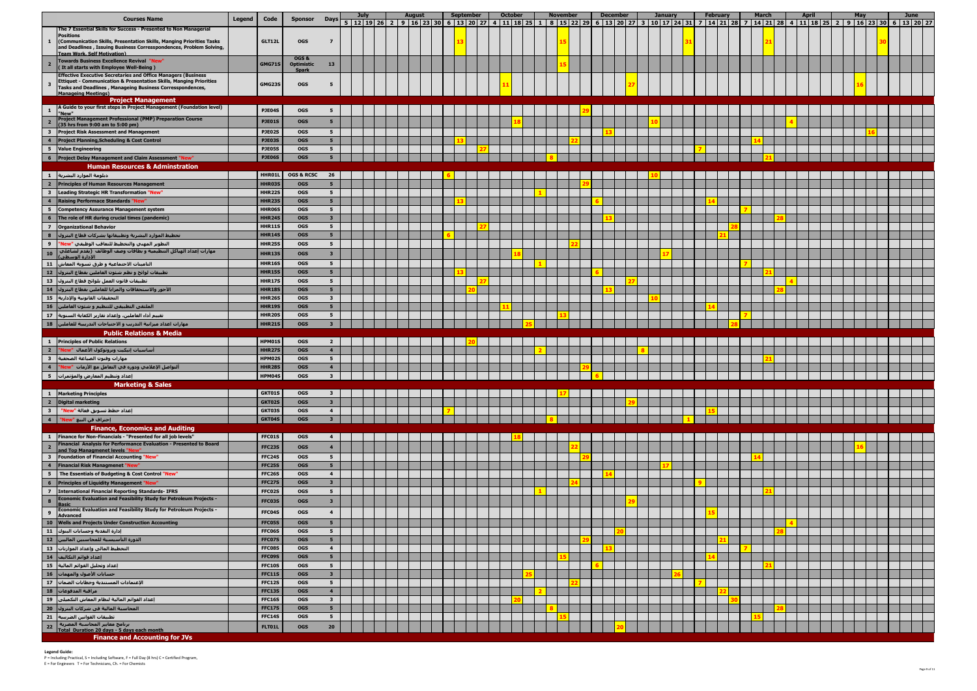| <b>Courses Name</b>                                                                                                                                                                                                                        | Legend | Code                           | <b>Sponsor</b>                      | Days <b>F</b>                             | <b>July</b> | <b>August</b><br>5 12 19 26 2 9 16 23 30 6 13 20 27 | <b>September</b> |  | <b>October</b> | <b>November</b> | <b>December</b> |  | <b>January</b> | <b>February</b><br>4 11 18 25 1 1 8 15 27 28 1 1 28 27 28 1 2 20 27 28 27 28 27 28 20 27 28 20 27 28 20 27 28 20 27 28 2 | <b>March</b> | <b>April</b> | May | June |  |
|--------------------------------------------------------------------------------------------------------------------------------------------------------------------------------------------------------------------------------------------|--------|--------------------------------|-------------------------------------|-------------------------------------------|-------------|-----------------------------------------------------|------------------|--|----------------|-----------------|-----------------|--|----------------|--------------------------------------------------------------------------------------------------------------------------|--------------|--------------|-----|------|--|
| The 7 Essential Skills for Success - Presented to Non Managerial<br><b>Positions</b>                                                                                                                                                       |        |                                |                                     |                                           |             |                                                     |                  |  |                |                 |                 |  |                |                                                                                                                          |              |              |     |      |  |
| (Communication Skills, Presentation Skills, Manging Priorities Tasks                                                                                                                                                                       |        | GLT12L                         | <b>OGS</b>                          | $\overline{z}$                            |             |                                                     |                  |  |                |                 |                 |  |                |                                                                                                                          |              |              |     |      |  |
| and Deadlines, Issuing Business Corresspondences, Problem Solving,<br>Team Work, Self Motivation)                                                                                                                                          |        |                                | OGS&                                |                                           |             |                                                     |                  |  |                |                 |                 |  |                |                                                                                                                          |              |              |     |      |  |
| Towards Business Excellence Revival "New"<br>(It all starts with Employee Well-Being)                                                                                                                                                      |        | <b>GMG71S</b>                  | <b>Optimistic</b><br><b>Spark</b>   | 13                                        |             |                                                     |                  |  |                |                 |                 |  |                |                                                                                                                          |              |              |     |      |  |
| <b>Effective Executive Secretaries and Office Managers (Business</b><br><b>Ettiquet - Communication &amp; Presentation Skills, Manging Priorities</b>                                                                                      |        |                                |                                     |                                           |             |                                                     |                  |  |                |                 |                 |  |                |                                                                                                                          |              |              |     |      |  |
| Tasks and Deadlines, Manageing Business Corresspondences,<br><b>Manageing Meetings)</b>                                                                                                                                                    |        | GMG23S                         | <b>OGS</b>                          |                                           |             |                                                     |                  |  |                |                 |                 |  |                |                                                                                                                          |              |              |     |      |  |
| <b>Project Management</b>                                                                                                                                                                                                                  |        |                                |                                     |                                           |             |                                                     |                  |  |                |                 |                 |  |                |                                                                                                                          |              |              |     |      |  |
| A Guide to your first steps in Project Management (Foundation level)<br>$\mathbf{1}$<br>"New"                                                                                                                                              |        | PJE04S                         | <b>OGS</b>                          |                                           |             |                                                     |                  |  |                |                 |                 |  |                |                                                                                                                          |              |              |     |      |  |
| <b>Project Management Professional (PMP) Preparation Course</b><br>(35 hrs from 9:00 am to 5:00 pm)                                                                                                                                        |        | PJE01S                         | <b>OGS</b>                          | 5                                         |             |                                                     |                  |  |                |                 |                 |  |                |                                                                                                                          |              |              |     |      |  |
| <b>Project Risk Assessment and Management</b><br>$\overline{\mathbf{3}}$                                                                                                                                                                   |        | PJE02S                         | <b>OGS</b>                          | 5 <sub>1</sub>                            |             |                                                     |                  |  |                |                 |                 |  |                |                                                                                                                          |              |              |     |      |  |
| $\overline{4}$<br><b>Project Planning, Scheduling &amp; Cost Control</b><br><b>Value Engineering</b><br>5                                                                                                                                  |        | PJE03S<br><b>PJE05S</b>        | <b>OGS</b><br><b>OGS</b>            | 5 <sub>1</sub><br>5 <sub>5</sub>          |             |                                                     |                  |  |                |                 |                 |  |                |                                                                                                                          |              |              |     |      |  |
| Project Delay Management and Claim Assessment "New"<br>6                                                                                                                                                                                   |        | PJE06S                         | <b>OGS</b>                          | 5 <sub>1</sub>                            |             |                                                     |                  |  |                |                 |                 |  |                |                                                                                                                          |              |              |     |      |  |
| <b>Human Resources &amp; Adminstration</b>                                                                                                                                                                                                 |        |                                |                                     |                                           |             |                                                     |                  |  |                |                 |                 |  |                |                                                                                                                          |              |              |     |      |  |
| دبلومة الموارد البشرية <br>$\mathbf{1}$<br><b>Principles of Human Resources Management</b><br>$\overline{2}$                                                                                                                               |        | HHR01L<br>HHR03S               | <b>OGS &amp; RCSC</b><br><b>OGS</b> | 26<br>5                                   |             |                                                     |                  |  |                |                 |                 |  |                |                                                                                                                          |              |              |     |      |  |
| Leading Strategic HR Transformation "New"<br>$\overline{\mathbf{3}}$                                                                                                                                                                       |        | <b>HHR22S</b>                  | <b>OGS</b>                          | 5 <sub>1</sub>                            |             |                                                     |                  |  |                |                 |                 |  |                |                                                                                                                          |              |              |     |      |  |
| $\overline{\mathbf{4}}$<br><b>Raising Performace Standards "No</b>                                                                                                                                                                         |        | <b>HHR23S</b>                  | <b>OGS</b>                          | 5 <sup>5</sup>                            |             |                                                     |                  |  |                |                 |                 |  |                |                                                                                                                          |              |              |     |      |  |
| 5 <sub>5</sub><br><b>Competency Assurance Management system</b>                                                                                                                                                                            |        | HHR06S                         | <b>OGS</b>                          | 5 <sub>1</sub>                            |             |                                                     |                  |  |                |                 |                 |  |                |                                                                                                                          |              |              |     |      |  |
| 6<br>The role of HR during crucial times (pandemic)<br><b>Organizational Behavior</b><br>$\overline{7}$                                                                                                                                    |        | HHR24S<br><b>HHR11S</b>        | <b>OGS</b><br><b>OGS</b>            | 3 <sup>1</sup><br>5 <sub>1</sub>          |             |                                                     |                  |  |                |                 |                 |  |                |                                                                                                                          |              |              |     |      |  |
| $\bf{8}$<br>تخطيط الموارد البشرية وتطبيقاتها بشركات قطاع البترول                                                                                                                                                                           |        | <b>HHR14S</b>                  | <b>OGS</b>                          | 5 <sub>1</sub>                            |             |                                                     |                  |  |                |                 |                 |  |                |                                                                                                                          |              |              |     |      |  |
| $\overline{9}$<br>التطوير المهني والتخطيط للتعاقب الوظيفي "New"                                                                                                                                                                            |        | <b>HHR25S</b>                  | <b>OGS</b>                          | 5 <sub>5</sub>                            |             |                                                     |                  |  |                |                 |                 |  |                |                                                                                                                          |              |              |     |      |  |
| مهارات إعداد الهياكل التنظيمية و بطاقات وصف الوظائف  (يقدم لشاغلب أ<br>10<br>الإدارة الوسطيّ)                                                                                                                                              |        | <b>HHR13S</b>                  | <b>OGS</b>                          | $\overline{\mathbf{3}}$                   |             |                                                     |                  |  |                |                 |                 |  |                |                                                                                                                          |              |              |     |      |  |
| 11<br>التامينات الاحتماعية و طرق تسوية المعاش                                                                                                                                                                                              |        | <b>HHR16S</b>                  | <b>OGS</b>                          | 5 <sub>5</sub>                            |             |                                                     |                  |  |                |                 |                 |  |                |                                                                                                                          |              |              |     |      |  |
| ُ تطبيقات لوائح و نظم شئون العاملين بقطاع البترول │ 12<br>تطبيقات قانون العمل بلوائح قطاع البترول [13]                                                                                                                                     |        | <b>HHR15S</b><br><b>HHR17S</b> | <b>OGS</b><br><b>OGS</b>            | 5 <sub>1</sub><br>5 <sub>1</sub>          |             |                                                     |                  |  |                |                 |                 |  |                |                                                                                                                          |              |              |     |      |  |
| الأجور والاستحقاقات والمزايا للعاملين بقطاع البترول $\vert$ 14 $\vert$                                                                                                                                                                     |        | <b>HHR18S</b>                  | <b>OGS</b>                          | 5 <sup>5</sup>                            |             |                                                     |                  |  |                |                 |                 |  |                |                                                                                                                          |              |              |     |      |  |
| التحقيقات القانونية والإدارية   15                                                                                                                                                                                                         |        | <b>HHR26S</b>                  | <b>OGS</b>                          | $\overline{\mathbf{3}}$                   |             |                                                     |                  |  |                |                 |                 |  |                |                                                                                                                          |              |              |     |      |  |
| الملتقي التطبيقي للتنظيم و شئون العاملين $\vert$ 16                                                                                                                                                                                        |        | <b>HHR19S</b>                  | <b>OGS</b>                          | 5 <sub>5</sub>                            |             |                                                     |                  |  |                |                 |                 |  |                |                                                                                                                          |              |              |     |      |  |
| نقييم أداء العاملين، وإعداد تقارير الكفاية السنوية $\mid$ 17 $\mid$<br>.<br>مهارات اعداد ميزانية التدريب و الاحتياجات التدريبية للعاملين <mark>.</mark> 18                                                                                 |        | <b>HHR20S</b><br><b>HHR21S</b> | <b>OGS</b><br><b>OGS</b>            | 5 <sub>1</sub><br>$\overline{\mathbf{3}}$ |             |                                                     |                  |  |                |                 |                 |  |                |                                                                                                                          |              |              |     |      |  |
| <b>Public Relations &amp; Media</b>                                                                                                                                                                                                        |        |                                |                                     |                                           |             |                                                     |                  |  |                |                 |                 |  |                |                                                                                                                          |              |              |     |      |  |
| <b>Principles of Public Relations</b><br>$\mathbf{1}$                                                                                                                                                                                      |        | HPM01S                         | <b>OGS</b>                          | $\overline{2}$                            |             |                                                     |                  |  |                |                 |                 |  |                |                                                                                                                          |              |              |     |      |  |
| $\overline{\mathbf{2}}$<br>أساسيات إتيكيت وبروتوكول الأعمال  "New<br>$\overline{\mathbf{3}}$<br>مهارات وفنون الصباغة الصحفية أ                                                                                                             |        | <b>HHR279</b><br>HPM02S        | <b>OGS</b><br><b>OGS</b>            | $\overline{4}$<br>5 <sub>5</sub>          |             |                                                     |                  |  |                |                 |                 |  |                |                                                                                                                          |              |              |     |      |  |
| $\overline{\mathbf{4}}$<br>ألتواصل الإعلامي ودوره في التعامل مع الأزمات  "New"                                                                                                                                                             |        | <b>HHR28S</b>                  | <b>OGS</b>                          | $\overline{4}$                            |             |                                                     |                  |  |                |                 |                 |  |                |                                                                                                                          |              |              |     |      |  |
| $-5$<br>إعداد وتنظيم المعارض والمؤتمرات                                                                                                                                                                                                    |        | HPM04S                         | <b>OGS</b>                          | $\overline{\mathbf{3}}$                   |             |                                                     |                  |  |                |                 |                 |  |                |                                                                                                                          |              |              |     |      |  |
| <b>Marketing &amp; Sales</b><br><b>Marketing Principles</b>                                                                                                                                                                                |        |                                |                                     |                                           |             |                                                     |                  |  |                |                 |                 |  |                |                                                                                                                          |              |              |     |      |  |
| $\mathbf{1}$<br>$\overline{\mathbf{2}}$<br><b>Digital marketing</b>                                                                                                                                                                        |        | GKT01S<br>GKT02S               | <b>OGS</b><br><b>OGS</b>            | $\mathbf{3}$<br>$\mathbf{3}$              |             |                                                     |                  |  |                |                 |                 |  |                |                                                                                                                          |              |              |     |      |  |
| ]عداد خطط تسويق فعالة "New"   3                                                                                                                                                                                                            |        | GKT03S                         | <b>OGS</b>                          | $\overline{4}$                            |             |                                                     |                  |  |                |                 |                 |  |                |                                                                                                                          |              |              |     |      |  |
| $\overline{\phantom{a}}$<br>إحتراف فن البيع "New"                                                                                                                                                                                          |        | GKT04S                         | <b>OGS</b>                          | $\mathbf{3}$                              |             |                                                     |                  |  |                |                 |                 |  |                |                                                                                                                          |              |              |     |      |  |
| <b>Finance, Economics and Auditing</b><br>$\mathbf{1}$<br>Finance for Non-Financials - "Presented for all job levels"                                                                                                                      |        | FFC01S                         | <b>OGS</b>                          | 4                                         |             |                                                     |                  |  |                |                 |                 |  |                |                                                                                                                          |              |              |     |      |  |
| Financial Analysis for Performance Evaluation - Presented to Board<br>$\overline{\mathbf{2}}$                                                                                                                                              |        | FFC23S                         | <b>OGS</b>                          | $\overline{a}$                            |             |                                                     |                  |  |                |                 |                 |  |                |                                                                                                                          |              |              |     |      |  |
| and Top Managmenet levels "New"<br>Foundation of Financial Accounting "New"                                                                                                                                                                |        | FFC24S                         | <b>OGS</b>                          | 5                                         |             |                                                     |                  |  |                |                 |                 |  |                |                                                                                                                          |              |              |     |      |  |
| $\frac{3}{4}$<br>Financial Risk Managmenet "New"                                                                                                                                                                                           |        | <b>FFC25S</b>                  | <b>OGS</b>                          | 5 <sub>1</sub>                            |             |                                                     |                  |  |                |                 |                 |  |                |                                                                                                                          |              |              |     |      |  |
| The Essentials of Budgeting & Cost Control "New"<br>6 Principles of Liquidity Management "New"<br>7 International Financial Reporting Standards- IFRS<br>8 Basic<br>Economic Evaluation and Feasibility Study for Petrol<br>19 Basic<br>19 |        | FFC26S                         | <b>OGS</b>                          | $\overline{4}$                            |             |                                                     |                  |  |                |                 |                 |  |                |                                                                                                                          |              |              |     |      |  |
|                                                                                                                                                                                                                                            |        | FFC27S<br>FFC02S               | <b>OGS</b><br><b>OGS</b>            | 3 <sup>7</sup><br>5 <sub>5</sub>          |             |                                                     |                  |  |                |                 |                 |  |                |                                                                                                                          |              |              |     |      |  |
| Economic Evaluation and Feasibility Study for Petroleum Projects -                                                                                                                                                                         |        | FFC03S                         | <b>OGS</b>                          | $\mathbf{3}$                              |             |                                                     |                  |  |                |                 |                 |  |                |                                                                                                                          |              |              |     |      |  |
| Economic Evaluation and Feasibility Study for Petroleum Projects -                                                                                                                                                                         |        | FFC04S                         | <b>OGS</b>                          | $\overline{4}$                            |             |                                                     |                  |  |                |                 |                 |  |                |                                                                                                                          |              |              |     |      |  |
| <b>Advanced</b><br>10 Wells and Projects Under Construction Accounting                                                                                                                                                                     |        | FFC05S                         | <b>OGS</b>                          | 5 <sub>1</sub>                            |             |                                                     |                  |  |                |                 |                 |  |                |                                                                                                                          |              |              |     |      |  |
| إدارة النقدية وحسابات البنوك 11                                                                                                                                                                                                            |        | FFC06S                         | <b>OGS</b>                          | 5 <sub>5</sub>                            |             |                                                     |                  |  |                |                 |                 |  |                |                                                                                                                          |              |              |     |      |  |
|                                                                                                                                                                                                                                            |        | FFC07S                         | <b>OGS</b>                          | 5 <sub>1</sub>                            |             |                                                     |                  |  |                |                 |                 |  |                |                                                                                                                          |              |              |     |      |  |
| التخطيط المالي وإعداد الموازنات 31 13                                                                                                                                                                                                      |        | FFC08S<br>FFC09S               | <b>OGS</b><br><b>OGS</b>            | $\overline{4}$<br>5 <sub>1</sub>          |             |                                                     |                  |  |                |                 |                 |  |                |                                                                                                                          |              |              |     |      |  |
|                                                                                                                                                                                                                                            |        | <b>FFC10S</b>                  | <b>OGS</b>                          | 5 <sub>1</sub>                            |             |                                                     |                  |  |                |                 |                 |  |                |                                                                                                                          |              |              |     |      |  |
| حسابات الأصول والمهمات <mark>16</mark>                                                                                                                                                                                                     |        | <b>FFC11S</b>                  | <b>OGS</b>                          | 3 <sup>7</sup>                            |             |                                                     |                  |  |                |                 |                 |  |                |                                                                                                                          |              |              |     |      |  |
| الإعتمادات المستندية وخطابات الضمان 17 _                                                                                                                                                                                                   |        | <b>FFC12S</b><br><b>FFC13S</b> | <b>OGS</b><br><b>OGS</b>            | 5 <sub>5</sub><br>$\overline{4}$          |             |                                                     |                  |  |                |                 |                 |  |                |                                                                                                                          |              |              |     |      |  |
| .<br>- مراقبة المدفوعات<br>- إعداد القوائم المالية لنظام المعاش التكميلى   19                                                                                                                                                              |        | <b>FFC16S</b>                  | <b>OGS</b>                          | $\mathbf{3}$                              |             |                                                     |                  |  |                |                 |                 |  |                |                                                                                                                          |              |              |     |      |  |
| المواتم المنتقب المنتقب المنتقب<br>المحاسبة المالية فى شركات البترول<br>المحاسبة المالية فى شركات البترول<br>برنامج معايير المحاسبة المصرية<br>برنامج معايير المحاسبة المصرية<br>Total Duration 20 days - 5 days ea                        |        | <b>FFC17S</b>                  | <b>OGS</b>                          | 5 <sub>1</sub>                            |             |                                                     |                  |  |                |                 |                 |  |                |                                                                                                                          |              |              |     |      |  |
|                                                                                                                                                                                                                                            |        | FFC14S                         | <b>OGS</b>                          | 5 <sub>5</sub>                            |             |                                                     |                  |  |                |                 |                 |  |                |                                                                                                                          |              |              |     |      |  |
| Total Duration 20 days - 5 days each month                                                                                                                                                                                                 |        | FLT01L                         | <b>OGS</b>                          | 20                                        |             |                                                     |                  |  |                |                 |                 |  |                |                                                                                                                          |              |              |     |      |  |
| <b>Finance and Accounting for JVs</b>                                                                                                                                                                                                      |        |                                |                                     |                                           |             |                                                     |                  |  |                |                 |                 |  |                |                                                                                                                          |              |              |     |      |  |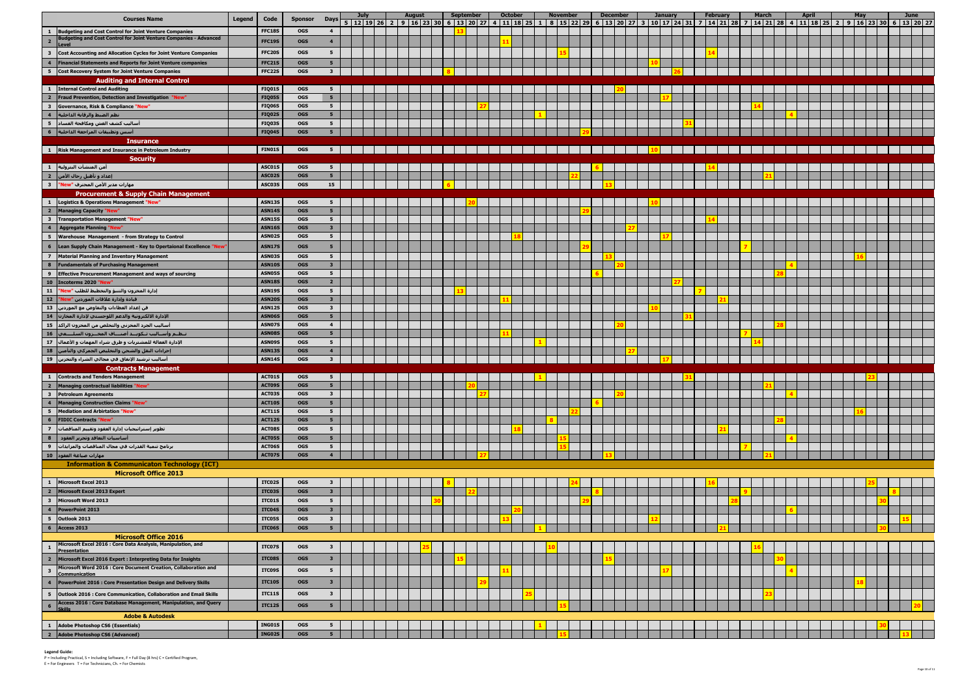|                                                                                                                                                                                                                                                                                                                                                                                                                                                          | <b>Courses Name</b>                                                                                              | <b>Legend</b> | Code                           | <b>Sponsor</b>           | <b>Days</b>                      | <b>July</b> | <b>August</b> | <b>September</b> | <b>October</b> | <b>November</b> | <b>December</b> | <b>January</b> | <b>February</b><br>12 12 13 26 2 9 14 25 2 9 16 23 30 6 13 20 27 4 11 18 25 1 8 15 22 29 6 13 20 27 3 10 17 24 31 7 14 21 28 7 14 21 28 4 11 18 25 2 9 16 23 30 6 13 20 27 | <b>March</b> | <b>April</b> | May | June |
|----------------------------------------------------------------------------------------------------------------------------------------------------------------------------------------------------------------------------------------------------------------------------------------------------------------------------------------------------------------------------------------------------------------------------------------------------------|------------------------------------------------------------------------------------------------------------------|---------------|--------------------------------|--------------------------|----------------------------------|-------------|---------------|------------------|----------------|-----------------|-----------------|----------------|----------------------------------------------------------------------------------------------------------------------------------------------------------------------------|--------------|--------------|-----|------|
| $\mathbf{1}$                                                                                                                                                                                                                                                                                                                                                                                                                                             | <b>Budgeting and Cost Control for Joint Venture Companies</b>                                                    |               | <b>FFC18S</b>                  | <b>OGS</b>               | $\overline{4}$                   |             |               |                  |                |                 |                 |                |                                                                                                                                                                            |              |              |     |      |
|                                                                                                                                                                                                                                                                                                                                                                                                                                                          | <b>Budgeting and Cost Control for Joint Venture Companies - Advanced</b>                                         |               | <b>FFC19S</b>                  | <b>OGS</b>               | $\overline{4}$                   |             |               |                  |                |                 |                 |                |                                                                                                                                                                            |              |              |     |      |
| $\overline{\mathbf{3}}$                                                                                                                                                                                                                                                                                                                                                                                                                                  | <b>Cost Accounting and Allocation Cycles for Joint Venture Companies</b>                                         |               | FFC20S                         | <b>OGS</b>               | $5^{\circ}$                      |             |               |                  |                |                 |                 |                |                                                                                                                                                                            |              |              |     |      |
| $\overline{4}$                                                                                                                                                                                                                                                                                                                                                                                                                                           | <b>Financial Statements and Reports for Joint Venture companies</b>                                              |               | FFC21S                         | <b>OGS</b>               | 5 <sub>1</sub>                   |             |               |                  |                |                 |                 |                |                                                                                                                                                                            |              |              |     |      |
| $5^{\circ}$                                                                                                                                                                                                                                                                                                                                                                                                                                              | <b>Cost Recovery System for Joint Venture Companies</b>                                                          |               | FFC22S                         | <b>OGS</b>               | 3 <sup>1</sup>                   |             |               |                  |                |                 |                 |                |                                                                                                                                                                            |              |              |     |      |
|                                                                                                                                                                                                                                                                                                                                                                                                                                                          | <b>Auditing and Internal Control</b>                                                                             |               |                                |                          |                                  |             |               |                  |                |                 |                 |                |                                                                                                                                                                            |              |              |     |      |
|                                                                                                                                                                                                                                                                                                                                                                                                                                                          | <b>Internal Control and Auditing</b>                                                                             |               | <b>FIQ01S</b>                  | <b>OGS</b>               | 5 <sub>5</sub>                   |             |               |                  |                |                 |                 |                |                                                                                                                                                                            |              |              |     |      |
| $\overline{\mathbf{3}}$                                                                                                                                                                                                                                                                                                                                                                                                                                  | Fraud Prevention, Detection and Investigation "New"<br><b>Governance, Risk &amp; Compliance "New"</b>            |               | FIQ05S<br><b>FIQ06S</b>        | <b>OGS</b><br><b>OGS</b> | 5 <sub>1</sub><br>5 <sub>5</sub> |             |               |                  |                |                 |                 |                |                                                                                                                                                                            |              |              |     |      |
|                                                                                                                                                                                                                                                                                                                                                                                                                                                          | نظم الضبط والرقابة الداخلية                                                                                      |               | FIQ02S                         | <b>OGS</b>               | 5 <sub>1</sub>                   |             |               |                  |                |                 |                 |                |                                                                                                                                                                            |              |              |     |      |
| 5 <sub>5</sub>                                                                                                                                                                                                                                                                                                                                                                                                                                           | أساليب كشف الغش ومكافحة الفساد                                                                                   |               | FIQ03S                         | OGS                      | 5 <sub>5</sub>                   |             |               |                  |                |                 |                 |                |                                                                                                                                                                            |              |              |     |      |
|                                                                                                                                                                                                                                                                                                                                                                                                                                                          | سس وتطبيقات المراجعة الداخلية                                                                                    |               | <b>FIQ04S</b>                  | <b>OGS</b>               | 5 <sub>1</sub>                   |             |               |                  |                |                 |                 |                |                                                                                                                                                                            |              |              |     |      |
|                                                                                                                                                                                                                                                                                                                                                                                                                                                          | <b>Insurance</b>                                                                                                 |               |                                |                          |                                  |             |               |                  |                |                 |                 |                |                                                                                                                                                                            |              |              |     |      |
|                                                                                                                                                                                                                                                                                                                                                                                                                                                          | <b>Risk Management and Insurance in Petroleum Industry</b>                                                       |               | FIN01S                         | OGS                      | 5 <sub>5</sub>                   |             |               |                  |                |                 |                 |                |                                                                                                                                                                            |              |              |     |      |
| $\mathbf{1}$                                                                                                                                                                                                                                                                                                                                                                                                                                             | <b>Security</b><br>أمن المنشآت البترولية إ                                                                       |               | ASC01S                         | <b>OGS</b>               | $5^{\circ}$                      |             |               |                  |                |                 |                 |                |                                                                                                                                                                            |              |              |     |      |
| $\overline{2}$                                                                                                                                                                                                                                                                                                                                                                                                                                           | إعداد و تأهيل رجال الأمن <mark>.</mark>                                                                          |               | ASC02S                         | <b>OGS</b>               | 5 <sub>1</sub>                   |             |               |                  |                |                 |                 |                |                                                                                                                                                                            |              |              |     |      |
| $\overline{\mathbf{3}}$                                                                                                                                                                                                                                                                                                                                                                                                                                  | مهارات مدير الأمن المحترف "New"                                                                                  |               | ASC03S                         | OGS                      | 15                               |             |               |                  |                |                 |                 |                |                                                                                                                                                                            |              |              |     |      |
|                                                                                                                                                                                                                                                                                                                                                                                                                                                          | <b>Procurement &amp; Supply Chain Management</b>                                                                 |               |                                |                          |                                  |             |               |                  |                |                 |                 |                |                                                                                                                                                                            |              |              |     |      |
| $\mathbf{1}$                                                                                                                                                                                                                                                                                                                                                                                                                                             | Logistics & Operations Management "New"                                                                          |               | <b>ASN13S</b>                  | <b>OGS</b>               | $5^{\circ}$                      |             |               |                  |                |                 |                 |                |                                                                                                                                                                            |              |              |     |      |
| $\overline{\mathbf{2}}$<br>$\overline{\mathbf{3}}$                                                                                                                                                                                                                                                                                                                                                                                                       | <b>Managing Capacity "New'</b><br><b>Transportation Management "New"</b>                                         |               | <b>ASN14S</b><br><b>ASN15S</b> | <b>OGS</b><br><b>OGS</b> | 5 <sub>1</sub><br>5 <sub>5</sub> |             |               |                  |                |                 |                 |                |                                                                                                                                                                            |              |              |     |      |
| $\overline{\mathbf{4}}$                                                                                                                                                                                                                                                                                                                                                                                                                                  | <b>Aggregate Planning "New'</b>                                                                                  |               | <b>ASN16S</b>                  | <b>OGS</b>               | 3 <sup>7</sup>                   |             |               |                  |                |                 |                 |                |                                                                                                                                                                            |              |              |     |      |
|                                                                                                                                                                                                                                                                                                                                                                                                                                                          | 5   Warehouse Management - from Strategy to Control                                                              |               | ASN02S                         | <b>OGS</b>               | 5 <sub>5</sub>                   |             |               |                  |                |                 |                 |                |                                                                                                                                                                            |              |              |     |      |
|                                                                                                                                                                                                                                                                                                                                                                                                                                                          | Lean Supply Chain Management - Key to Opertaional Excellence "Ne                                                 |               | <b>ASN17S</b>                  | <b>OGS</b>               | 5 <sub>5</sub>                   |             |               |                  |                |                 |                 |                |                                                                                                                                                                            |              |              |     |      |
|                                                                                                                                                                                                                                                                                                                                                                                                                                                          | 7   Material Planning and Inventory Management                                                                   |               | <b>ASN03S</b>                  | <b>OGS</b>               | 5 <sub>5</sub>                   |             |               |                  |                |                 |                 |                |                                                                                                                                                                            |              |              |     |      |
| $\overline{\mathbf{8}}$                                                                                                                                                                                                                                                                                                                                                                                                                                  | <b>Fundamentals of Purchasing Management</b>                                                                     |               | <b>ASN10S</b>                  | <b>OGS</b>               | 3 <sup>7</sup>                   |             |               |                  |                |                 |                 |                |                                                                                                                                                                            |              |              |     |      |
|                                                                                                                                                                                                                                                                                                                                                                                                                                                          | 9 Effective Procurement Management and ways of sourcing<br>10 Incoterms 2020 "New"                               |               | <b>ASN05S</b><br><b>ASN18S</b> | <b>OGS</b><br><b>OGS</b> | 5 <sub>5</sub><br>$\overline{2}$ |             |               |                  |                |                 |                 |                |                                                                                                                                                                            |              |              |     |      |
|                                                                                                                                                                                                                                                                                                                                                                                                                                                          | إدارة المخزون والتنبؤ والتخطيط للطلب "New"   11                                                                  |               | <b>ASN19S</b>                  | <b>OGS</b>               | 5 <sub>5</sub>                   |             |               |                  |                |                 |                 |                |                                                                                                                                                                            |              |              |     |      |
|                                                                                                                                                                                                                                                                                                                                                                                                                                                          | قيادة وإدارة علاقات الموردين "New" _ 12                                                                          |               | <b>ASN20S</b>                  | <b>OGS</b>               | 3 <sup>7</sup>                   |             |               |                  |                |                 |                 |                |                                                                                                                                                                            |              |              |     |      |
|                                                                                                                                                                                                                                                                                                                                                                                                                                                          | فن إعداد العطاءات والتفاوض مع الموردين د13                                                                       |               | <b>ASN12S</b>                  | <b>OGS</b>               | $\overline{\mathbf{3}}$          |             |               |                  |                |                 |                 |                |                                                                                                                                                                            |              |              |     |      |
|                                                                                                                                                                                                                                                                                                                                                                                                                                                          | الإدارة الالكترونية والدعم اللوحستي لإدارة المخازن   14                                                          |               | <b>ASN06S</b>                  | <b>OGS</b><br><b>OGS</b> | 5 <sub>1</sub>                   |             |               |                  |                |                 |                 |                |                                                                                                                                                                            |              |              |     |      |
|                                                                                                                                                                                                                                                                                                                                                                                                                                                          | أساليب الجرد المخزني والتخلص من المخزون الراكد  15<br>نـظـم وأســاليب تـكويــد أصنـــاف المخــزون السلــــعي  16 |               | ASN07S<br>ASN08S               | <b>OGS</b>               | $\overline{4}$<br>5 <sub>1</sub> |             |               |                  |                |                 |                 |                |                                                                                                                                                                            |              |              |     |      |
|                                                                                                                                                                                                                                                                                                                                                                                                                                                          | الإدارة الفعالة للمشتريات و طرق شراء المهمات و الأعمال $\ $ 17                                                   |               | ASN09S                         | <b>OGS</b>               | 5 <sub>5</sub>                   |             |               |                  |                |                 |                 |                |                                                                                                                                                                            |              |              |     |      |
|                                                                                                                                                                                                                                                                                                                                                                                                                                                          | إجراءات النقل والشحن والتخليص الجمركي والتأمين   18                                                              |               | <b>ASN13S</b>                  | <b>OGS</b>               | $\overline{4}$                   |             |               |                  |                |                 |                 |                |                                                                                                                                                                            |              |              |     |      |
|                                                                                                                                                                                                                                                                                                                                                                                                                                                          | أساليب ترشيد الإنفاق في مجالي الشراء والتخزين   19                                                               |               | <b>ASN14S</b>                  | <b>OGS</b>               | 3                                |             |               |                  |                |                 |                 |                |                                                                                                                                                                            |              |              |     |      |
|                                                                                                                                                                                                                                                                                                                                                                                                                                                          | <b>Contracts Management</b><br>1 Contracts and Tenders Management                                                |               | ACTO1S                         | <b>OGS</b>               | 51                               |             |               |                  |                |                 |                 |                |                                                                                                                                                                            |              |              |     |      |
| $\overline{\phantom{a}}$                                                                                                                                                                                                                                                                                                                                                                                                                                 | Managing contractual liabilities "New'                                                                           |               | ACT09S                         | <b>OGS</b>               | 5 <sub>5</sub>                   |             |               |                  |                |                 |                 |                |                                                                                                                                                                            |              |              |     |      |
|                                                                                                                                                                                                                                                                                                                                                                                                                                                          | 3 Petroleum Agreements                                                                                           |               | ACT03S                         | <b>OGS</b>               | 3 <sup>1</sup>                   |             |               |                  |                |                 |                 |                |                                                                                                                                                                            |              |              |     |      |
| $\frac{4}{5}$                                                                                                                                                                                                                                                                                                                                                                                                                                            | Managing Construction Claims "New"                                                                               |               | ACT10S                         | <b>OGS</b>               | 5 <sub>1</sub>                   |             |               |                  |                |                 |                 |                |                                                                                                                                                                            |              |              |     |      |
|                                                                                                                                                                                                                                                                                                                                                                                                                                                          | Mediation and Arbirtation "New"<br>6 FIDIC Contracts "New"                                                       |               | ACT11S                         | <b>OGS</b>               | 5 <sub>1</sub>                   |             |               |                  |                |                 |                 |                |                                                                                                                                                                            |              |              |     |      |
| $\overline{z}$                                                                                                                                                                                                                                                                                                                                                                                                                                           | تطوير إستراتيجيات إدارة العقود وتقييم المناقصات                                                                  |               | ACT12S<br>ACT08S               | <b>OGS</b><br><b>OGS</b> | 5 <sub>1</sub><br>5 <sub>5</sub> |             |               |                  |                |                 |                 |                |                                                                                                                                                                            |              |              |     |      |
| $\overline{\mathbf{8}}$                                                                                                                                                                                                                                                                                                                                                                                                                                  | أساسيات التعاقد وتحرير العقود أ                                                                                  |               | ACT05S                         | <b>OGS</b>               | 5 <sub>1</sub>                   |             |               |                  |                |                 |                 |                |                                                                                                                                                                            |              |              |     |      |
| $\overline{\cdot}$                                                                                                                                                                                                                                                                                                                                                                                                                                       | برنامج تنمية القدرات في مجال المناقصات والمزايدات إ                                                              |               | ACT06S                         | <b>OGS</b>               | 5 <sub>1</sub>                   |             |               |                  |                |                 |                 |                |                                                                                                                                                                            |              |              |     |      |
|                                                                                                                                                                                                                                                                                                                                                                                                                                                          | مهارات صياغة العقود <mark>10</mark>                                                                              |               | ACT07S                         | <b>OGS</b>               | $\overline{4}$                   |             |               |                  |                |                 |                 |                |                                                                                                                                                                            |              |              |     |      |
|                                                                                                                                                                                                                                                                                                                                                                                                                                                          | <b>Information &amp; Communicaton Technology (ICT)</b>                                                           |               |                                |                          |                                  |             |               |                  |                |                 |                 |                |                                                                                                                                                                            |              |              |     |      |
| $\mathbf{1}$                                                                                                                                                                                                                                                                                                                                                                                                                                             | <b>Microsoft Office 2013</b><br>Microsoft Excel 2013                                                             |               | ITC02S                         | <b>OGS</b>               | $\mathbf{3}$                     |             |               |                  |                |                 |                 |                |                                                                                                                                                                            |              |              |     |      |
| $\overline{\mathbf{2}}$                                                                                                                                                                                                                                                                                                                                                                                                                                  | Microsoft Excel 2013 Expert                                                                                      |               | ITC03S                         | <b>OGS</b>               | 3 <sup>7</sup>                   |             |               |                  |                |                 |                 |                |                                                                                                                                                                            |              |              |     |      |
| $\overline{\mathbf{3}}$                                                                                                                                                                                                                                                                                                                                                                                                                                  | Microsoft Word 2013                                                                                              |               | <b>ITC01S</b>                  | <b>OGS</b>               | 5 <sub>1</sub>                   |             |               |                  |                |                 |                 |                |                                                                                                                                                                            |              |              |     |      |
| $\overline{4}$                                                                                                                                                                                                                                                                                                                                                                                                                                           | PowerPoint 2013                                                                                                  |               | ITC04S                         | <b>OGS</b>               | 3 <sup>7</sup>                   |             |               |                  |                |                 |                 |                |                                                                                                                                                                            |              |              |     |      |
| $5\overline{5}$                                                                                                                                                                                                                                                                                                                                                                                                                                          | Outlook 2013                                                                                                     |               | ITC05S                         | <b>OGS</b>               | $\mathbf{3}$                     |             |               |                  |                |                 |                 |                |                                                                                                                                                                            |              |              |     |      |
| $6\overline{6}$                                                                                                                                                                                                                                                                                                                                                                                                                                          | Access 2013                                                                                                      |               | ITC06S                         | <b>OGS</b>               | 5 <sub>1</sub>                   |             |               |                  |                |                 |                 |                |                                                                                                                                                                            |              |              |     |      |
|                                                                                                                                                                                                                                                                                                                                                                                                                                                          | <b>Microsoft Office 2016</b><br>Microsoft Excel 2016 : Core Data Analysis, Manipulation, and                     |               |                                |                          |                                  |             |               |                  |                |                 |                 |                |                                                                                                                                                                            |              |              |     |      |
| $\mathbf{1}$                                                                                                                                                                                                                                                                                                                                                                                                                                             | <b>Presentation</b>                                                                                              |               | ITC07S                         | <b>OGS</b>               | $\mathbf{3}$                     |             |               |                  |                |                 |                 |                |                                                                                                                                                                            |              |              |     |      |
|                                                                                                                                                                                                                                                                                                                                                                                                                                                          | Microsoft Excel 2016 Expert : Interpreting Data for Insights                                                     |               | ITC08S                         | <b>OGS</b>               | $\mathbf{3}$                     |             |               |                  |                |                 |                 |                |                                                                                                                                                                            |              |              |     |      |
| $\begin{array}{c c c c c} \hline \multicolumn{3}{c }{\mathbf{r}} & \multicolumn{3}{c }{\mathbf{r}} & \multicolumn{3}{c }{\mathbf{r}} \\ \multicolumn{3}{c }{\mathbf{r}} & \multicolumn{3}{c }{\mathbf{r}} & \multicolumn{3}{c }{\mathbf{r}} & \multicolumn{3}{c }{\mathbf{r}} \\ \multicolumn{3}{c }{\mathbf{r}} & \multicolumn{3}{c }{\mathbf{r}} & \multicolumn{3}{c }{\mathbf{r}} & \multicolumn{3}{c }{\mathbf{r}} \\ \multicolumn{3}{c }{\mathbf{r$ | Microsoft Word 2016 : Core Document Creation, Collaboration and<br><b>Communication</b>                          |               | ITC09S                         | <b>OGS</b>               | 5                                |             |               |                  |                |                 |                 |                |                                                                                                                                                                            |              |              |     |      |
|                                                                                                                                                                                                                                                                                                                                                                                                                                                          | PowerPoint 2016 : Core Presentation Design and Delivery Skills                                                   |               | <b>ITC10S</b>                  | <b>OGS</b>               | $\mathbf{3}$                     |             |               |                  |                |                 |                 |                |                                                                                                                                                                            |              |              |     |      |
| $\overline{\phantom{a}}$                                                                                                                                                                                                                                                                                                                                                                                                                                 | Outlook 2016 : Core Communication, Collaboration and Email Skills                                                |               | <b>ITC11S</b>                  | <b>OGS</b>               | $\mathbf{3}$                     |             |               |                  |                |                 |                 |                |                                                                                                                                                                            |              |              |     |      |
| $\overline{\phantom{a}}$                                                                                                                                                                                                                                                                                                                                                                                                                                 | Access 2016 : Core Database Management, Manipulation, and Query<br><b>Skill:</b>                                 |               | <b>ITC12S</b>                  | <b>OGS</b>               | 5                                |             |               |                  |                |                 |                 |                |                                                                                                                                                                            |              |              |     |      |
|                                                                                                                                                                                                                                                                                                                                                                                                                                                          | <b>Adobe &amp; Autodesk</b>                                                                                      |               |                                |                          |                                  |             |               |                  |                |                 |                 |                |                                                                                                                                                                            |              |              |     |      |
| $\blacksquare$                                                                                                                                                                                                                                                                                                                                                                                                                                           | Adobe Photoshop CS6 (Essentials)                                                                                 |               | ING01S                         | <b>OGS</b>               | 5                                |             |               |                  |                |                 |                 |                |                                                                                                                                                                            |              |              |     |      |
| $\overline{\phantom{a}}$ 2                                                                                                                                                                                                                                                                                                                                                                                                                               | Adobe Photoshop CS6 (Advanced)                                                                                   |               | <b>ING02S</b>                  | <b>OGS</b>               |                                  |             |               |                  |                |                 |                 |                |                                                                                                                                                                            |              |              |     |      |